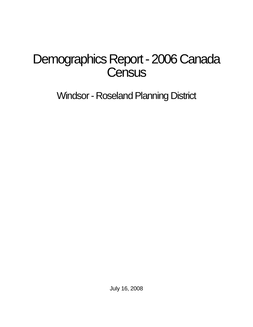# Demographics Report - 2006 Canada **Census**

Windsor - Roseland Planning District

July 16, 2008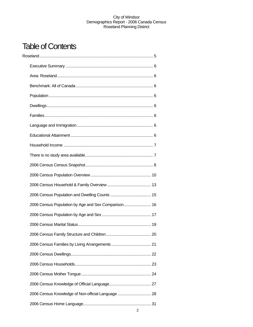# **Table of Contents**

| 2006 Census Population by Age and Sex Comparison 16 |  |
|-----------------------------------------------------|--|
|                                                     |  |
|                                                     |  |
|                                                     |  |
|                                                     |  |
|                                                     |  |
|                                                     |  |
|                                                     |  |
|                                                     |  |
| 2006 Census Knowledge of Non-official Language  28  |  |
|                                                     |  |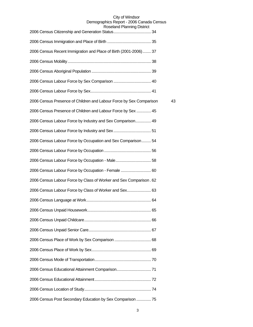| ו לטאסטומו ועודו ומו וויווען בטאווטג                                |    |
|---------------------------------------------------------------------|----|
|                                                                     |    |
| 2006 Census Recent Immigration and Place of Birth (2001-2006) 37    |    |
|                                                                     |    |
|                                                                     |    |
|                                                                     |    |
|                                                                     |    |
| 2006 Census Presence of Children and Labour Force by Sex Comparison | 43 |
| 2006 Census Presence of Children and Labour Force by Sex  45        |    |
| 2006 Census Labour Force by Industry and Sex Comparison 49          |    |
|                                                                     |    |
| 2006 Census Labour Force by Occupation and Sex Comparison 54        |    |
|                                                                     |    |
|                                                                     |    |
| 2006 Census Labour Force by Occupation - Female  60                 |    |
| 2006 Census Labour Force by Class of Worker and Sex Comparison. 62  |    |
| 2006 Census Labour Force by Class of Worker and Sex 63              |    |
|                                                                     |    |
|                                                                     |    |
|                                                                     |    |
|                                                                     |    |
|                                                                     |    |
|                                                                     |    |
|                                                                     |    |
|                                                                     |    |
|                                                                     |    |
|                                                                     |    |
| 2006 Census Post Secondary Education by Sex Comparison  75          |    |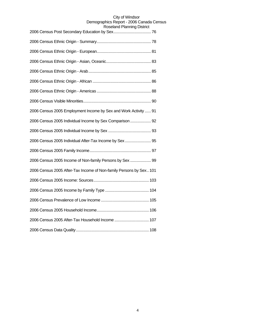| anu mammiy Diouit                                                  |
|--------------------------------------------------------------------|
|                                                                    |
|                                                                    |
|                                                                    |
|                                                                    |
|                                                                    |
|                                                                    |
|                                                                    |
| 2006 Census 2005 Employment Income by Sex and Work Activity  91    |
| 2006 Census 2005 Individual Income by Sex Comparison 92            |
|                                                                    |
| 2006 Census 2005 Individual After-Tax Income by Sex 95             |
|                                                                    |
| 2006 Census 2005 Income of Non-family Persons by Sex  99           |
| 2006 Census 2005 After-Tax Income of Non-family Persons by Sex 101 |
|                                                                    |
|                                                                    |
|                                                                    |
|                                                                    |
| 2006 Census 2005 After-Tax Household Income  107                   |
|                                                                    |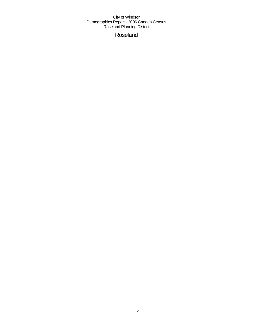# Roseland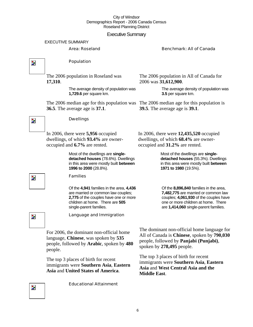#### Executive Summary

#### EXECUTIVE SUMMARY

#### Area: Roseland Benchmark: All of Canada

 $\overline{\mathbf{z}}$ 

#### Population

The 2006 population in Roseland was **17,310**.

> The average density of population was **1,729.6** per square km.

The 2006 median age for this population was The 2006 median age for this population is **36.5**. The average age is **37.1**.

The 2006 population in All of Canada for 2006 was **31,612,900**.

> The average density of population was **3.5** per square km.

**39.5**. The average age is **39.1**.

 $\overline{\phantom{a}}$ 

#### Dwellings

In 2006, there were **5,956** occupied dwellings, of which **93.4%** are owneroccupied and **6.7%** are rented.

> Most of the dwellings are **singledetached houses** (78.6%). Dwellings in this area were mostly built **between 1996 to 2000** (28.8%).

#### Families

Of the **4,941** families in the area, **4,436**  are married or common law couples; **2,775** of the couples have one or more children at home. There are **505**  single-parent families.

In 2006, there were **12,435,520** occupied dwellings, of which **68.4%** are owneroccupied and **31.2%** are rented.

> Most of the dwellings are **singledetached houses** (55.3%). Dwellings in this area were mostly built **between 1971 to 1980** (19.5%).

Of the **8,896,840** families in the area, **7,482,775** are married or common law couples; **4,061,930** of the couples have one or more children at home. There are **1,414,060** single-parent families.

Z.

Z.

Language and Immigration

For 2006, the dominant non-official home language, **Chinese**, was spoken by **535** people, followed by **Arabic**, spoken by **480** people.

The top 3 places of birth for recent immigrants were **Southern Asia**, **Eastern Asia** and **United States of America**.

Educational Attainment

The dominant non-official home language for All of Canada is **Chinese**, spoken by **790,030** people, followed by **Panjabi (Punjabi)**, spoken by **278,495** people.

The top 3 places of birth for recent immigrants were **Southern Asia**, **Eastern Asia** and **West Central Asia and the Middle East**.

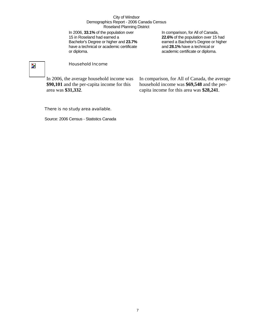In 2006, **33.1%** of the population over 15 in Roseland had earned a Bachelor's Degree or higher and **23.7%** have a technical or academic certificate or diploma.

In comparison, for All of Canada, **22.6%** of the population over 15 had earned a Bachelor's Degree or higher and **28.1%** have a technical or academic certificate or diploma.

# $\overline{\phantom{a}}$

#### Household Income

In 2006, the average household income was **\$90,101** and the per-capita income for this area was **\$31,332**.

In comparison, for All of Canada, the average household income was **\$69,548** and the percapita income for this area was **\$28,241**.

#### There is no study area available.

Source: 2006 Census - Statistics Canada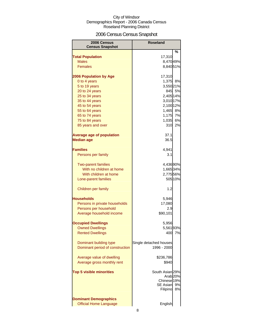# 2006 Census Census Snapshot

| 2006 Census<br><b>Census Snapshot</b> | <b>Roseland</b>        |                     |
|---------------------------------------|------------------------|---------------------|
|                                       |                        | ℅                   |
| <b>Total Population</b>               | 17,310                 |                     |
| <b>Males</b>                          | 8,47049%               |                     |
| <b>Females</b>                        | 8,840 51%              |                     |
| <b>2006 Population by Age</b>         | 17,310                 |                     |
| 0 to 4 years                          | 1,375                  | 8%                  |
| 5 to 19 years                         | 3,550 21%              |                     |
| 20 to 24 years                        |                        | 845 5%              |
| 25 to 34 years                        | 2,405 14%              |                     |
| 35 to 44 years                        | 3,010 17%              |                     |
| 45 to 54 years                        | 2,100 12%              |                     |
| 55 to 64 years                        | 1,465 8%               |                     |
| 65 to 74 years                        | 1,175 7%               |                     |
| 75 to 84 years                        | 1,035                  | 6%                  |
| 85 years and over                     | 310                    | 2%                  |
|                                       |                        |                     |
| <b>Average age of population</b>      | 37.1                   |                     |
| <b>Median age</b>                     | 36.5                   |                     |
| <b>Families</b>                       |                        |                     |
|                                       | 4,941                  |                     |
| Persons per family                    | 3.1                    |                     |
| <b>Two-parent families</b>            | 4,436 90%              |                     |
| With no children at home              | 1,665 34%              |                     |
| With children at home                 | 2,775 56%              |                     |
| Lone-parent families                  |                        | 505 10%             |
|                                       |                        |                     |
| Children per family                   | 1.2                    |                     |
| <b>Households</b>                     | 5,946                  |                     |
| Persons in private households         | 17,080                 |                     |
| Persons per household                 | 2.9                    |                     |
| Average household income              | \$90,101               |                     |
|                                       |                        |                     |
| <b>Occupied Dwellings</b>             | 5,956                  |                     |
| <b>Owned Dwellings</b>                | 5,56193%               |                     |
| <b>Rented Dwellings</b>               | 400                    | 7%                  |
|                                       |                        |                     |
| Dominant building type                | Single detached houses |                     |
| Dominant period of construction       | 1996 - 2000            |                     |
| Average value of dwelling             | \$236,786              |                     |
| Average gross monthly rent            | \$940                  |                     |
|                                       |                        |                     |
| <b>Top 5 visible minorities</b>       | South Asian 29%        |                     |
|                                       |                        | Arab <sub>20%</sub> |
|                                       | Chinese <sup>19%</sup> |                     |
|                                       | <b>SE Asian</b>        | 9%                  |
|                                       | Filipino               | 8%                  |
|                                       |                        |                     |
| <b>Dominant Demographics</b>          |                        |                     |
| <b>Official Home Language</b>         | English                |                     |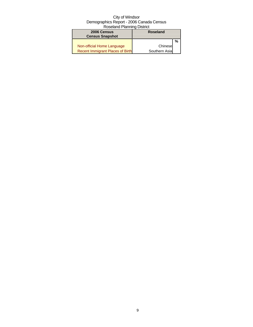| 2006 Census<br><b>Census Snapshot</b>   | <b>Roseland</b> |   |
|-----------------------------------------|-----------------|---|
|                                         |                 | % |
| Non-official Home Language              | Chinesel        |   |
| <b>Recent Immigrant Places of Birth</b> | Southern Asia   |   |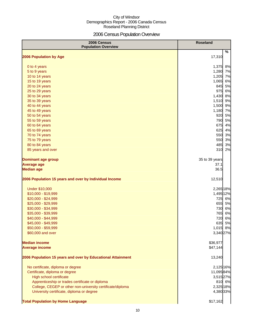# 2006 Census Population Overview

| 2006 Census<br><b>Population Overview</b>                   | <b>Roseland</b> |
|-------------------------------------------------------------|-----------------|
| 2006 Population by Age                                      | %<br>17,310     |
|                                                             |                 |
| 0 to 4 years                                                | 8%<br>1,375     |
| 5 to 9 years                                                | 1,280 7%        |
| 10 to 14 years                                              | 1,205<br>7%     |
| 15 to 19 years                                              | 1,065<br>6%     |
| 20 to 24 years                                              | 845<br>5%       |
| 25 to 29 years                                              | 975 6%          |
| 30 to 34 years                                              | 1,430 8%        |
| 35 to 39 years                                              | 1,510 9%        |
| 40 to 44 years                                              | 1,500 9%        |
| 45 to 49 years                                              | 1,180 7%        |
| 50 to 54 years                                              | 920<br>5%       |
| 55 to 59 years                                              | 790<br>5%       |
| 60 to 64 years                                              | 4%<br>675       |
| 65 to 69 years                                              | 625<br>4%       |
| 70 to 74 years                                              | 550<br>3%       |
| 75 to 79 years                                              | 550<br>3%       |
| 80 to 84 years                                              | 485<br>3%       |
| 85 years and over                                           | 310<br>2%       |
| <b>Dominant age group</b>                                   | 35 to 39 years  |
| <b>Average age</b>                                          | 37.1            |
| <b>Median age</b>                                           | 36.5            |
| 2006 Population 15 years and over by Individual Income      | 12,510          |
| <b>Under \$10,000</b>                                       | 2,265 18%       |
| \$10,000 - \$19,999                                         | 1,495 12%       |
| \$20,000 - \$24,999                                         | 725 6%          |
| \$25,000 - \$29,999                                         | 655 5%          |
| \$30,000 - \$34,999                                         | 730<br>6%       |
| \$35,000 - \$39,999                                         | 765<br>6%       |
| \$40,000 - \$44,999                                         | 6%<br>720       |
| \$45,000 - \$49,999                                         | 635 5%          |
| \$50,000 - \$59,999                                         | 1,015 8%        |
| \$60,000 and over                                           | 3,340 27%       |
| <b>Median income</b>                                        | \$36,977        |
| <b>Average income</b>                                       | \$47,144        |
| 2006 Population 15 years and over by Educational Attainment | 13,240          |
| No certificate, diploma or degree                           | 2,125 16%       |
| Certificate, diploma or degree                              | 11,09584%       |
| High school certificate                                     | 3,515 27%       |
| Apprenticeship or trades certificate or diploma             | 810 6%          |
| College, CEGEP or other non-university certificate/diploma  | 2,325 18%       |
| University certificate, diploma or degree                   | 4,380 33%       |
| <b>Total Population by Home Language</b>                    | \$17,162        |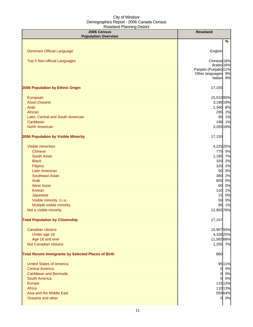| 2006 Census<br><b>Population Overview</b>                  | <b>Roseland</b>                  |
|------------------------------------------------------------|----------------------------------|
|                                                            | %                                |
|                                                            |                                  |
| <b>Dominant Official Language</b>                          | English                          |
| <b>Top 5 Non-official Languages</b>                        | Chinese <sub>18%</sub>           |
|                                                            | Arabic 16%                       |
|                                                            | Panjabi (Punjabi) 11%            |
|                                                            | Other languages 9%<br>Italian 9% |
| 2006 Population by Ethnic Origin                           | 17,155                           |
|                                                            |                                  |
| European                                                   | 15,510 90%                       |
| Asian, Oceanic                                             | 3,190 19%                        |
| Arab                                                       | 1,340 8%                         |
| African                                                    | 295 2%                           |
| Latin, Central and South American                          | 95 1%                            |
| Caribbean                                                  | 190 1%                           |
| <b>North American</b>                                      | 3,265 19%                        |
| 2006 Population by Visible Minority                        | 17,150                           |
| Visible minorities                                         | 4,225 25%                        |
| <b>Chinese</b>                                             | 775 5%                           |
| South Asian                                                | 1,185 7%                         |
| <b>Black</b>                                               | 320 2%                           |
| Filipino                                                   | 325<br>2%                        |
| <b>Latin American</b>                                      | 0%<br>50                         |
| <b>Southeast Asian</b>                                     | 380<br>2%                        |
| Arab                                                       | 805<br>5%                        |
| <b>West Asian</b>                                          | 0%<br>60                         |
| Korean                                                     | 1%<br>110                        |
| Japanese                                                   | 0%<br>15                         |
| Visible minority, n.i.e.                                   | 50<br>0%                         |
| Multiple visible minority                                  | 95 1%                            |
| Not a visible minority                                     | 12,955 76%                       |
|                                                            |                                  |
| <b>Total Population by Citizenship</b>                     | 17,157                           |
| Canadian citizens                                          | 15,90793%                        |
| Under age 18                                               | 4,326 25%                        |
| Age 18 and over                                            | 11,58268%                        |
| Not Canadian citizens                                      | 1,255 7%                         |
| <b>Total Recent Immigrants by Selected Places of Birth</b> | 860                              |
| <b>United States of America</b>                            | 95 11%                           |
| <b>Central America</b>                                     | 0 0%                             |
| <b>Caribbean and Bermuda</b>                               | 0 0%                             |
| <b>South America</b>                                       | 0 0%                             |
| Europe                                                     | 115 13%                          |
| Africa                                                     | 110 13%                          |
| Asia and the Middle East                                   | 550 64%                          |
| Oceania and other                                          | 0 0%                             |
|                                                            |                                  |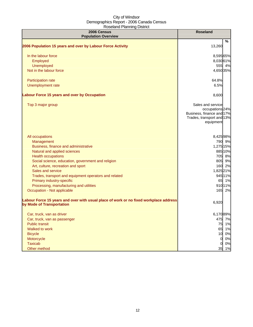| <b>INCOURT IN THE INTERNATION</b><br>2006 Census<br><b>Population Overview</b>                                     | <b>Roseland</b>                        |
|--------------------------------------------------------------------------------------------------------------------|----------------------------------------|
|                                                                                                                    | %                                      |
| 2006 Population 15 years and over by Labour Force Activity                                                         | 13,260                                 |
| In the labour force                                                                                                | 8,595 65%                              |
| Employed                                                                                                           | 8,030 61%                              |
| Unemployed                                                                                                         | 555 4%                                 |
| Not in the labour force                                                                                            | 4,650 35%                              |
| Participation rate                                                                                                 | 64.8%                                  |
| Unemployment rate                                                                                                  | 6.5%                                   |
| <b>Labour Force 15 years and over by Occupation</b>                                                                | 8,600                                  |
| Top 3 major group                                                                                                  | Sales and service                      |
|                                                                                                                    | occupations 24%                        |
|                                                                                                                    | Business, finance and 17%              |
|                                                                                                                    | Trades, transport and 13%<br>equipment |
|                                                                                                                    |                                        |
| All occupations                                                                                                    | 8,425 98%                              |
| Management                                                                                                         | 790 9%                                 |
| Business, finance and administrative                                                                               | 1,275 15%                              |
| Natural and applied sciences                                                                                       | 885 10%                                |
| <b>Health occupations</b>                                                                                          | 705 8%                                 |
| Social science, education, government and religion                                                                 | 805 9%                                 |
| Art, culture, recreation and sport                                                                                 | 160 2%                                 |
| Sales and service                                                                                                  | 1,825 21%                              |
| Trades, transport and equipment operators and related                                                              | 945 11%                                |
| Primary industry-specific                                                                                          | 65 1%                                  |
| Processing, manufacturing and utilities                                                                            | 910 11%                                |
| Occupation - Not applicable                                                                                        | 165 2%                                 |
| Labour Force 15 years and over with usual place of work or no fixed workplace address<br>by Mode of Transportation | 6,920                                  |
| Car, truck, van as driver                                                                                          | 6,17089%                               |
| Car, truck, van as passenger                                                                                       | 475 7%                                 |
| <b>Public transit</b>                                                                                              | 75 1%                                  |
| Walked to work                                                                                                     | 65 1%                                  |
| <b>Bicycle</b>                                                                                                     | 0%<br>10                               |
| Motorcycle                                                                                                         | 0%<br>0                                |
| <b>Taxicab</b>                                                                                                     | 0%<br>0                                |
| Other method                                                                                                       | 1%<br>35                               |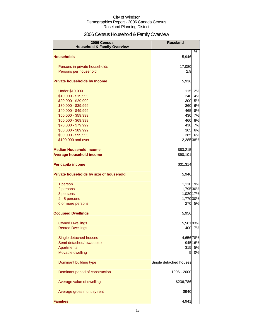# 2006 Census Household & Family Overview

| 2006 Census<br><b>Household &amp; Family Overview</b>             | <b>Roseland</b>        |          |
|-------------------------------------------------------------------|------------------------|----------|
|                                                                   |                        | $\%$     |
| <b>Households</b>                                                 | 5,946                  |          |
| Persons in private households                                     | 17,080                 |          |
| Persons per household                                             | 2.9                    |          |
| <b>Private households by Income</b>                               | 5,936                  |          |
|                                                                   |                        |          |
| <b>Under \$10,000</b>                                             | 115                    | 2%       |
| \$10,000 - \$19,999                                               | 240                    | 4%       |
| \$20,000 - \$29,999                                               | 300                    | 5%       |
| \$30,000 - \$39,999                                               | 360                    | 6%       |
| \$40,000 - \$49,999                                               | 465                    | 8%       |
| \$50,000 - \$59,999<br>\$60,000 - \$69,999                        | 430                    | 7%<br>8% |
| \$70,000 - \$79,999                                               | 460<br>430             | 7%       |
| \$80,000 - \$89,999                                               | 365                    | 6%       |
| \$90,000 - \$99,999                                               | 385                    | 6%       |
| \$100,000 and over                                                | 2,285 38%              |          |
|                                                                   |                        |          |
| <b>Median Household Income</b><br><b>Average household income</b> | \$83,215<br>\$90,101   |          |
|                                                                   |                        |          |
| Per capita income                                                 | \$31,314               |          |
| Private households by size of household                           | 5,946                  |          |
| 1 person                                                          | 1,110 19%              |          |
| 2 persons                                                         | 1,795 30%              |          |
| 3 persons                                                         | 1,020 17%              |          |
| 4 - 5 persons                                                     | 1,770 30%              |          |
| 6 or more persons                                                 |                        | 270 5%   |
| <b>Occupied Dwellings</b>                                         | 5,956                  |          |
| <b>Owned Dwellings</b>                                            | 5,56193%               |          |
| <b>Rented Dwellings</b>                                           | 400                    | 7%       |
| Single detached houses                                            | 4,656 78%              |          |
| Semi-detached/row/duplex                                          |                        | 945 16%  |
| <b>Apartments</b>                                                 | 315                    | 5%       |
| Movable dwelling                                                  | 5                      | 0%       |
| Dominant building type                                            | Single detached houses |          |
| Dominant period of construction                                   | 1996 - 2000            |          |
| Average value of dwelling                                         | \$236,786              |          |
| Average gross monthly rent                                        | \$940                  |          |
| <b>Families</b>                                                   | 4,941                  |          |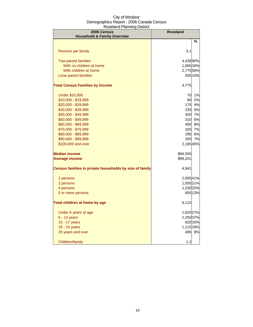| 2006 Census<br><b>Household &amp; Family Overview</b>   | <b>Roseland</b> |         |
|---------------------------------------------------------|-----------------|---------|
|                                                         |                 | %       |
| Persons per family                                      | 3.1             |         |
| <b>Two-parent families</b>                              | 4,436 90%       |         |
| With no children at home                                | 1,665 34%       |         |
| With children at home                                   | 2,775 56%       |         |
| Lone-parent families                                    |                 | 505 10% |
| <b>Total Census Families by Income</b>                  | 4,775           |         |
| <b>Under \$10,000</b>                                   | 70              | 1%      |
| \$10,000 - \$19,999                                     | 80              | 2%      |
| \$20,000 - \$29,999                                     | 175             | 4%      |
| \$30,000 - \$39,999                                     | 230             | 5%      |
| \$40,000 - \$49,999                                     | 320             | 7%      |
| \$50,000 - \$59,999                                     | 310             | 6%      |
| \$60,000 - \$69,999                                     | 400             | 8%      |
| \$70,000 - \$79,999                                     | 320             | 7%      |
| \$80,000 - \$89,999                                     | 295             | 6%      |
| \$90,000 - \$99,999                                     | <b>350</b>      | 7%      |
| \$100,000 and over                                      | 2,165 45%       |         |
| <b>Median income</b>                                    | \$94,500        |         |
| <b>Average income</b>                                   | \$99,201        |         |
| Census families in private households by size of family | 4,941           |         |
| 2 persons                                               | 2,005 41%       |         |
| 3 persons                                               | 1,055 21%       |         |
| 4 persons                                               | 1,230 25%       |         |
| 5 or more persons                                       |                 | 650 13% |
| Total children at home by age                           | 6,110           |         |
| Under 6 years of age                                    | 1,620 27%       |         |
| 6 - 14 years                                            | 2,250 37%       |         |
| 15 - 17 years                                           |                 | 62010%  |
| 18 - 24 years                                           | 1,115 18%       |         |
| 25 years and over                                       |                 | 495 8%  |
| Children/family                                         | 1.2             |         |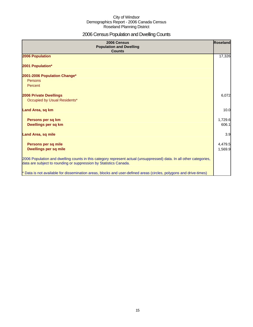# 2006 Census Population and Dwelling Counts

| 2006 Census<br><b>Population and Dwelling</b><br><b>Counts</b>                                                                                                                           | Roseland           |
|------------------------------------------------------------------------------------------------------------------------------------------------------------------------------------------|--------------------|
| 2006 Population                                                                                                                                                                          | 17,326             |
| 2001 Population*                                                                                                                                                                         |                    |
| 2001-2006 Population Change*<br>Persons<br>Percent                                                                                                                                       |                    |
| <b>2006 Private Dwellings</b><br>Occupied by Usual Residents*                                                                                                                            | 6,072              |
| Land Area, sq km                                                                                                                                                                         | 10.0               |
| Persons per sq km<br>Dwellings per sq km                                                                                                                                                 | 1,729.6<br>606.1   |
| <b>Land Area, sq mile</b>                                                                                                                                                                | 3.9                |
| Persons per sq mile<br><b>Dwellings per sq mile</b>                                                                                                                                      | 4,479.5<br>1,569.9 |
| 2006 Population and dwelling counts in this category represent actual (unsuppressed) data. In all other categories,<br>data are subject to rounding or suppression by Statistics Canada. |                    |
| * Data is not available for dissemination areas, blocks and user-defined areas (circles, polygons and drive-times)                                                                       |                    |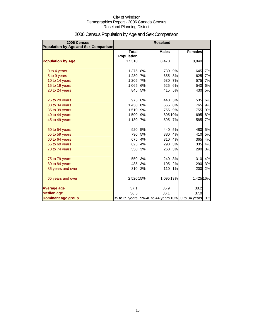| 2006 Census<br>Population by Age and Sex Comparison | <b>Roseland</b>                   |    |              |         |                                                   |    |
|-----------------------------------------------------|-----------------------------------|----|--------------|---------|---------------------------------------------------|----|
|                                                     | <b>Total</b><br><b>Population</b> |    | <b>Males</b> |         | <b>Females</b>                                    |    |
| <b>Population by Age</b>                            | 17,310                            |    | 8,470        |         | 8,840                                             |    |
| 0 to 4 years                                        | 1,375                             | 8% | 730          | 9%      | 645                                               | 7% |
| 5 to 9 years                                        | 1,280                             | 7% | 655          | 8%      | 625                                               | 7% |
| 10 to 14 years                                      | 1,205                             | 7% | 630          | 7%      | 575                                               | 7% |
| 15 to 19 years                                      | 1,065                             | 6% | 525          | 6%      | 540                                               | 6% |
| 20 to 24 years                                      | 845                               | 5% | 415          | 5%      | 430                                               | 5% |
| 25 to 29 years                                      | 975                               | 6% | 440          | 5%      | 535                                               | 6% |
| 30 to 34 years                                      | 1,430                             | 8% | 665          | 8%      | 765                                               | 9% |
| 35 to 39 years                                      | 1,510                             | 9% | 755          | 9%      | 755                                               | 9% |
| 40 to 44 years                                      | 1,500                             | 9% |              | 805 10% | 695                                               | 8% |
| 45 to 49 years                                      | 1,180                             | 7% | 595          | 7%      | 585                                               | 7% |
| 50 to 54 years                                      | 920                               | 5% | 440          | 5%      | 480                                               | 5% |
| 55 to 59 years                                      | 790                               | 5% | 380          | 4%      | 410                                               | 5% |
| 60 to 64 years                                      | 675                               | 4% | 310          | 4%      | 365                                               | 4% |
| 65 to 69 years                                      | 625                               | 4% | 290          | 3%      | 335                                               | 4% |
| 70 to 74 years                                      | 550                               | 3% | 260          | 3%      | 290                                               | 3% |
| 75 to 79 years                                      | 550                               | 3% | 240          | 3%      | 310                                               | 4% |
| 80 to 84 years                                      | 485                               | 3% | 195          | 2%      | 290                                               | 3% |
| 85 years and over                                   | 310                               | 2% | 110          | 1%      | 200                                               | 2% |
| 65 years and over                                   | 2,520 15%                         |    | 1,095 13%    |         | 1,425 16%                                         |    |
| <b>Average age</b>                                  | 37.1                              |    | 35.9         |         | 38.2                                              |    |
| <b>Median age</b>                                   | 36.5                              |    | 36.1         |         | 37.0                                              |    |
| <b>Dominant age group</b>                           |                                   |    |              |         | 35 to 39 years 9%40 to 44 years 10%30 to 34 years | 9% |

# 2006 Census Population by Age and Sex Comparison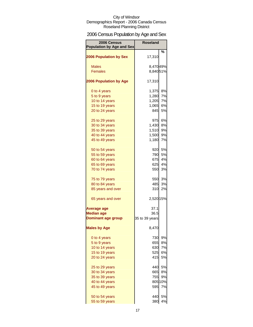# 2006 Census Population by Age and Sex

| 2006 Census<br><b>Population by Age and Sex</b> | <b>Roseland</b> |         |
|-------------------------------------------------|-----------------|---------|
|                                                 |                 | %       |
| <b>2006 Population by Sex</b>                   | 17,310          |         |
| <b>Males</b>                                    | 8,47049%        |         |
| <b>Females</b>                                  | 8,84051%        |         |
|                                                 |                 |         |
| <b>2006 Population by Age</b>                   | 17,310          |         |
| 0 to 4 years                                    | 1,375           | 8%      |
| 5 to 9 years                                    | 1,280           | 7%      |
| 10 to 14 years                                  | 1,205           | 7%      |
| 15 to 19 years                                  | 1,065           | 6%      |
| 20 to 24 years                                  | 845             | 5%      |
| 25 to 29 years                                  | 975             | 6%      |
| 30 to 34 years                                  | 1,430           | 8%      |
| 35 to 39 years                                  | 1,510           | 9%      |
| 40 to 44 years                                  | 1,500           | 9%      |
| 45 to 49 years                                  | 1,180           | 7%      |
| 50 to 54 years                                  | 920             | 5%      |
| 55 to 59 years                                  | 790             | 5%      |
| 60 to 64 years                                  | 675             | 4%      |
| 65 to 69 years                                  | 625             | 4%      |
| 70 to 74 years                                  | 550             | 3%      |
| 75 to 79 years                                  |                 | 550 3%  |
| 80 to 84 years                                  | 485             | 3%      |
| 85 years and over                               | 310             | 2%      |
| 65 years and over                               | 2,520 15%       |         |
| <b>Average age</b>                              | 37.1            |         |
| <b>Median age</b>                               | 36.5            |         |
| <b>Dominant age group</b>                       | 35 to 39 years  |         |
| <b>Males by Age</b>                             | 8,470           |         |
| 0 to 4 years                                    | 730             | 9%      |
| 5 to 9 years                                    | 655             | 8%      |
| 10 to 14 years                                  | 630             | 7%      |
| 15 to 19 years                                  | 525             | 6%      |
| 20 to 24 years                                  | 415I            | 5%      |
| 25 to 29 years                                  | 440             | 5%      |
| 30 to 34 years                                  | 665             | 8%      |
| 35 to 39 years                                  | 755             | 9%      |
| 40 to 44 years                                  |                 | 805 10% |
| 45 to 49 years                                  | 595             | 7%      |
| 50 to 54 years                                  | 440             | 5%      |
| 55 to 59 years                                  | 380             | 4%      |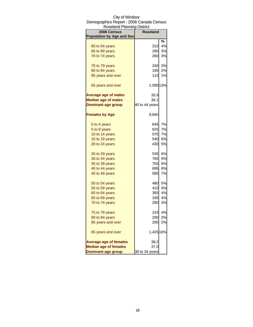| <b>Roseland Planning District</b> |                 |         |
|-----------------------------------|-----------------|---------|
| 2006 Census                       | <b>Roseland</b> |         |
| <b>Population by Age and Sex</b>  |                 |         |
|                                   |                 | %<br>4% |
| 60 to 64 years                    | 310             |         |
| 65 to 69 years                    | 290             | 3%      |
| 70 to 74 years                    | 260             | 3%      |
| 75 to 79 years                    | 240             | 3%      |
| 80 to 84 years                    | 195             | 2%      |
| 85 years and over                 | 110             | 1%      |
| 65 years and over                 | 1,095 13%       |         |
| <b>Average age of males</b>       | 35.9            |         |
| <b>Median age of males</b>        | 36.1            |         |
| <b>Dominant age group</b>         | 40 to 44 years  |         |
| <b>Females by Age</b>             | 8,840           |         |
| 0 to 4 years                      | 645             | 7%      |
| 5 to 9 years                      | 625             | 7%      |
| 10 to 14 years                    | 575             | 7%      |
| 15 to 19 years                    | 540             | 6%      |
| 20 to 24 years                    | 430             | 5%      |
| 25 to 29 years                    | 535             | 6%      |
| 30 to 34 years                    | 765             | 9%      |
| 35 to 39 years                    | 755             | 9%      |
| 40 to 44 years                    | 695             | 8%      |
| 45 to 49 years                    | 585             | 7%      |
| 50 to 54 years                    | 480             | 5%      |
| 55 to 59 years                    | 410             | 5%      |
| 60 to 64 years                    | 365             | 4%      |
| 65 to 69 years                    | 335             | 4%      |
| 70 to 74 years                    | 290             | 3%      |
|                                   |                 | 4%      |
| 75 to 79 years                    | 310             |         |
| 80 to 84 years                    | 290             | 3%      |
| 85 years and over                 | 200             | 2%      |
| 65 years and over                 | 1,425 16%       |         |
| <b>Average age of females</b>     | 38.2            |         |
| <b>Median age of females</b>      | 37.0            |         |
| <b>Dominant age group</b>         | 30 to 34 years  |         |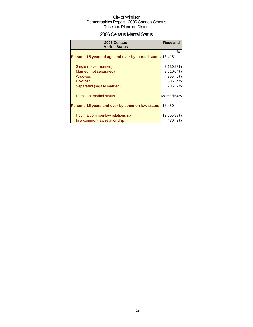### 2006 Census Marital Status

| 2006 Census<br><b>Marital Status</b>                             | <b>Roseland</b> |        |
|------------------------------------------------------------------|-----------------|--------|
| <b>Persons 15 years of age and over by marital status</b> 13,415 |                 | %      |
| Single (never married)                                           | 3,130 23%       |        |
| Married (not separated)                                          | 8,610 64%       |        |
| Widowed                                                          | 855I            | 6%     |
| <b>Divorced</b>                                                  |                 | 585 4% |
| Separated (legally married)                                      | <b>235</b>      | 2%     |
| Dominant marital status                                          | Married 64%     |        |
| Persons 15 years and over by common-law status                   | 13,450          |        |
| Not in a common-law relationship                                 | 13,00597%       |        |
| In a common-law relationship                                     | 430I            | 3%     |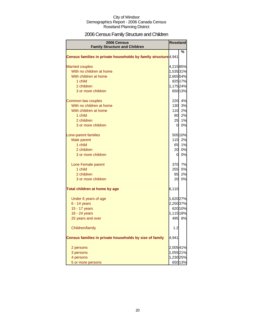# 2006 Census Family Structure and Children

| 2006 Census<br><b>Family Structure and Children</b>             | <b>Roseland</b> |         |
|-----------------------------------------------------------------|-----------------|---------|
|                                                                 |                 | %       |
| Census families in private households by family structure 4,941 |                 |         |
|                                                                 |                 |         |
| <b>Married couples</b>                                          | 4,215 85%       |         |
| With no children at home                                        | 1,535 31%       |         |
| With children at home                                           | 2,66554%        |         |
| 1 child                                                         |                 | 825 17% |
| 2 children                                                      | 1,175 24%       |         |
| 3 or more children                                              |                 | 650 13% |
|                                                                 |                 |         |
| Common-law couples                                              |                 | 220 4%  |
| With no children at home                                        |                 | 130 3%  |
| With children at home                                           |                 | 110 2%  |
| 1 child                                                         | 80              | 2%      |
| 2 children                                                      | 25              | 1%      |
| 3 or more children                                              | 01              | 0%      |
|                                                                 |                 |         |
| Lone-parent families                                            |                 | 505 10% |
| Male parent                                                     |                 | 115 2%  |
| 1 child                                                         | 65              | 1%      |
| 2 children                                                      | 20              | 0%      |
| 3 or more children                                              | $\mathbf{0}$    | 0%      |
|                                                                 |                 |         |
| Lone Female parent                                              |                 | 370 7%  |
| 1 child                                                         | 255             | 5%      |
| 2 children                                                      | 85              | 2%      |
| 3 or more children                                              | <b>20</b>       | 0%      |
|                                                                 |                 |         |
| Total children at home by age                                   | 6,110           |         |
|                                                                 |                 |         |
| Under 6 years of age                                            | 1,620 27%       |         |
| $6 - 14$ years                                                  | 2,250 37%       |         |
| 15 - 17 years                                                   |                 | 620 10% |
| 18 - 24 years                                                   | 1,115 18%       |         |
| 25 years and over                                               |                 | 495 8%  |
|                                                                 |                 |         |
| Children/family                                                 | 1.2             |         |
|                                                                 |                 |         |
| Census families in private households by size of family         | 4,941           |         |
| 2 persons                                                       | 2,00541%        |         |
| 3 persons                                                       | 1,055 21%       |         |
| 4 persons                                                       | 1,230 25%       |         |
| 5 or more persons                                               |                 | 65013%  |
|                                                                 |                 |         |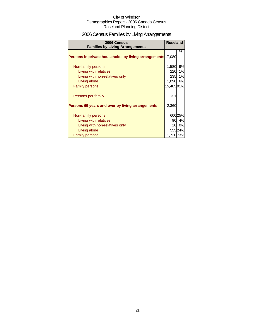# 2006 Census Families by Living Arrangements

| 2006 Census<br><b>Families by Living Arrangements</b>              | <b>Roseland</b> |         |
|--------------------------------------------------------------------|-----------------|---------|
|                                                                    |                 | %       |
| <b>Persons in private households by living arrangements 17,080</b> |                 |         |
| Non-family persons                                                 | 1,580           | 9%      |
| Living with relatives                                              | 220             | 1%      |
| Living with non-relatives only                                     | 2351            | 1%      |
| Living alone                                                       | 1,090 6%        |         |
| <b>Family persons</b>                                              | 15,48591%       |         |
| Persons per family                                                 | 3.1             |         |
| Persons 65 years and over by living arrangements                   | 2,360           |         |
|                                                                    |                 |         |
| Non-family persons                                                 |                 | 600 25% |
| Living with relatives                                              |                 | 90 4%   |
| Living with non-relatives only                                     |                 | 10 0%   |
| Living alone                                                       |                 | 55524%  |
| <b>Family persons</b>                                              | 1,720 73%       |         |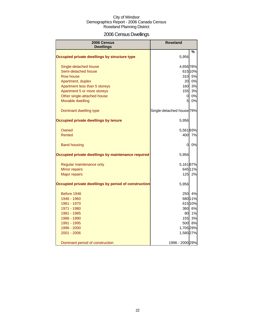# 2006 Census Dwellings

| 2006 Census<br><b>Dwellings</b>                      | <b>Roseland</b>                      |         |
|------------------------------------------------------|--------------------------------------|---------|
|                                                      |                                      | %       |
| Occupied private dwellings by structure type         | 5,956                                |         |
| Single-detached house                                | 4,656 78%                            |         |
| Semi-detached house                                  |                                      | 615 10% |
| Row house                                            |                                      | 310 5%  |
| Apartment, duplex                                    | 20                                   | 0%      |
| Apartment less than 5 storeys                        | 160                                  | 3%      |
| Apartment 5 or more storeys                          | 155                                  | 3%      |
| Other single-attached house                          | οl                                   | 0%      |
| Movable dwelling                                     | $5\overline{a}$                      | 0%      |
| Dominant dwelling type                               | Single-detached house <sup>79%</sup> |         |
| Occupied private dwellings by tenure                 | 5,956                                |         |
| Owned                                                | 5,56193%                             |         |
| Rented                                               | 400                                  | 7%      |
| <b>Band housing</b>                                  | 0                                    | 0%      |
| Occupied private dwellings by maintenance required   | 5,956                                |         |
| Regular maintenance only                             | 5,16187%                             |         |
| Minor repairs                                        |                                      | 645 11% |
| <b>Major repairs</b>                                 | 125                                  | 2%      |
| Occupied private dwellings by period of construction | 5,956                                |         |
| Before 1946                                          | 250                                  | 4%      |
| 1946 - 1960                                          |                                      | 680 11% |
| 1961 - 1970                                          |                                      | 615 10% |
| 1971 - 1980                                          |                                      | 360 6%  |
| 1981 - 1985                                          | 80                                   | 1%      |
| 1986 - 1990                                          | 155                                  | 3%      |
| 1991 - 1995                                          |                                      | 500 8%  |
| 1996 - 2000                                          | 1,705 29%                            |         |
| 2001 - 2006                                          | 1,580 27%                            |         |
| Dominant period of construction                      | 1996 - 2000 29%                      |         |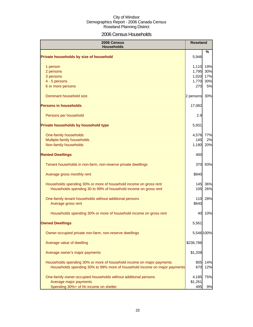### 2006 Census Households

| 2006 Census<br><b>Households</b>                                          |            | <b>Roseland</b> |
|---------------------------------------------------------------------------|------------|-----------------|
| Private households by size of household                                   | 5,946      | ℅               |
| 1 person                                                                  | 1,110      | 19%             |
| 2 persons                                                                 | 1,795      | 30%             |
| 3 persons                                                                 | 1,020      | 17%             |
| 4 - 5 persons                                                             | 1,770      | 30%             |
| 6 or more persons                                                         | 270        | 5%              |
| Dominant household size                                                   | 2 persons  | 30%             |
| <b>Persons in households</b>                                              | 17,082     |                 |
| Persons per household                                                     | 2.9        |                 |
| Private households by household type                                      | 5,931      |                 |
| One-family households                                                     | 4,576      | 77%             |
| Multiple-family households                                                | 145        | 2%              |
| Non-family households                                                     | 1,180      | 20%             |
| <b>Rented Dwellings</b>                                                   | 400        |                 |
| Tenant households in non-farm, non-reserve private dwellings              | 370        | 93%             |
| Average gross monthly rent                                                | \$940      |                 |
| Households spending 30% or more of household income on gross rent         | 145        | 36%             |
| Households spending 30 to 99% of household income on gross rent           | 105        | 26%             |
| One-family tenant households without additional persons                   | 110        | 28%             |
| Average gross rent                                                        | \$640      |                 |
| Households spending 30% or more of household income on gross rent         | 40         | 10%             |
| <b>Owned Dwellings</b>                                                    | 5,561      |                 |
| Owner-occupied private non-farm, non-reserve dwellings                    | 5,546 100% |                 |
| Average value of dwelling                                                 | \$236,786  |                 |
| Average owner's major payments                                            | \$1,208    |                 |
| Households spending 30% or more of household income on major payments     | 805        | 14%             |
| Households spending 30% to 99% more of household income on major payments | 670        | 12%             |
| One-family owner-occupied households without additional persons           | 4,185      | 75%             |
| Average major payments                                                    | \$1,261    |                 |
| Spending 30%+ of hh income on shelter                                     | 495        | 9%              |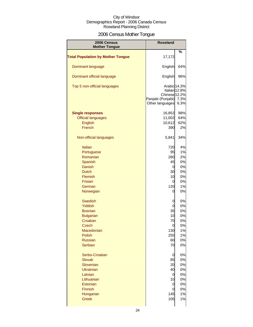# 2006 Census Mother Tongue

| 2006 Census<br><b>Mother Tongue</b>      | <b>Roseland</b>                                                       |                               |
|------------------------------------------|-----------------------------------------------------------------------|-------------------------------|
|                                          |                                                                       | %                             |
| <b>Total Population by Mother Tongue</b> | 17,172                                                                |                               |
| Dominant language                        | English                                                               | 64%                           |
| Dominant official language               | English                                                               | 96%                           |
| Top 5 non-official languages             | Arabic 14.3%<br>Chinese 12.2%<br>Panjabi (Punjabi)<br>Other languages | Italian 12.8%<br>7.3%<br>6.3% |
| <b>Single responses</b>                  | 16,852                                                                | 98%                           |
| <b>Official languages</b>                | 11,002                                                                | 64%                           |
| English                                  | 10,612                                                                | 62%                           |
| French                                   |                                                                       |                               |
|                                          | 390                                                                   | 2%                            |
| Non-official languages                   | 5,841                                                                 | 34%                           |
| <b>Italian</b>                           | 720                                                                   | 4%                            |
| Portuguese                               | 95                                                                    | 1%                            |
| Romanian                                 | 260                                                                   | 2%                            |
| Spanish                                  | 45                                                                    | 0%                            |
|                                          |                                                                       |                               |
| Danish                                   | 0                                                                     | 0%                            |
| <b>Dutch</b>                             | 30                                                                    | 0%                            |
| Flemish                                  | 10                                                                    | 0%                            |
| Frisian                                  | 0                                                                     | 0%                            |
| German                                   | 120                                                                   | 1%                            |
| Norwegian                                | 0                                                                     | 0%                            |
| <b>Swedish</b>                           | 0                                                                     | 0%                            |
| <b>Yiddish</b>                           | 0                                                                     | 0%                            |
| <b>Bosnian</b>                           | 35                                                                    | 0%                            |
| <b>Bulgarian</b>                         | 10                                                                    | 0%                            |
| Croatian                                 | 70                                                                    | 0%                            |
|                                          |                                                                       |                               |
| <b>Czech</b>                             | <sub>0</sub>                                                          | 0%                            |
| Macedonian                               | 130                                                                   | 1%                            |
| Polish                                   | 255                                                                   | 1%                            |
| <b>Russian</b>                           | 60                                                                    | 0%                            |
| <b>Serbian</b>                           | 70                                                                    | 0%                            |
| Serbo-Croatian                           | 0                                                                     | 0%                            |
| <b>Slovak</b>                            | 85                                                                    | 0%                            |
| Slovenian                                | 20                                                                    | 0%                            |
| <b>Ukrainian</b>                         | 40                                                                    | 0%                            |
| Latvian                                  | 0                                                                     | 0%                            |
| Lithuanian                               |                                                                       | 0%                            |
|                                          | 10                                                                    |                               |
| Estonian                                 | 0                                                                     | 0%                            |
| Finnish                                  | 0                                                                     | 0%                            |
| Hungarian                                | 145                                                                   | 1%                            |
| <b>Greek</b>                             | 105                                                                   | 1%                            |
|                                          |                                                                       |                               |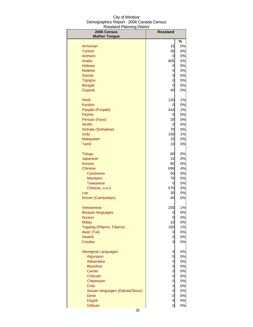| 2006 Census                     | <b>Roseland</b> |    |
|---------------------------------|-----------------|----|
| <b>Mother Tongue</b>            |                 | %  |
| Armenian                        | 15              | 0% |
| <b>Turkish</b>                  | 30              | 0% |
| Amharic                         | 0               | 0% |
| Arabic                          | 805             | 5% |
| <b>Hebrew</b>                   | 0               | 0% |
| <b>Maltese</b>                  | 0               | 0% |
| Somali                          | 0               | 0% |
| Tigrigna                        | 0               | 0% |
| <b>Bengali</b>                  | 0               | 0% |
| Gujarati                        | 40              | 0% |
|                                 |                 |    |
| Hindi                           | 120             | 1% |
| <b>Kurdish</b>                  | 0               | 0% |
| Panjabi (Punjabi)               | 410             | 2% |
| Pashto                          | 0               | 0% |
| Persian (Farsi)                 | 20              | 0% |
| Sindhi                          | 0               | 0% |
| Sinhala (Sinhalese)             | 70              | 0% |
| Urdu                            | 150             | 1% |
| Malayalam                       | 15              | 0% |
| <b>Tamil</b>                    | 10              | 0% |
| <b>Telugu</b>                   | 60              | 0% |
| Japanese                        | 15              | 0% |
| Korean                          | 85              | 0% |
| Chinese                         | 690             | 4% |
| Cantonese                       | 50              | 0% |
| <b>Mandarin</b>                 | 70              | 0% |
| <b>Taiwanese</b>                | 0               | 0% |
| Chinese, n.o.s.                 | 570             | 3% |
| Lao                             | 30              | 0% |
| Khmer (Cambodian)               | 45              | 0% |
| Vietnamese                      | 205             | 1% |
| Bisayan languages               | 0               | 0% |
| Ilocano                         | 0               | 0% |
| <b>Malay</b>                    | 10              | 0% |
| Tagalog (Pilipino, Filipino)    | 150             | 1% |
| Akan (Twi)                      | 0               | 0% |
| Swahili                         | 0               | 0% |
| <b>Creoles</b>                  | 0               | 0% |
| <b>Aboriginal Languages</b>     | 0               | 0% |
| Algonquin                       | 0               | 0% |
| Atikamekw                       | 0               | 0% |
| <b>Blackfoot</b>                | 0               | 0% |
| Carrier                         | 0               | 0% |
| Chilcotin                       | 0               | 0% |
| Chipewyan                       | 0               | 0% |
| <b>Cree</b>                     | 0               | 0% |
| Siouan languages (Dakota/Sioux) | 0               | 0% |
| Dene                            | 0               | 0% |
| <b>Dogrib</b>                   | 0               | 0% |
| Gitksan                         | $\overline{0}$  | 0% |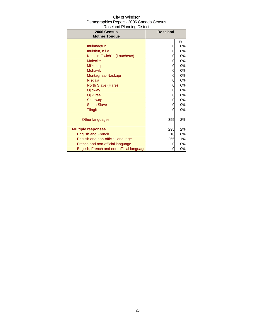| City of Windsor                          |
|------------------------------------------|
| Demographics Report - 2006 Canada Census |
| <b>Roseland Planning District</b>        |

| 2006 Census                               | <b>Roseland</b> |    |
|-------------------------------------------|-----------------|----|
| <b>Mother Tongue</b>                      |                 |    |
|                                           |                 | %  |
| Inuinnagtun                               | 0               | 0% |
| Inuktitut, n.i.e.                         | 0               | 0% |
| Kutchin-Gwich'in (Loucheux)               | 0               | 0% |
| <b>Malecite</b>                           | 0               | 0% |
| Mi'kmaq                                   | 0               | 0% |
| <b>Mohawk</b>                             | 0               | 0% |
| Montagnais-Naskapi                        | 0               | 0% |
| Nisga'a                                   | 0               | 0% |
| North Slave (Hare)                        | 0               | 0% |
| Ojibway                                   | 0               | 0% |
| Oji-Cree                                  | 0               | 0% |
| Shuswap                                   | 0               | 0% |
| <b>South Slave</b>                        | 0               | 0% |
| <b>Tlingit</b>                            | 0               | 0% |
| Other languages                           | 355             | 2% |
| <b>Multiple responses</b>                 | 295             | 2% |
| <b>English and French</b>                 | 10              | 0% |
| English and non-official language         | 255             | 1% |
| French and non-official language          | 0               | 0% |
| English, French and non-official language | 0               | 0% |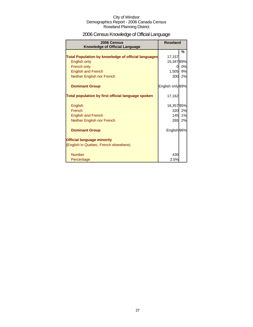# 2006 Census Knowledge of Official Language

| 2006 Census<br><b>Knowledge of Official Language</b>       | <b>Roseland</b>  |    |
|------------------------------------------------------------|------------------|----|
|                                                            |                  | %  |
| <b>Total Population by knowledge of official languages</b> | 17,157           |    |
| English only                                               | 15,34789%        |    |
| French only                                                | 0                | 0% |
| <b>English and French</b>                                  | 1,505            | 9% |
| Neither English nor French                                 | 300              | 2% |
| <b>Dominant Group</b>                                      | English only 89% |    |
| Total population by first official language spoken         | 17,162           |    |
| English                                                    | 16,35795%        |    |
| French                                                     | 320              | 2% |
| <b>English and French</b>                                  | 145              | 1% |
| Neither English nor French                                 | 265              | 2% |
| <b>Dominant Group</b>                                      | English 96%      |    |
| <b>Official language minority</b>                          |                  |    |
| (English in Quebec, French elsewhere)                      |                  |    |
| <b>Number</b>                                              | 430              |    |
| Percentage                                                 | 2.5%             |    |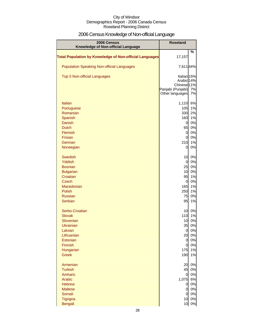# 2006 Census Knowledge of Non-official Language

| 2006 Census<br>Knowledge of Non-official Language              | <b>Roseland</b>                      |          |
|----------------------------------------------------------------|--------------------------------------|----------|
| <b>Total Population by Knowledge of Non-official Languages</b> | 17,157                               | %        |
|                                                                |                                      |          |
| <b>Population Speaking Non-official Languages</b>              | 7,611 44%                            |          |
| Top 5 Non-official Languages                                   | Italian <sub>15%</sub>               |          |
|                                                                | Arabic 14%<br>Chinese <sup>11%</sup> |          |
|                                                                | Panjabi (Punjabi)                    | 7%       |
|                                                                | Other languages                      | 7%       |
| <b>Italian</b>                                                 | 1,110                                | 6%       |
| Portuguese                                                     | 105                                  | 1%       |
| Romanian                                                       | 330<br>160                           | 2%<br>1% |
| Spanish<br><b>Danish</b>                                       | $\overline{0}$                       | 0%       |
| <b>Dutch</b>                                                   | 65                                   | 0%       |
| <b>Flemish</b>                                                 | $\overline{0}$                       | 0%       |
| <b>Frisian</b>                                                 | $\overline{0}$                       | 0%       |
| German                                                         | 210                                  | 1%       |
| Norwegian                                                      | 0                                    | 0%       |
| <b>Swedish</b>                                                 | 10                                   | 0%       |
| Yiddish<br><b>Bosnian</b>                                      | $\overline{0}$<br>25                 | 0%<br>0% |
| <b>Bulgarian</b>                                               | 10                                   | 0%       |
| Croatian                                                       | 95                                   | 1%       |
| <b>Czech</b>                                                   | $\overline{0}$                       | 0%       |
| Macedonian                                                     | 165                                  | 1%       |
| <b>Polish</b>                                                  | 250                                  | 1%       |
| <b>Russian</b>                                                 | 75<br>95                             | 0%       |
| <b>Serbian</b>                                                 |                                      | 1%       |
| Serbo-Croatian                                                 | 10                                   | 0%       |
| <b>Slovak</b><br>Slovenian                                     | 110<br>10                            | 1%<br>0% |
| Ukrainian                                                      | 35                                   | 0%       |
| Latvian                                                        | $\overline{0}$                       | 0%       |
| Lithuanian                                                     | 20                                   | 0%       |
| Estonian                                                       | $\overline{0}$                       | 0%       |
| Finnish                                                        | $\overline{0}$                       | 0%       |
| Hungarian<br><b>Greek</b>                                      | 175<br>190                           | 1%<br>1% |
|                                                                |                                      |          |
| Armenian                                                       | 20                                   | 0%       |
| <b>Turkish</b><br>Amharic                                      | 45<br>$\overline{0}$                 | 0%<br>0% |
| Arabic                                                         | 1,075                                | 6%       |
| <b>Hebrew</b>                                                  | $\overline{0}$                       | 0%       |
| <b>Maltese</b>                                                 | 0                                    | 0%       |
| Somali                                                         | 0                                    | 0%       |
| Tigrigna                                                       | 10                                   | 0%       |
| Bengali                                                        | 10                                   | 0%       |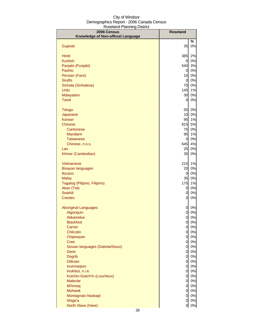| 2006 Census                            | <b>Roseland</b>                  |          |
|----------------------------------------|----------------------------------|----------|
| Knowledge of Non-official Language     |                                  |          |
|                                        |                                  | %        |
| Gujarati                               | 35                               | 0%       |
| Hindi                                  | 385                              | 2%       |
| <b>Kurdish</b>                         | 0                                | 0%       |
| Panjabi (Punjabi)                      | 540                              | 3%       |
| Pashto                                 | 0                                | 0%       |
| Persian (Farsi)                        | 10                               | 0%       |
| Sindhi                                 | 0                                | 0%       |
| Sinhala (Sinhalese)                    | 70                               | 0%       |
| Urdu                                   | 145                              | 1%       |
| Malayalam                              | 30                               | 0%       |
| Tamil                                  | 0                                | 0%       |
| <b>Telugu</b>                          | 55                               | 0%       |
| Japanese                               | 10                               | 0%       |
| Korean                                 | 95                               | 1%       |
| <b>Chinese</b>                         | 815                              | 5%       |
| Cantonese                              | 75                               | 0%       |
| <b>Mandarin</b>                        | 95                               | 1%       |
| <b>Taiwanese</b>                       | 0                                | 0%       |
| Chinese, n.o.s.                        | 645                              | 4%       |
| Lao                                    | 25                               | 0%       |
| Khmer (Cambodian)                      | 35                               | 0%       |
|                                        |                                  |          |
| Vietnamese<br><b>Bisayan languages</b> | 215<br>20                        | 1%<br>0% |
| <b>Ilocano</b>                         | 0                                | 0%       |
| <b>Malay</b>                           | 35                               | 0%       |
| Tagalog (Pilipino, Filipino)           | 175                              | 1%       |
| Akan (Twi)                             | 0                                | 0%       |
| Swahili                                | 0                                | 0%       |
| <b>Creoles</b>                         | 0                                | 0%       |
|                                        |                                  |          |
| <b>Aboriginal Languages</b>            | 0                                | 0%       |
| Algonquin                              | 0                                | 0%<br>0% |
| Atikamekw<br><b>Blackfoot</b>          | $\overline{0}$<br>$\overline{0}$ | 0%       |
| Carrier                                | $\overline{0}$                   | 0%       |
| Chilcotin                              | $\overline{0}$                   | 0%       |
| Chipewyan                              | $\overline{0}$                   | 0%       |
| <b>Cree</b>                            | $\overline{0}$                   | 0%       |
| Siouan languages (Dakota/Sioux)        | $\overline{0}$                   | 0%       |
| Dene                                   | $\overline{0}$                   | 0%       |
| <b>Dogrib</b>                          | $\overline{0}$                   | 0%       |
| Gitksan                                | $\overline{0}$                   | 0%       |
| Inuinnaqtun<br>Inuktitut, n.i.e.       | 0                                | 0%<br>0% |
| Kutchin-Gwich'in (Loucheux)            | 0<br>0                           | 0%       |
| <b>Malecite</b>                        | 0                                | 0%       |
| Mi'kmaq                                | 0                                | 0%       |
| <b>Mohawk</b>                          | 0                                | 0%       |
| Montagnais-Naskapi                     | 0                                | 0%       |
| Nisga'a                                | 0                                | 0%       |
| North Slave (Hare)                     | 0                                | 0%       |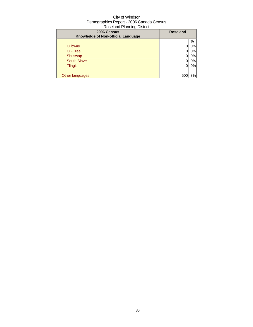| 2006 Census<br>Knowledge of Non-official Language | <b>Roseland</b> |    |
|---------------------------------------------------|-----------------|----|
|                                                   |                 | %  |
| Ojibway                                           |                 | 0% |
| Oji-Cree                                          |                 | 0% |
| Shuswap                                           |                 | 0% |
| <b>South Slave</b>                                |                 | 0% |
| <b>Tlingit</b>                                    | 0               | 0% |
|                                                   |                 |    |
| Other languages                                   | 50              | 3% |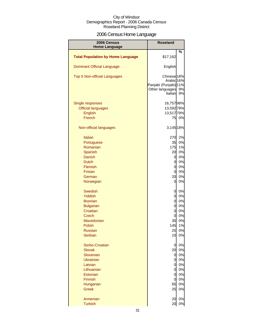# 2006 Census Home Language

| 2006 Census<br><b>Home Language</b>      | <b>Roseland</b>                                                                             |          |
|------------------------------------------|---------------------------------------------------------------------------------------------|----------|
|                                          |                                                                                             | %        |
| <b>Total Population by Home Language</b> | \$17,162                                                                                    |          |
| <b>Dominant Official Language</b>        | English                                                                                     |          |
| Top 5 Non-official Languages             | Chinese <sup>18%</sup><br>Arabic 16%<br>Panjabi (Punjabi) 11%<br>Other languages<br>Italian | 9%<br>9% |
| Single responses                         | 16,75798%                                                                                   |          |
| <b>Official languages</b>                | 13,592 79%                                                                                  |          |
| <b>English</b>                           | 13,517 79%                                                                                  |          |
| French                                   | 75                                                                                          | 0%       |
| Non-official languages                   | 3,145 18%                                                                                   |          |
| <b>Italian</b>                           | 270                                                                                         | 2%       |
| Portuguese                               | 35                                                                                          | 0%       |
| Romanian                                 | 175                                                                                         | 1%       |
| <b>Spanish</b>                           | 20                                                                                          | 0%       |
| Danish                                   | 0                                                                                           | 0%       |
| <b>Dutch</b>                             | 0                                                                                           | 0%       |
| Flemish                                  | $\mathbf 0$                                                                                 | 0%       |
| Frisian                                  | $\mathbf 0$                                                                                 | 0%       |
| German                                   | 20                                                                                          | 0%       |
| Norwegian                                | 0                                                                                           | 0%       |
| <b>Swedish</b>                           | 0                                                                                           | 0%       |
| <b>Yiddish</b>                           | $\mathbf 0$                                                                                 | 0%       |
| <b>Bosnian</b>                           | $\mathbf 0$                                                                                 | 0%       |
| <b>Bulgarian</b>                         | $\mathbf 0$                                                                                 | 0%       |
| Croatian                                 | $\mathbf 0$                                                                                 | 0%       |
| <b>Czech</b>                             | $\mathbf 0$                                                                                 | 0%       |
| Macedonian                               | 35                                                                                          | 0%       |
| Polish                                   | 145                                                                                         | $1\%$    |
| <b>Russian</b>                           | 25                                                                                          | 0%       |
| <b>Serbian</b>                           | 10                                                                                          | 0%       |
| Serbo-Croatian                           | 0                                                                                           | 0%       |
| <b>Slovak</b>                            | 20                                                                                          | 0%       |
| Slovenian                                | 0                                                                                           | 0%       |
| <b>Ukrainian</b>                         | $\mathbf 0$                                                                                 | 0%       |
| Latvian                                  | 0                                                                                           | 0%       |
| Lithuanian                               | 0                                                                                           | 0%       |
| Estonian                                 | 0                                                                                           | 0%       |
| Finnish                                  | 0                                                                                           | 0%       |
| Hungarian                                | 65                                                                                          | 0%       |
| <b>Greek</b>                             | 25                                                                                          | 0%       |
| Armenian                                 | 20                                                                                          | 0%       |
| <b>Turkish</b>                           | 20                                                                                          | 0%       |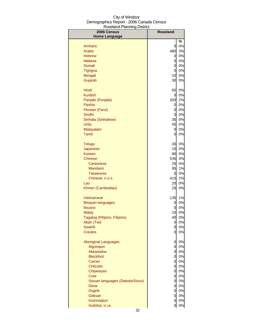| 2006 Census<br><b>Home Language</b> | <b>Roseland</b> |       |
|-------------------------------------|-----------------|-------|
|                                     |                 | %     |
| Amharic                             | 0               | 0%    |
| Arabic                              | 480             | 3%    |
| <b>Hebrew</b>                       | 0               | 0%    |
| <b>Maltese</b>                      | 0               | 0%    |
| Somali                              | 0               | 0%    |
| <b>Tigrigna</b>                     | $\overline{0}$  | 0%    |
| Bengali                             | 10              | 0%    |
| Gujarati                            | 30              | 0%    |
|                                     |                 |       |
| Hindi                               | 65              | 0%    |
| <b>Kurdish</b>                      | 0               | 0%    |
| Panjabi (Punjabi)                   | 320             | 2%    |
| Pashto                              | 0               | 0%    |
| Persian (Farsi)                     | 0               | 0%    |
| Sindhi                              | 0               | 0%    |
| Sinhala (Sinhalese)                 | 35              | 0%    |
| Urdu                                | 55              | 0%    |
| Malayalam                           | 0               | 0%    |
| Tamil                               | 0               | $0\%$ |
| <b>Telugu</b>                       | 30              | 0%    |
| Japanese                            | 10              | 0%    |
| Korean                              | 80              | 0%    |
| <b>Chinese</b>                      | 535             | 3%    |
| Cantonese                           | 25              | 0%    |
| <b>Mandarin</b>                     | 95              | 1%    |
|                                     |                 | 0%    |
| Taiwanese                           | 0<br>415        | 2%    |
| Chinese, n.o.s.                     |                 | 0%    |
| Lao<br>Khmer (Cambodian)            | 20<br>25        | 0%    |
|                                     |                 |       |
| Vietnamese                          | 135             | 1%    |
| <b>Bisayan languages</b>            | 0               | 0%    |
| <b>Ilocano</b>                      | 0               | 0%    |
| <b>Malay</b>                        | 10              | 0%    |
| Tagalog (Pilipino, Filipino)        | 40              | 0%    |
| Akan (Twi)                          | 0               | $0\%$ |
| Swahili                             | 0               | $0\%$ |
| <b>Creoles</b>                      | $\pmb{0}$       | $0\%$ |
| <b>Aboriginal Languages</b>         | $\mathbf 0$     | 0%    |
| Algonquin                           | $\overline{0}$  | 0%    |
| Atikamekw                           | $\overline{O}$  | 0%    |
| <b>Blackfoot</b>                    | $\overline{O}$  | 0%    |
| Carrier                             | $\overline{0}$  | 0%    |
| Chilcotin                           | $\overline{0}$  | 0%    |
| Chipewyan                           | $\overline{0}$  | 0%    |
| <b>Cree</b>                         | $\overline{0}$  | 0%    |
| Siouan languages (Dakota/Sioux)     | $\overline{O}$  | 0%    |
| Dene                                | $\overline{O}$  | 0%    |
| Dogrib                              | $\overline{0}$  | 0%    |
| Gitksan                             | $\overline{0}$  | 0%    |
| Inuinnaqtun                         | $\overline{0}$  | 0%    |
| Inuktitut, n.i.e.                   | 0               | $0\%$ |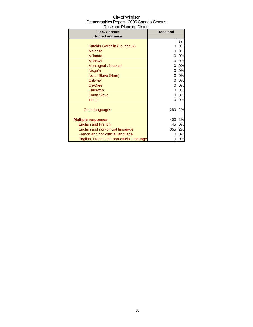| City of Windsor                          |
|------------------------------------------|
| Demographics Report - 2006 Canada Census |
| Roseland Planning District               |

| n coocidi id i lidili ili ig Diotriot<br>2006 Census | <b>Roseland</b> |    |
|------------------------------------------------------|-----------------|----|
| <b>Home Language</b>                                 |                 |    |
|                                                      |                 | %  |
| Kutchin-Gwich'in (Loucheux)                          | 0               | 0% |
| <b>Malecite</b>                                      | 0               | 0% |
| Mi'kmaq                                              | 0               | 0% |
| <b>Mohawk</b>                                        | 0               | 0% |
| Montagnais-Naskapi                                   | 0               | 0% |
| Nisga'a                                              | 0               | 0% |
| North Slave (Hare)                                   | 0               | 0% |
| Ojibway                                              | 0               | 0% |
| Oji-Cree                                             | 0               | 0% |
| Shuswap                                              | 0               | 0% |
| <b>South Slave</b>                                   | 0               | 0% |
| <b>Tlingit</b>                                       | 0               | 0% |
|                                                      |                 |    |
| Other languages                                      | 280             | 2% |
|                                                      |                 |    |
| <b>Multiple responses</b>                            | 400             | 2% |
| <b>English and French</b>                            | 45              | 0% |
| English and non-official language                    | 355             | 2% |
| French and non-official language                     | 0               | 0% |
| English, French and non-official language            | 0               | 0% |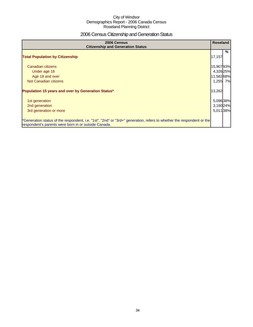# 2006 Census Citizenship and Generation Status

| 2006 Census<br><b>Citizenship and Generation Status</b>                                                                                                                       | <b>Roseland</b> |   |
|-------------------------------------------------------------------------------------------------------------------------------------------------------------------------------|-----------------|---|
| <b>Total Population by Citizenship</b>                                                                                                                                        | 17,157          | % |
| Canadian citizens                                                                                                                                                             | 15,90793%       |   |
| Under age 18                                                                                                                                                                  | 4,32625%        |   |
| Age 18 and over                                                                                                                                                               | 11,582 68%      |   |
| Not Canadian citizens                                                                                                                                                         | 1,255 7%        |   |
| Population 15 years and over by Generation Status*                                                                                                                            | 13,262          |   |
| 1st generation                                                                                                                                                                | 5,096 38%       |   |
| 2nd generation                                                                                                                                                                | 3,16024%        |   |
| 3rd generation or more                                                                                                                                                        | 5,011 38%       |   |
| *Generation status of the respondent, i.e. "1st", "2nd" or "3rd+" generation, refers to whether the respondent or the<br>respondent's parents were born in or outside Canada. |                 |   |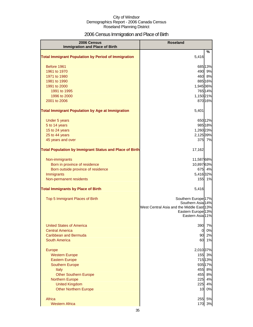# 2006 Census Immigration and Place of Birth

| 2006 Census                                                    | <b>Roseland</b>                           |         |
|----------------------------------------------------------------|-------------------------------------------|---------|
| <b>Immigration and Place of Birth</b>                          |                                           |         |
| <b>Total Immigrant Population by Period of Immigration</b>     | 5,416                                     | %       |
|                                                                |                                           |         |
| Before 1961                                                    |                                           | 685 13% |
| 1961 to 1970                                                   | 490                                       | 9%      |
| 1971 to 1980                                                   | 460                                       | 8%      |
| 1981 to 1990                                                   |                                           | 885 16% |
| 1991 to 2000                                                   | 1,945 36%                                 |         |
| 1991 to 1995                                                   |                                           | 765 14% |
| 1996 to 2000<br>2001 to 2006                                   | 1,15021%                                  | 870 16% |
|                                                                |                                           |         |
| <b>Total Immigrant Population by Age at Immigration</b>        | 5,401                                     |         |
| <b>Under 5 years</b>                                           | 650 12%                                   |         |
| 5 to 14 years                                                  | 985 18%                                   |         |
| 15 to 24 years                                                 | 1,260 23%                                 |         |
| 25 to 44 years                                                 | 2,125 39%                                 |         |
| 45 years and over                                              |                                           | 375 7%  |
|                                                                |                                           |         |
| <b>Total Population by Immigrant Status and Place of Birth</b> | 17,162                                    |         |
| Non-immigrants                                                 | 11,587 68%                                |         |
| Born in province of residence                                  | 10,897 63%                                |         |
| Born outside province of residence                             |                                           | 675 4%  |
| Immigrants                                                     | 5,416 32%                                 |         |
| Non-permanent residents                                        |                                           | 155 1%  |
| <b>Total Immigrants by Place of Birth</b>                      | 5,416                                     |         |
| Top 5 Immigrant Places of Birth                                | Southern Europe <sup>17%</sup>            |         |
|                                                                | Southern Asia 14%                         |         |
|                                                                | West Central Asia and the Middle East 13% |         |
|                                                                | Eastern Europe <sup>13%</sup>             |         |
|                                                                | Eastern Asia 11%                          |         |
| <b>United States of America</b>                                | 390                                       | 7%      |
| <b>Central America</b>                                         | $\overline{0}$                            | 0%      |
| Caribbean and Bermuda                                          | 90                                        | 2%      |
| South America                                                  | 60                                        | 1%      |
| Europe                                                         | 2,010 37%                                 |         |
| <b>Western Europe</b>                                          | 155                                       | 3%      |
| <b>Eastern Europe</b>                                          |                                           | 715 13% |
| <b>Southern Europe</b>                                         |                                           | 935 17% |
| Italy                                                          | 455                                       | 8%      |
| <b>Other Southern Europe</b>                                   | 455                                       | 8%      |
| <b>Northern Europe</b>                                         | 225                                       | 4%      |
| <b>United Kingdom</b>                                          | 225                                       | 4%      |
| <b>Other Northern Europe</b>                                   | 10                                        | 0%      |
| Africa                                                         | 255                                       | 5%      |
| <b>Western Africa</b>                                          | 170                                       | 3%      |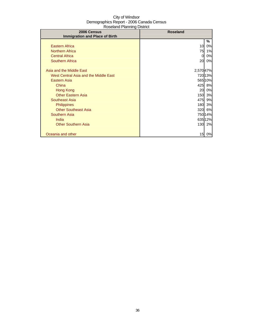| 2006 Census                           | <b>Roseland</b> |         |
|---------------------------------------|-----------------|---------|
| <b>Immigration and Place of Birth</b> |                 |         |
|                                       |                 | %       |
| <b>Eastern Africa</b>                 | 10              | 0%      |
| <b>Northern Africa</b>                | 75              | 1%      |
| <b>Central Africa</b>                 | 0               | 0%      |
| <b>Southern Africa</b>                | 20              | 0%      |
|                                       |                 |         |
| Asia and the Middle East              | 2,570 47%       |         |
| West Central Asia and the Middle East |                 | 720 13% |
| Eastern Asia                          |                 | 565 10% |
| China                                 | 425             | 8%      |
| <b>Hong Kong</b>                      | 20              | 0%      |
| <b>Other Eastern Asia</b>             | 150             | 3%      |
| Southeast Asia                        | 475             | 9%      |
| <b>Philippines</b>                    | 180             | 3%      |
| <b>Other Southeast Asia</b>           | 320             | 6%      |
| <b>Southern Asia</b>                  |                 | 750 14% |
| India                                 |                 | 635 12% |
| <b>Other Southern Asia</b>            |                 | 130 2%  |
|                                       |                 |         |
| Oceania and other                     | 15              | 0%      |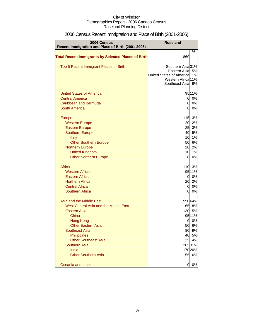| 2006 Census<br>Recent Immigration and Place of Birth (2001-2006) | <b>Roseland</b>                         |         |
|------------------------------------------------------------------|-----------------------------------------|---------|
|                                                                  |                                         | %       |
| <b>Total Recent Immigrants by Selected Places of Birth</b>       | 860                                     |         |
| Top 5 Recent Immigrant Places of Birth                           | Southern Asia 31%                       |         |
|                                                                  | Eastern Asia 15%                        |         |
|                                                                  | United States of America <sup>11%</sup> |         |
|                                                                  | Western Africa 11%<br>Southeast Asia 9% |         |
|                                                                  |                                         |         |
| <b>United States of America</b>                                  |                                         | 95 11%  |
| <b>Central America</b>                                           | 01                                      | 0%      |
| Caribbean and Bermuda                                            | 0l                                      | 0%      |
| <b>South America</b>                                             | 0                                       | 0%      |
| <b>Europe</b>                                                    |                                         | 115 13% |
| <b>Western Europe</b>                                            | 20                                      | 2%      |
| <b>Eastern Europe</b>                                            | 25                                      | 3%      |
| <b>Southern Europe</b>                                           | 40                                      | 5%      |
| Italy                                                            | 10                                      | 1%      |
| <b>Other Southern Europe</b>                                     | 50                                      | 6%      |
| <b>Northern Europe</b>                                           | 20                                      | 2%      |
| <b>United Kingdom</b>                                            | 10                                      | 1%      |
| <b>Other Northern Europe</b>                                     | 0                                       | 0%      |
| Africa                                                           |                                         | 110 13% |
| <b>Western Africa</b>                                            |                                         | 95 11%  |
| <b>Eastern Africa</b>                                            | 0I                                      | 0%      |
| <b>Northern Africa</b>                                           | 20                                      | 2%      |
| <b>Central Africa</b>                                            | 01                                      | 0%      |
| <b>Southern Africa</b>                                           | <sup>O</sup>                            | 0%      |
| Asia and the Middle East                                         |                                         | 550 64% |
| West Central Asia and the Middle East                            | 65                                      | 8%      |
| <b>Eastern Asia</b>                                              |                                         | 130 15% |
| China                                                            |                                         | 95 11%  |
| <b>Hong Kong</b>                                                 | 01                                      | 0%      |
| <b>Other Eastern Asia</b>                                        | 50                                      | 6%      |
| Southeast Asia                                                   | 80                                      | 9%      |
| Philippines                                                      | 40                                      | 5%      |
| <b>Other Southeast Asia</b>                                      | 35                                      | 4%      |
| Southern Asia                                                    |                                         | 265 31% |
| India                                                            |                                         | 170 20% |
| <b>Other Southern Asia</b>                                       | 55                                      | 6%      |
| Oceania and other                                                | 0                                       | 0%      |

# 2006 Census Recent Immigration and Place of Birth (2001-2006)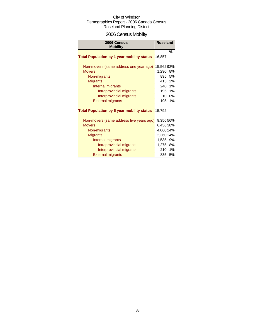# 2006 Census Mobility

| 2006 Census<br><b>Mobility</b>                    | <b>Roseland</b> |    |
|---------------------------------------------------|-----------------|----|
|                                                   |                 | %  |
| <b>Total Population by 1 year mobility status</b> | 16,857          |    |
| Non-movers (same address one year ago)            | 15,56292%       |    |
| <b>Movers</b>                                     | 1,290           | 8% |
| Non-migrants                                      | 895             | 5% |
| <b>Migrants</b>                                   | 415             | 2% |
| Internal migrants                                 | 240             | 1% |
| Intraprovincial migrants                          | 195             | 1% |
| Interprovincial migrants                          | 10              | 0% |
| <b>External migrants</b>                          | 195             | 1% |
| <b>Total Population by 5 year mobility status</b> | 15,792          |    |
| Non-movers (same address five years ago)          | 9,35656%        |    |
| <b>Movers</b>                                     | 6,436 38%       |    |
| Non-migrants                                      | 4,060 24%       |    |
| <b>Migrants</b>                                   | 2,360 14%       |    |
| Internal migrants                                 | 1,535           | 9% |
| Intraprovincial migrants                          | 1,275           | 8% |
| Interprovincial migrants                          | 210             | 1% |
| <b>External migrants</b>                          | 835             | 5% |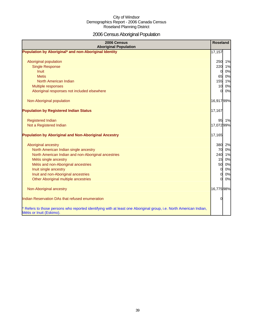# 2006 Census Aboriginal Population

| 2006 Census<br><b>Aboriginal Population</b>                                                                                                                                                                                                                                                 | <b>Roseland</b>                            |                                                         |
|---------------------------------------------------------------------------------------------------------------------------------------------------------------------------------------------------------------------------------------------------------------------------------------------|--------------------------------------------|---------------------------------------------------------|
| Population by Aboriginal* and non-Aboriginal Identity                                                                                                                                                                                                                                       | 17,157                                     |                                                         |
| Aboriginal population<br><b>Single Response</b><br><b>Inuit</b><br><b>Metis</b><br>North American Indian                                                                                                                                                                                    | 220<br>0                                   | 250 1%<br>1%<br>0%<br>65 0%<br>155 1%                   |
| Multiple responses                                                                                                                                                                                                                                                                          | 10                                         | 0%                                                      |
| Aboriginal responses not included elsewhere                                                                                                                                                                                                                                                 | $\Omega$                                   | 0%                                                      |
| Non-Aboriginal population                                                                                                                                                                                                                                                                   | 16,91799%                                  |                                                         |
| <b>Population by Registered Indian Status</b>                                                                                                                                                                                                                                               | 17,167                                     |                                                         |
| <b>Registered Indian</b><br>Not a Registered Indian                                                                                                                                                                                                                                         | 95<br>17,072 99%                           | 1%                                                      |
| <b>Population by Aboriginal and Non-Aboriginal Ancestry</b>                                                                                                                                                                                                                                 | 17,165                                     |                                                         |
| Aboriginal ancestry<br>North American Indian single ancestry<br>North American Indian and non-Aboriginal ancestries<br>Métis single ancestry<br>Métis and non-Aboriginal ancestries<br>Inuit single ancestry<br>Inuit and non-Aboriginal ancestries<br>Other Aboriginal multiple ancestries | 15<br>50<br>$\mathbf{0}$<br>$\Omega$<br>ΩI | 380 2%<br>70 0%<br>240 1%<br>0%<br>0%<br>0%<br>0%<br>0% |
| Non-Aboriginal ancestry                                                                                                                                                                                                                                                                     | 16,77598%                                  |                                                         |
| Indian Reservation DAs that refused enumeration                                                                                                                                                                                                                                             | $\Omega$                                   |                                                         |
| * Refers to those persons who reported identifying with at least one Aboriginal group, i.e. North American Indian,<br>Métis or Inuit (Eskimo).                                                                                                                                              |                                            |                                                         |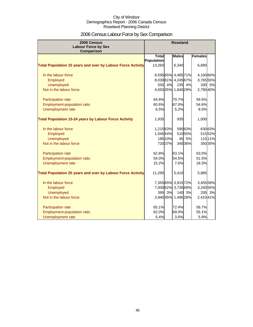# 2006 Census Labour Force by Sex Comparison

| 2006 Census                                                        |                      |         | <b>Roseland</b>     |         |                |         |
|--------------------------------------------------------------------|----------------------|---------|---------------------|---------|----------------|---------|
| <b>Labour Force by Sex</b><br>Comparison                           |                      |         |                     |         |                |         |
|                                                                    | <b>Total</b>         |         | <b>Males</b>        |         | <b>Females</b> |         |
| <b>Total Population 15 years and over by Labour Force Activity</b> | Population<br>13,260 |         | 6,340               |         | 6,890          |         |
|                                                                    |                      |         |                     |         |                |         |
| In the labour force                                                |                      |         | 8,595 65% 4,485 71% |         | 4,100 60%      |         |
| Employed                                                           |                      |         | 8,030 61% 4,245 67% |         | 3,765 55%      |         |
| <b>Unemployed</b>                                                  | 555                  | 4%      |                     | 235 4%  | 330            | 5%      |
| Not in the labour force                                            |                      |         | 4,65035% 1,840 29%  |         | 2,790 40%      |         |
| Participation rate                                                 | 64.8%                |         | 70.7%               |         | 59.5%          |         |
| Employment-population ratio                                        | 60.6%                |         | 67.0%               |         | 54.6%          |         |
| Unemployment rate                                                  | 6.5%                 |         | 5.2%                |         | 8.0%           |         |
| <b>Total Population 15-24 years by Labour Force Activity</b>       | 1,935                |         | 935                 |         | 1,000          |         |
| In the labour force                                                | 1,21563%             |         |                     | 59063%  |                | 630 63% |
| Employed                                                           | 1,04554%             |         |                     | 51055%  |                | 51552%  |
| <b>Unemployed</b>                                                  |                      | 185 10% |                     | 45 5%   |                | 115 11% |
| Not in the labour force                                            |                      | 72037%  |                     | 340 36% |                | 350 35% |
| Participation rate                                                 | 62.8%                |         | 63.1%               |         | 63.0%          |         |
| Employment-population ratio                                        | 54.0%                |         | 54.5%               |         | 51.5%          |         |
| Unemployment rate                                                  | 15.2%                |         | 7.6%                |         | 18.3%          |         |
| <b>Total Population 25 years and over by Labour Force Activity</b> | 11,290               |         | 5,410               |         | 5,885          |         |
| In the labour force                                                |                      |         | 7,35565% 3,91572%   |         | 3,455 59%      |         |
| Employed                                                           |                      |         | 7,000 62% 3,735 69% |         | 3,240 55%      |         |
| <b>Unemployed</b>                                                  | 395                  | 3%      |                     | 140 3%  | 205            | 3%      |
| Not in the labour force                                            |                      |         | 3,940 35% 1,495 28% |         | 2,410 41%      |         |
| Participation rate                                                 | 65.1%                |         | 72.4%               |         | 58.7%          |         |
| <b>Employment-population ratio</b>                                 | 62.0%                |         | 69.0%               |         | 55.1%          |         |
| Unemployment rate                                                  | 5.4%                 |         | 3.6%                |         | 5.9%           |         |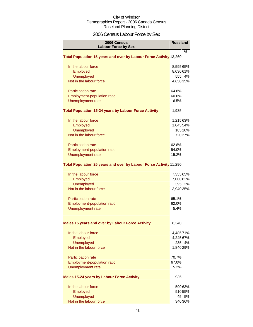# 2006 Census Labour Force by Sex

| 2006 Census<br><b>Labour Force by Sex</b>                          |           | <b>Roseland</b> |
|--------------------------------------------------------------------|-----------|-----------------|
|                                                                    |           | %               |
| Total Population 15 years and over by Labour Force Activity 13,260 |           |                 |
| In the labour force                                                | 8,595 65% |                 |
| Employed                                                           | 8,03061%  |                 |
| <b>Unemployed</b>                                                  |           | 555 4%          |
| Not in the labour force                                            | 4,650 35% |                 |
| Participation rate                                                 | 64.8%     |                 |
| Employment-population ratio                                        | 60.6%     |                 |
| Unemployment rate                                                  | 6.5%      |                 |
| <b>Total Population 15-24 years by Labour Force Activity</b>       | 1,935     |                 |
| In the labour force                                                | 1,215 63% |                 |
| Employed                                                           | 1,045 54% |                 |
| <b>Unemployed</b>                                                  |           | 185 10%         |
| Not in the labour force                                            |           | 720 37%         |
| Participation rate                                                 | 62.8%     |                 |
| Employment-population ratio                                        | 54.0%     |                 |
| Unemployment rate                                                  | 15.2%     |                 |
| Total Population 25 years and over by Labour Force Activity 11,290 |           |                 |
| In the labour force                                                | 7,355 65% |                 |
| Employed                                                           | 7,000 62% |                 |
| <b>Unemployed</b>                                                  |           | 395 3%          |
| Not in the labour force                                            | 3,940 35% |                 |
| <b>Participation rate</b>                                          | 65.1%     |                 |
| <b>Employment-population ratio</b>                                 | 62.0%     |                 |
| <b>Unemployment rate</b>                                           | 5.4%      |                 |
| Males 15 years and over by Labour Force Activity                   | 6,340     |                 |
| In the labour force                                                | 4,485 71% |                 |
| Employed                                                           | 4,245 67% |                 |
| <b>Unemployed</b>                                                  |           | 235 4%          |
| Not in the labour force                                            | 1,840 29% |                 |
| Participation rate                                                 | 70.7%     |                 |
| <b>Employment-population ratio</b>                                 | 67.0%     |                 |
| <b>Unemployment rate</b>                                           | 5.2%      |                 |
| <b>Males 15-24 years by Labour Force Activity</b>                  | 935       |                 |
| In the labour force                                                |           | 59063%          |
| Employed                                                           |           | 51055%          |
| <b>Unemployed</b>                                                  |           | 45 5%           |
| Not in the labour force                                            |           | 340 36%         |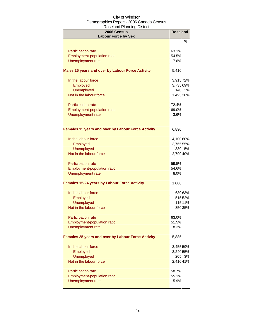| 2006 Census<br><b>Labour Force by Sex</b>           | <b>Roseland</b> |         |
|-----------------------------------------------------|-----------------|---------|
|                                                     |                 | $\%$    |
| Participation rate                                  | 63.1%           |         |
| Employment-population ratio                         | 54.5%           |         |
| Unemployment rate                                   | 7.6%            |         |
| Males 25 years and over by Labour Force Activity    | 5,410           |         |
| In the labour force                                 | 3,915 72%       |         |
| Employed                                            | 3,73569%        |         |
| <b>Unemployed</b>                                   |                 | 140 3%  |
| Not in the labour force                             | 1,495 28%       |         |
| Participation rate                                  | 72.4%           |         |
| Employment-population ratio                         | 69.0%           |         |
| Unemployment rate                                   | 3.6%            |         |
| Females 15 years and over by Labour Force Activity  | 6,890           |         |
| In the labour force                                 | 4,100 60%       |         |
| Employed                                            | 3,765 55%       |         |
| <b>Unemployed</b>                                   |                 | 330 5%  |
| Not in the labour force                             | 2,790 40%       |         |
| Participation rate                                  | 59.5%           |         |
| Employment-population ratio                         | 54.6%           |         |
| Unemployment rate                                   | 8.0%            |         |
| <b>Females 15-24 years by Labour Force Activity</b> | 1,000           |         |
| In the labour force                                 |                 | 630 63% |
| Employed                                            |                 | 51552%  |
| <b>Unemployed</b>                                   |                 | 11511%  |
| Not in the labour force                             |                 | 350 35% |
| <b>Participation rate</b>                           | 63.0%           |         |
| <b>Employment-population ratio</b>                  | 51.5%           |         |
| <b>Unemployment rate</b>                            | 18.3%           |         |
| Females 25 years and over by Labour Force Activity  | 5,885           |         |
| In the labour force                                 | 3,455 59%       |         |
| Employed                                            | 3,240 55%       |         |
| <b>Unemployed</b>                                   |                 | 205 3%  |
| Not in the labour force                             | 2,410 41%       |         |
| <b>Participation rate</b>                           | 58.7%           |         |
| <b>Employment-population ratio</b>                  | 55.1%           |         |
| Unemployment rate                                   | 5.9%            |         |
|                                                     |                 |         |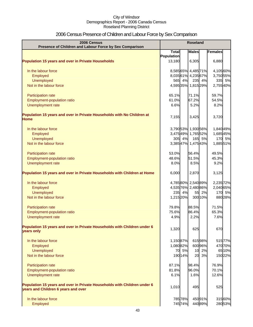# 2006 Census Presence of Children and Labour Force by Sex Comparison

| 2006 Census<br>Presence of Children and Labour Force by Sex Comparison                                          | <b>Roseland</b> |                     |              |         |           |
|-----------------------------------------------------------------------------------------------------------------|-----------------|---------------------|--------------|---------|-----------|
|                                                                                                                 | <b>Total</b>    |                     | <b>Males</b> |         | Females   |
|                                                                                                                 | Population      |                     |              |         |           |
| <b>Population 15 years and over in Private Households</b>                                                       | 13,180          |                     | 6,305        |         | 6,880     |
| In the labour force                                                                                             |                 | 8,58565% 4,48571%   |              |         | 4,10560%  |
| Employed                                                                                                        |                 | 8,03561% 4,23567%   |              |         | 3,750 55% |
| Unemployed                                                                                                      |                 | 565 4%              |              | 235 4%  | 335 5%    |
| Not in the labour force                                                                                         |                 | 4,59535% 1,81529%   |              |         | 2,75540%  |
| Participation rate                                                                                              | 65.1%           |                     | 71.1%        |         | 59.7%     |
| Employment-population ratio                                                                                     | 61.0%           |                     | 67.2%        |         | 54.5%     |
| Unemployment rate                                                                                               | 6.6%            |                     | 5.2%         |         | 8.2%      |
| Population 15 years and over in Private Households with No Children at<br><b>Home</b>                           | 7,155           |                     | 3,425        |         | 3,720     |
| In the labour force                                                                                             |                 | 3,79053% 1,93056%   |              |         | 1,840 49% |
| Employed                                                                                                        |                 | 3,475 49% 1,765 52% |              |         | 1,685 45% |
| <b>Unemployed</b>                                                                                               |                 | 305 4%              |              | 165 5%  | 170 5%    |
| Not in the labour force                                                                                         |                 | 3,38547% 1,47543%   |              |         | 1,885 51% |
| Participation rate                                                                                              | 53.0%           |                     | 56.4%        |         | 49.5%     |
| Employment-population ratio                                                                                     | 48.6%           |                     | 51.5%        |         | 45.3%     |
| Unemployment rate                                                                                               | 8.0%            |                     | 8.5%         |         | 9.2%      |
| Population 15 years and over in Private Households with Children at Home                                        | 6,000           |                     | 2,870        |         | 3,125     |
| In the labour force                                                                                             |                 | 4,78580% 2,54089%   |              |         | 2,235 72% |
| Employed                                                                                                        |                 | 4,535 76% 2,480 86% |              |         | 2,040 65% |
| <b>Unemployed</b>                                                                                               |                 | 235 4%              | 55           | 2%      | 170 5%    |
| Not in the labour force                                                                                         | 1,215 20%       |                     |              | 300 10% | 880 28%   |
| Participation rate                                                                                              | 79.8%           |                     | 88.5%        |         | 71.5%     |
| <b>Employment-population ratio</b>                                                                              | 75.6%           |                     | 86.4%        |         | 65.3%     |
| Unemployment rate                                                                                               | 4.9%            |                     | 2.2%         |         | 7.6%      |
| Population 15 years and over in Private Households with Children under 6<br>years only                          | 1,320           |                     | 625          |         | 670       |
| In the labour force                                                                                             | 1,15087%        |                     |              | 61598%  | 51577%    |
| Employed                                                                                                        | 1,08082%        |                     |              | 600 96% | 47070%    |
| Unemployed                                                                                                      |                 | 70 5%               |              | 10 2%   | 65 10%    |
| Not in the labour force                                                                                         |                 | 190 14%             |              | 20 3%   | 150 22%   |
| Participation rate                                                                                              | 87.1%           |                     | 98.4%        |         | 76.9%     |
| Employment-population ratio                                                                                     | 81.8%           |                     | 96.0%        |         | 70.1%     |
| Unemployment rate                                                                                               | 6.1%            |                     | 1.6%         |         | 12.6%     |
| Population 15 years and over in Private Households with Children under 6<br>years and Children 6 years and over | 1,010           |                     | 495          |         | 525       |
| In the labour force                                                                                             |                 | 785 78%             |              | 45091%  | 31560%    |
| Employed                                                                                                        |                 | 745 74%             |              | 44089%  | 28053%    |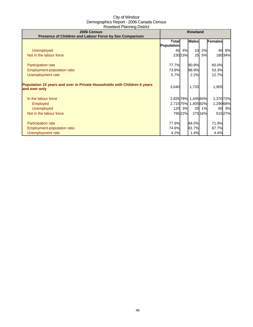| 2006 Census<br>Presence of Children and Labour Force by Sex Comparison                    | <b>Roseland</b>            |        |                     |           |           |         |
|-------------------------------------------------------------------------------------------|----------------------------|--------|---------------------|-----------|-----------|---------|
|                                                                                           | Total<br><b>Population</b> |        | <b>Males</b>        |           | Females   |         |
| <b>Unemployed</b>                                                                         |                            | 45 4%  | 10                  | 2%        | 40        | 8%      |
| Not in the labour force                                                                   |                            | 23023% | 25                  | <b>5%</b> |           | 180 34% |
| Participation rate                                                                        | 77.7%                      |        | 90.9%               |           | 60.0%     |         |
| Employment-population ratio                                                               | 73.8%                      |        | 88.9%               |           | 53.3%     |         |
| Unemployment rate                                                                         | 5.7%                       |        | 2.2%                |           | 12.7%     |         |
| Population 15 years and over in Private Households with Children 6 years<br>and over only | 3,640                      |        | 1,720               |           | 1,905     |         |
| In the labour force                                                                       |                            |        | 2,835 78% 1,445 84% |           | 1,370 72% |         |
| <b>Employed</b>                                                                           |                            |        | 2,715 75% 1,405 82% |           | 1,290 68% |         |
| <b>Unemployed</b>                                                                         |                            | 120 3% | 20                  | 1%        |           | 60 3%   |
| Not in the labour force                                                                   |                            | 79522% |                     | 27516%    |           | 51527%  |
| Participation rate                                                                        | 77.9%                      |        | 84.0%               |           | 71.9%     |         |
| Employment-population ratio                                                               | 74.6%                      |        | 81.7%               |           | 67.7%     |         |
| Unemployment rate                                                                         | 4.2%                       |        | 1.4%                |           | 4.4%      |         |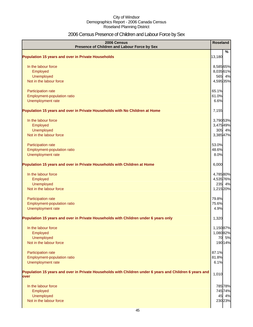# 2006 Census Presence of Children and Labour Force by Sex

| 2006 Census<br>Presence of Children and Labour Force by Sex                                                     | <b>Roseland</b> |                  |
|-----------------------------------------------------------------------------------------------------------------|-----------------|------------------|
| <b>Population 15 years and over in Private Households</b>                                                       | 13,180          | $\%$             |
| In the labour force                                                                                             | 8,585 65%       |                  |
| Employed                                                                                                        | 8,03561%        |                  |
| Unemployed                                                                                                      |                 | 565 4%           |
| Not in the labour force                                                                                         | 4,595 35%       |                  |
| Participation rate                                                                                              | 65.1%           |                  |
| Employment-population ratio                                                                                     | 61.0%           |                  |
| Unemployment rate                                                                                               | 6.6%            |                  |
| Population 15 years and over in Private Households with No Children at Home                                     | 7,155           |                  |
| In the labour force                                                                                             | 3,790 53%       |                  |
| Employed                                                                                                        | 3,47549%        |                  |
| <b>Unemployed</b>                                                                                               |                 | 305 4%           |
| Not in the labour force                                                                                         | 3,38547%        |                  |
| Participation rate                                                                                              | 53.0%           |                  |
| Employment-population ratio                                                                                     | 48.6%           |                  |
| Unemployment rate                                                                                               | 8.0%            |                  |
| Population 15 years and over in Private Households with Children at Home                                        | 6,000           |                  |
| In the labour force                                                                                             | 4,785 80%       |                  |
| Employed                                                                                                        | 4,535 76%       |                  |
| Unemployed                                                                                                      |                 | 235 4%           |
| Not in the labour force                                                                                         | 1,215 20%       |                  |
| Participation rate                                                                                              | 79.8%           |                  |
| Employment-population ratio                                                                                     | 75.6%           |                  |
| Unemployment rate                                                                                               | 4.9%            |                  |
| Population 15 years and over in Private Households with Children under 6 years only                             | 1,320           |                  |
| In the labour force                                                                                             | 1,15087%        |                  |
| Employed                                                                                                        | 1,08082%        |                  |
| Unemployed                                                                                                      |                 | 70 5%            |
| Not in the labour force                                                                                         |                 | 190 14%          |
| Participation rate                                                                                              | 87.1%           |                  |
| Employment-population ratio                                                                                     | 81.8%           |                  |
| Unemployment rate                                                                                               | 6.1%            |                  |
| Population 15 years and over in Private Households with Children under 6 years and Children 6 years and<br>over | 1,010           |                  |
|                                                                                                                 |                 |                  |
| In the labour force                                                                                             |                 | 78578%<br>74574% |
| Employed<br><b>Unemployed</b>                                                                                   |                 | 45 4%            |
| Not in the labour force                                                                                         |                 | 230 23%          |
|                                                                                                                 |                 |                  |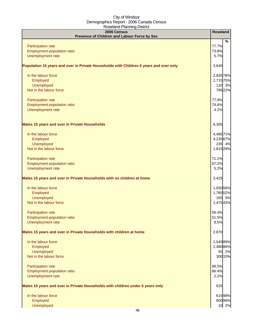| 2006 Census                                                                            | <b>Roseland</b> |
|----------------------------------------------------------------------------------------|-----------------|
| Presence of Children and Labour Force by Sex                                           | %               |
| Participation rate                                                                     | 77.7%           |
| Employment-population ratio                                                            | 73.8%           |
| Unemployment rate                                                                      | 5.7%            |
| Population 15 years and over in Private Households with Children 6 years and over only | 3,640           |
| In the labour force                                                                    | 2,835 78%       |
| Employed                                                                               | 2,715 75%       |
| Unemployed                                                                             | 120 3%          |
| Not in the labour force                                                                | 795 22%         |
| Participation rate                                                                     | 77.9%           |
| Employment-population ratio                                                            | 74.6%           |
| Unemployment rate                                                                      | 4.2%            |
| <b>Males 15 years and over in Private Households</b>                                   | 6,305           |
| In the labour force                                                                    | 4,485 71%       |
| Employed                                                                               | 4,235 67%       |
| Unemployed                                                                             | 235 4%          |
| Not in the labour force                                                                | 1,815 29%       |
| Participation rate                                                                     | 71.1%           |
| Employment-population ratio                                                            | 67.2%           |
| Unemployment rate                                                                      | 5.2%            |
| Males 15 years and over in Private Households with no children at home                 | 3,425           |
| In the labour force                                                                    | 1,930 56%       |
| Employed                                                                               | 1,765 52%       |
| Unemployed                                                                             | 165 5%          |
| Not in the labour force                                                                | 1,47543%        |
| <b>Participation rate</b>                                                              | 56.4%           |
| Employment-population ratio                                                            | 51.5%           |
| Unemployment rate                                                                      | 8.5%            |
| Males 15 years and over in Private Households with children at home                    | 2,870           |
| In the labour force                                                                    | 2,540 89%       |
| Employed                                                                               | 2,480 86%       |
| Unemployed                                                                             | 55 2%           |
| Not in the labour force                                                                | 300 10%         |
| Participation rate                                                                     | 88.5%           |
| Employment-population ratio                                                            | 86.4%           |
| Unemployment rate                                                                      | 2.2%            |
| Males 15 years and over in Private Households with children under 6 years only         | 625             |
| In the labour force                                                                    | 61598%          |
| Employed                                                                               | 600 96%         |
| Unemployed                                                                             | 10 2%           |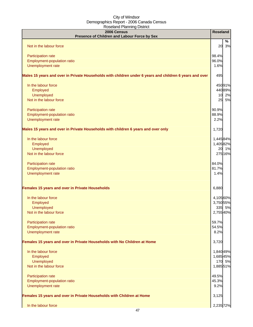| $1$ too of all in all in ignority.<br>2006 Census                                                       | <b>Roseland</b>       |         |
|---------------------------------------------------------------------------------------------------------|-----------------------|---------|
| Presence of Children and Labour Force by Sex                                                            |                       |         |
|                                                                                                         |                       | $\%$    |
| Not in the labour force                                                                                 | 20                    | 3%      |
| <b>Participation rate</b>                                                                               | 98.4%                 |         |
| Employment-population ratio                                                                             | 96.0%                 |         |
| Unemployment rate                                                                                       | 1.6%                  |         |
|                                                                                                         |                       |         |
| Males 15 years and over in Private Households with children under 6 years and children 6 years and over | 495                   |         |
| In the labour force                                                                                     |                       | 45091%  |
| Employed                                                                                                |                       | 440 89% |
| Unemployed                                                                                              |                       | 10 2%   |
| Not in the labour force                                                                                 |                       | 25 5%   |
|                                                                                                         |                       |         |
| Participation rate                                                                                      | 90.9%<br>88.9%        |         |
| Employment-population ratio<br>Unemployment rate                                                        | 2.2%                  |         |
|                                                                                                         |                       |         |
| Males 15 years and over in Private Households with children 6 years and over only                       | 1,720                 |         |
|                                                                                                         |                       |         |
| In the labour force                                                                                     | 1,44584%              |         |
| Employed<br>Unemployed                                                                                  | 1,40582%              | 20 1%   |
| Not in the labour force                                                                                 |                       | 275 16% |
|                                                                                                         |                       |         |
| Participation rate                                                                                      | 84.0%                 |         |
| Employment-population ratio                                                                             | 81.7%                 |         |
| Unemployment rate                                                                                       | 1.4%                  |         |
|                                                                                                         |                       |         |
| Females 15 years and over in Private Households                                                         | 6,880                 |         |
| In the labour force                                                                                     | 4,10560%              |         |
| Employed                                                                                                | 3,750 55%             |         |
| Unemployed                                                                                              |                       | 335 5%  |
| Not in the labour force                                                                                 | 2,755 40%             |         |
|                                                                                                         |                       |         |
| Participation rate                                                                                      | 59.7%                 |         |
| Employment-population ratio<br>Unemployment rate                                                        | 54.5%<br>8.2%         |         |
|                                                                                                         |                       |         |
| Females 15 years and over in Private Households with No Children at Home                                | 3,720                 |         |
|                                                                                                         |                       |         |
| In the labour force<br>Employed                                                                         | 1,840 49%<br>1,68545% |         |
| Unemployed                                                                                              |                       | 170 5%  |
| Not in the labour force                                                                                 | 1,885 51%             |         |
|                                                                                                         |                       |         |
| Participation rate                                                                                      | 49.5%                 |         |
| Employment-population ratio                                                                             | 45.3%                 |         |
| Unemployment rate                                                                                       | 9.2%                  |         |
| Females 15 years and over in Private Households with Children at Home                                   | 3,125                 |         |
|                                                                                                         |                       |         |
| In the labour force                                                                                     | 2,235 72%             |         |
| 17                                                                                                      |                       |         |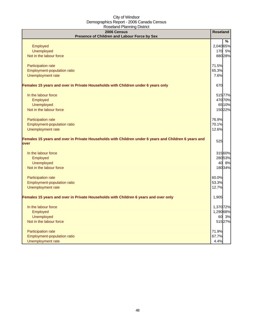| 2006 Census                                                                                                  | <b>Roseland</b> |
|--------------------------------------------------------------------------------------------------------------|-----------------|
| Presence of Children and Labour Force by Sex                                                                 |                 |
|                                                                                                              | $\frac{9}{6}$   |
| Employed                                                                                                     | 2,040 65%       |
| Unemployed                                                                                                   | 170 5%          |
| Not in the labour force                                                                                      | 880 28%         |
| Participation rate                                                                                           | 71.5%           |
| <b>Employment-population ratio</b>                                                                           | 65.3%           |
|                                                                                                              |                 |
| Unemployment rate                                                                                            | 7.6%            |
| Females 15 years and over in Private Households with Children under 6 years only                             | 670             |
| In the labour force                                                                                          | 515 77%         |
| Employed                                                                                                     | 47070%          |
| Unemployed                                                                                                   | 65 10%          |
| Not in the labour force                                                                                      | 15022%          |
| Participation rate                                                                                           | 76.9%           |
| Employment-population ratio                                                                                  | 70.1%           |
| Unemployment rate                                                                                            | 12.6%           |
|                                                                                                              |                 |
| Females 15 years and over in Private Households with Children under 6 years and Children 6 years and<br>over | 525             |
| In the labour force                                                                                          | 31560%          |
| Employed                                                                                                     | 28053%          |
| Unemployed                                                                                                   | 40 8%           |
| Not in the labour force                                                                                      | 18034%          |
| Participation rate                                                                                           | 60.0%           |
| <b>Employment-population ratio</b>                                                                           | 53.3%           |
| Unemployment rate                                                                                            | 12.7%           |
|                                                                                                              |                 |
| Females 15 years and over in Private Households with Children 6 years and over only                          | 1,905           |
| In the labour force                                                                                          | 1,370 72%       |
| Employed                                                                                                     | 1,29068%        |
| Unemployed                                                                                                   | 60 3%           |
| Not in the labour force                                                                                      | 51527%          |
| Participation rate                                                                                           | 71.9%           |
| Employment-population ratio                                                                                  | 67.7%           |
| Unemployment rate                                                                                            | 4.4%            |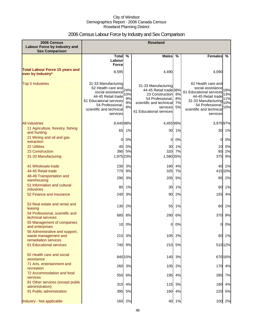# 2006 Census Labour Force by Industry and Sex Comparison

| 2006 Census<br>Labour Force by Industry and<br><b>Sex Comparison</b>           | <b>Roseland</b>                                                                                                                                                                 |                       |                                                                                                                                                         |                      |                                                                                                                                                                            |                                 |
|--------------------------------------------------------------------------------|---------------------------------------------------------------------------------------------------------------------------------------------------------------------------------|-----------------------|---------------------------------------------------------------------------------------------------------------------------------------------------------|----------------------|----------------------------------------------------------------------------------------------------------------------------------------------------------------------------|---------------------------------|
|                                                                                | Total $\overline{\%}$                                                                                                                                                           |                       | <b>Males</b>                                                                                                                                            | $\frac{9}{6}$        | <b>Females</b>                                                                                                                                                             | %                               |
|                                                                                | Labour<br><b>Force</b>                                                                                                                                                          |                       |                                                                                                                                                         |                      |                                                                                                                                                                            |                                 |
| <b>Total Labour Force 15 years and</b><br>over by Industry*                    | 8,595                                                                                                                                                                           |                       | 4,490                                                                                                                                                   |                      | 4,090                                                                                                                                                                      |                                 |
| <b>Top 5 Industries</b>                                                        | 31-33 Manufacturing<br>62 Health care and 24%<br>social assistance<br>44-45 Retail trade<br>61 Educational services<br>54 Professional,<br>scientific and technical<br>services | 10%<br>9%<br>9%<br>8% | 31-33 Manufacturing<br>44-45 Retail trade 38%<br>23 Construction<br>54 Professional,<br>scientific and technical<br>services<br>61 Educational services | 8%<br>8%<br>7%<br>5% | 62 Health care and<br>social assistance<br>61 Educational services<br>44-45 Retail trade<br>31-33 Manufacturing<br>54 Professional<br>scientific and technical<br>services | 18%<br>13%<br>11%<br>10%<br>10% |
| <b>All industries</b>                                                          | 8,440 98%                                                                                                                                                                       |                       | 4,455 99%                                                                                                                                               |                      | 3,97597%                                                                                                                                                                   |                                 |
| 11 Agriculture, forestry, fishing<br>and hunting                               |                                                                                                                                                                                 | 65 1%                 |                                                                                                                                                         | 30 1%                |                                                                                                                                                                            | 30 1%                           |
| 21 Mining and oil and gas<br>extraction                                        | <sub>0</sub>                                                                                                                                                                    | 0%                    | 0l                                                                                                                                                      | 0%                   | 0                                                                                                                                                                          | 0%                              |
| <b>22 Utilities</b>                                                            | 40                                                                                                                                                                              | 0%                    | 30                                                                                                                                                      | 1%                   | 10                                                                                                                                                                         | 0%                              |
| 23 Construction                                                                |                                                                                                                                                                                 | 390 5%                |                                                                                                                                                         | 320 7%               | 85                                                                                                                                                                         | 2%                              |
| 31-33 Manufacturing                                                            | 1,975 23%                                                                                                                                                                       |                       | 1,580 35%                                                                                                                                               |                      | 375                                                                                                                                                                        | 9%                              |
| 41 Wholesale trade<br>44-45 Retail trade                                       | 770                                                                                                                                                                             | 230 3%<br>9%          | 180<br>325                                                                                                                                              | 4%<br>7%             | 40                                                                                                                                                                         | 1%<br>415 10%                   |
| 48-49 Transportation and<br>warehousing                                        | 290                                                                                                                                                                             | 3%                    | 205                                                                                                                                                     | 5%                   | 85                                                                                                                                                                         | 2%                              |
| 51 Information and cultural<br>industries                                      | 80                                                                                                                                                                              | 1%                    | 30                                                                                                                                                      | 1%                   | 60                                                                                                                                                                         | 1%                              |
| 52 Finance and insurance                                                       |                                                                                                                                                                                 | 240 3%                | 90                                                                                                                                                      | 2%                   | 155                                                                                                                                                                        | 4%                              |
| 53 Real estate and rental and<br>leasing                                       | 130                                                                                                                                                                             | 2%                    | 55                                                                                                                                                      | 1%                   | 60                                                                                                                                                                         | 1%                              |
| 54 Professional, scientific and<br>technical services                          | 685                                                                                                                                                                             | 8%                    | 290                                                                                                                                                     | 6%                   | <b>370</b>                                                                                                                                                                 | 9%                              |
| 55 Management of companies<br>and enterprises                                  |                                                                                                                                                                                 | 10 0%                 |                                                                                                                                                         | 0 0%                 | 0I                                                                                                                                                                         | 0%                              |
| 56 Administrative and support,<br>waste management and<br>remediation services | 215                                                                                                                                                                             | 3%                    |                                                                                                                                                         | 105 2%               |                                                                                                                                                                            | 60 1%                           |
| 61 Educational services                                                        |                                                                                                                                                                                 | 740 9%                |                                                                                                                                                         | 210 5%               |                                                                                                                                                                            | 510 12%                         |
| 62 Health care and social<br>assistance                                        |                                                                                                                                                                                 | 840 10%               |                                                                                                                                                         | 140 3%               |                                                                                                                                                                            | 670 16%                         |
| 71 Arts, entertainment and<br>recreation                                       |                                                                                                                                                                                 | 260 3%                |                                                                                                                                                         | 105 2%               | 170                                                                                                                                                                        | 4%                              |
| 72 Accommodation and food<br>services                                          |                                                                                                                                                                                 | 550 6%                | 195                                                                                                                                                     | 4%                   | 285                                                                                                                                                                        | 7%                              |
| 81 Other services (except public                                               |                                                                                                                                                                                 | 315 4%                |                                                                                                                                                         | 115 3%               | 180                                                                                                                                                                        | 4%                              |
| administration)<br>91 Public administration                                    |                                                                                                                                                                                 | 395 5%                |                                                                                                                                                         | 160 4%               | 220                                                                                                                                                                        | 5%                              |
| Industry - Not applicable                                                      |                                                                                                                                                                                 | 160 2%                |                                                                                                                                                         | 40 1%                |                                                                                                                                                                            | 100 2%                          |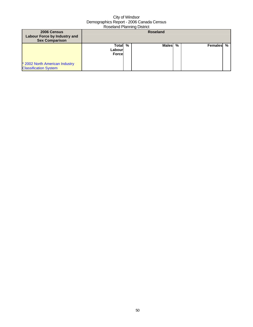| 2006 Census<br>Labour Force by Industry and<br><b>Sex Comparison</b> | <b>Roseland</b>                   |  |              |   |           |  |
|----------------------------------------------------------------------|-----------------------------------|--|--------------|---|-----------|--|
| * 2002 North American Industry<br><b>Classification System</b>       | Total %<br>Labour<br><b>Force</b> |  | <b>Males</b> | % | Females % |  |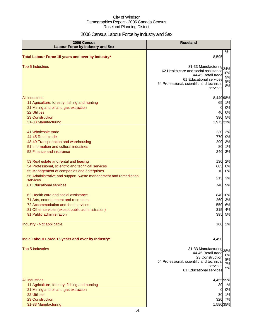# 2006 Census Labour Force by Industry and Sex

| 2006 Census<br><b>Labour Force by Industry and Sex</b>                                                                                                                                                                                                                                                                                                                                                                                                                                                                                                                                                                                                                                                                                                                                                                        | <b>Roseland</b>                                                                                                                                                                                                                                          |
|-------------------------------------------------------------------------------------------------------------------------------------------------------------------------------------------------------------------------------------------------------------------------------------------------------------------------------------------------------------------------------------------------------------------------------------------------------------------------------------------------------------------------------------------------------------------------------------------------------------------------------------------------------------------------------------------------------------------------------------------------------------------------------------------------------------------------------|----------------------------------------------------------------------------------------------------------------------------------------------------------------------------------------------------------------------------------------------------------|
| Total Labour Force 15 years and over by Industry*                                                                                                                                                                                                                                                                                                                                                                                                                                                                                                                                                                                                                                                                                                                                                                             | %<br>8,595                                                                                                                                                                                                                                               |
| <b>Top 5 Industries</b>                                                                                                                                                                                                                                                                                                                                                                                                                                                                                                                                                                                                                                                                                                                                                                                                       | 31-33 Manufacturing 24%<br>62 Health care and social assistance<br>10%<br>44-45 Retail trade<br>9%<br>61 Educational services<br>9%<br>54 Professional, scientific and technical<br>8%<br>services                                                       |
| <b>All industries</b><br>11 Agriculture, forestry, fishing and hunting<br>21 Mining and oil and gas extraction<br>22 Utilities<br>23 Construction<br>31-33 Manufacturing<br>41 Wholesale trade<br>44-45 Retail trade<br>48-49 Transportation and warehousing<br>51 Information and cultural industries<br>52 Finance and insurance<br>53 Real estate and rental and leasing<br>54 Professional, scientific and technical services<br>55 Management of companies and enterprises<br>56 Administrative and support, waste management and remediation<br>services<br>61 Educational services<br>62 Health care and social assistance<br>71 Arts, entertainment and recreation<br>72 Accommodation and food services<br>81 Other services (except public administration)<br>91 Public administration<br>Industry - Not applicable | 8,440 98%<br>65 1%<br>0%<br>$\overline{0}$<br>40 0%<br>390 5%<br>1,975 23%<br>230 3%<br>770 9%<br>290 3%<br>80 1%<br>240 3%<br>130 2%<br>685 8%<br>0%<br>10<br>215<br>3%<br>740 9%<br>840 10%<br>3%<br>260<br>6%<br>550<br>4%<br>315<br>395 5%<br>160 2% |
| Male Labour Force 15 years and over by Industry*<br><b>Top 5 Industries</b>                                                                                                                                                                                                                                                                                                                                                                                                                                                                                                                                                                                                                                                                                                                                                   | 4,490<br>31-33 Manufacturing<br>38%<br>44-45 Retail trade<br>8%<br>23 Construction<br>8%<br>54 Professional, scientific and technical<br>7%<br>services<br>5%<br>61 Educational services                                                                 |
| <b>All industries</b><br>11 Agriculture, forestry, fishing and hunting<br>21 Mining and oil and gas extraction<br><b>22 Utilities</b><br>23 Construction<br>31-33 Manufacturing                                                                                                                                                                                                                                                                                                                                                                                                                                                                                                                                                                                                                                               | 4,45599%<br>30 1%<br>0%<br>0<br>30 1%<br>320 7%<br>1,580 35%                                                                                                                                                                                             |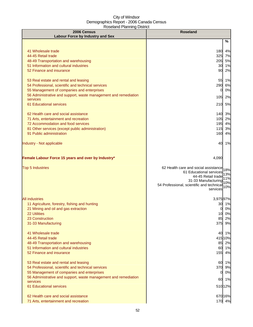| 2006 Census<br><b>Labour Force by Industry and Sex</b>                                           | <b>Roseland</b>                               |            |
|--------------------------------------------------------------------------------------------------|-----------------------------------------------|------------|
|                                                                                                  |                                               | %          |
|                                                                                                  |                                               |            |
| 41 Wholesale trade                                                                               | 180                                           | 4%         |
| 44-45 Retail trade<br>48-49 Transportation and warehousing                                       | 325<br>205                                    | 7%<br>5%   |
| 51 Information and cultural industries                                                           | 30                                            | 1%         |
| 52 Finance and insurance                                                                         | 90                                            | 2%         |
|                                                                                                  |                                               |            |
| 53 Real estate and rental and leasing                                                            | 55 1%                                         |            |
| 54 Professional, scientific and technical services<br>55 Management of companies and enterprises | 290 6%<br>0                                   | 0%         |
| 56 Administrative and support, waste management and remediation                                  |                                               |            |
| services                                                                                         | 105                                           | 2%         |
| 61 Educational services                                                                          | 210                                           | 5%         |
|                                                                                                  |                                               |            |
| 62 Health care and social assistance<br>71 Arts, entertainment and recreation                    | 140 3%<br>105                                 | 2%         |
| 72 Accommodation and food services                                                               | 195                                           | 4%         |
| 81 Other services (except public administration)                                                 | 115                                           | 3%         |
| 91 Public administration                                                                         | 160                                           | 4%         |
|                                                                                                  |                                               |            |
| Industry - Not applicable                                                                        | 40                                            | 1%         |
|                                                                                                  |                                               |            |
| Female Labour Force 15 years and over by Industry*                                               | 4,090                                         |            |
|                                                                                                  |                                               |            |
| <b>Top 5 Industries</b>                                                                          | 62 Health care and social assistance          | 18%        |
|                                                                                                  | 61 Educational services<br>44-45 Retail trade | 13%        |
|                                                                                                  | 31-33 Manufacturing                           | 11%<br>10% |
|                                                                                                  | 54 Professional, scientific and technical     | 10%        |
|                                                                                                  | services                                      |            |
| <b>All industries</b>                                                                            | 3,975 97%                                     |            |
| 11 Agriculture, forestry, fishing and hunting                                                    | 30                                            | 1%         |
| 21 Mining and oil and gas extraction                                                             | 01                                            | 0%         |
| 22 Utilities                                                                                     | 10                                            | 0%         |
| 23 Construction                                                                                  | 85 2%                                         |            |
| 31-33 Manufacturing                                                                              | 375 9%                                        |            |
| 41 Wholesale trade                                                                               | 40 1%                                         |            |
| 44-45 Retail trade                                                                               | 415 10%                                       |            |
| 48-49 Transportation and warehousing                                                             | 85 2%                                         |            |
| 51 Information and cultural industries                                                           | 60 1%                                         |            |
| 52 Finance and insurance                                                                         | 155 4%                                        |            |
| 53 Real estate and rental and leasing                                                            | 60 1%                                         |            |
| 54 Professional, scientific and technical services                                               | 370 9%                                        |            |
| 55 Management of companies and enterprises                                                       | $\overline{0}$                                | 0%         |
| 56 Administrative and support, waste management and remediation                                  | 60 1%                                         |            |
| services<br>61 Educational services                                                              |                                               |            |
|                                                                                                  | 510 12%                                       |            |
| 62 Health care and social assistance                                                             | 670 16%                                       |            |
| 71 Arts, entertainment and recreation                                                            | 170 4%                                        |            |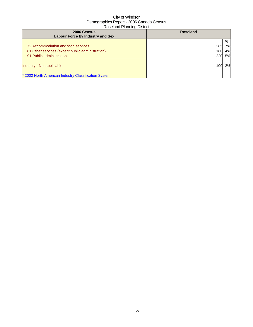| 2006 Census<br><b>Labour Force by Industry and Sex</b> | <b>Roseland</b> |    |
|--------------------------------------------------------|-----------------|----|
|                                                        |                 | %  |
| 72 Accommodation and food services                     | 285             | 7% |
| 81 Other services (except public administration)       | 180             | 4% |
| 91 Public administration                               | 220             | 5% |
|                                                        |                 |    |
| Industry - Not applicable                              | 100             | 2% |
|                                                        |                 |    |
| * 2002 North American Industry Classification System   |                 |    |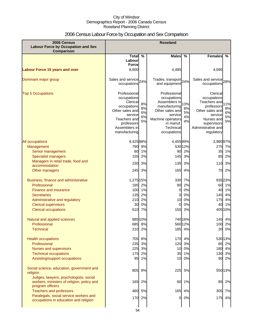# 2006 Census Labour Force by Occupation and Sex Comparison

| 2006 Census<br><b>Labour Force by Occupation and Sex</b><br><b>Comparison</b>                            | <b>Roseland</b>                                                                                                                                      |                            |                                                                                                                                                           |                             |                                                                                                                                                      |                             |
|----------------------------------------------------------------------------------------------------------|------------------------------------------------------------------------------------------------------------------------------------------------------|----------------------------|-----------------------------------------------------------------------------------------------------------------------------------------------------------|-----------------------------|------------------------------------------------------------------------------------------------------------------------------------------------------|-----------------------------|
|                                                                                                          | Total                                                                                                                                                | %                          | <b>Males</b>                                                                                                                                              | $\frac{0}{0}$               | <b>Females</b>                                                                                                                                       | %                           |
|                                                                                                          | Labour                                                                                                                                               |                            |                                                                                                                                                           |                             |                                                                                                                                                      |                             |
|                                                                                                          | <b>Force</b>                                                                                                                                         |                            | 4,485                                                                                                                                                     |                             |                                                                                                                                                      |                             |
| <b>Labour Force 15 years and over</b>                                                                    | 8,600                                                                                                                                                |                            |                                                                                                                                                           |                             | 4,095                                                                                                                                                |                             |
| Dominant major group                                                                                     | Sales and service 24%<br>occupations                                                                                                                 |                            | Trades, transport 24%<br>and equipment                                                                                                                    |                             | Sales and service 28%<br>occupations                                                                                                                 |                             |
| <b>Top 5 Occupations</b>                                                                                 | Professional<br>occupations<br>Clerical<br>occupations<br>Other sales and<br>service<br>Teachers and<br>professors<br>Assemblers in<br>manufacturing | 8%<br>8%<br>6%<br>6%<br>5% | Professional<br>occupations<br>Assemblers in<br>manufacturing<br>Other sales and<br>service<br>Machine operators<br>in manuf.<br>Technical<br>occupations | 13%<br>8%<br>5%<br>4%<br>4% | Clerical<br>occupations<br>Teachers and<br>professors<br>Other sales and<br>service<br>Nurses and<br>supervisors<br>Administrative and<br>regulatory | 11%<br>8%<br>6%<br>5%<br>5% |
| All occupations                                                                                          | 8,42598%                                                                                                                                             |                            | 4,455 99%                                                                                                                                                 |                             | 3,980 97%                                                                                                                                            |                             |
| Management                                                                                               | 790                                                                                                                                                  | 9%                         |                                                                                                                                                           | 530 12%                     | 275 7%                                                                                                                                               |                             |
| Senior management                                                                                        | 80                                                                                                                                                   | 1%                         | 90                                                                                                                                                        | 2%                          | 35                                                                                                                                                   | 1%                          |
| <b>Specialist managers</b>                                                                               | 155                                                                                                                                                  | 2%                         | 145                                                                                                                                                       | 3%                          | 85                                                                                                                                                   | 2%                          |
| Managers in retail trade, food and                                                                       |                                                                                                                                                      |                            |                                                                                                                                                           |                             |                                                                                                                                                      |                             |
| accommodation                                                                                            | 230                                                                                                                                                  | 3%                         | 135                                                                                                                                                       | 3%                          | 110                                                                                                                                                  | 3%                          |
| Other managers                                                                                           | 245                                                                                                                                                  | 3%                         | 165                                                                                                                                                       | 4%                          | 70                                                                                                                                                   | 2%                          |
| Business, finance and administrative<br>Professional                                                     | 1,275 15%<br>195                                                                                                                                     | 2%                         | 330<br>90                                                                                                                                                 | 7%<br>2%                    | 935 23%<br>60                                                                                                                                        | 1%                          |
| Finance and insurance                                                                                    | 100                                                                                                                                                  | 1%                         | 0                                                                                                                                                         | 0%                          | 40                                                                                                                                                   | 1%                          |
| Secretaries                                                                                              | 135                                                                                                                                                  | 2%                         | $\mathbf 0$                                                                                                                                               | 0%                          | 145                                                                                                                                                  | 4%                          |
| Administrative and regulatory                                                                            | 210                                                                                                                                                  | 2%                         | 10                                                                                                                                                        | 0%                          | 175                                                                                                                                                  | 4%                          |
| <b>Clerical supervisors</b>                                                                              | 30                                                                                                                                                   | 0%                         | $\overline{0}$                                                                                                                                            | 0%                          | 40                                                                                                                                                   | 1%                          |
| <b>Clerical occupations</b>                                                                              |                                                                                                                                                      | 610 7%                     | 150                                                                                                                                                       | 3%                          | 405 10%                                                                                                                                              |                             |
| Natural and applied sciences                                                                             |                                                                                                                                                      | 885 10%                    |                                                                                                                                                           | 740 16%                     | 145 4%                                                                                                                                               |                             |
| Professional                                                                                             |                                                                                                                                                      | 685 8%                     |                                                                                                                                                           | 560 12%                     | 1001                                                                                                                                                 | 2%                          |
| <b>Technical</b>                                                                                         |                                                                                                                                                      | 210 2%                     | 185                                                                                                                                                       | 4%                          |                                                                                                                                                      | 20 0%                       |
|                                                                                                          |                                                                                                                                                      |                            |                                                                                                                                                           |                             |                                                                                                                                                      |                             |
| <b>Health occupations</b>                                                                                |                                                                                                                                                      | 705 8%                     |                                                                                                                                                           | 170 4%                      | 530 13%                                                                                                                                              |                             |
| Professional                                                                                             |                                                                                                                                                      | 235 3%<br>225 3%           | 120                                                                                                                                                       | 3%<br>0%                    | 180 4%                                                                                                                                               | 85 2%                       |
| Nurses and supervisors<br><b>Technical occupations</b>                                                   |                                                                                                                                                      | 175 2%                     | 10<br>35                                                                                                                                                  | 1%                          | 130 3%                                                                                                                                               |                             |
| Assisting/support occupations                                                                            |                                                                                                                                                      | 95 1%                      | 10                                                                                                                                                        | 0%                          |                                                                                                                                                      | 90 2%                       |
|                                                                                                          |                                                                                                                                                      |                            |                                                                                                                                                           |                             |                                                                                                                                                      |                             |
| Social science, education, government and<br>religion                                                    |                                                                                                                                                      | 805 9%                     | 225                                                                                                                                                       | 5%                          | 550 13%                                                                                                                                              |                             |
| Judges, lawyers, psychologists, social<br>workers, ministers of religion, policy and<br>program officers |                                                                                                                                                      | 165 2%                     | 60                                                                                                                                                        | 1%                          | 85                                                                                                                                                   | 2%                          |
| <b>Teachers and professors</b>                                                                           |                                                                                                                                                      | 460 5%                     | 165                                                                                                                                                       | 4%                          | 305                                                                                                                                                  | 7%                          |
| Paralegals, social service workers and                                                                   |                                                                                                                                                      | 170 2%                     | $\overline{0}$                                                                                                                                            | 0%                          | 175 4%                                                                                                                                               |                             |
| occupations in education and religion                                                                    |                                                                                                                                                      |                            |                                                                                                                                                           |                             |                                                                                                                                                      |                             |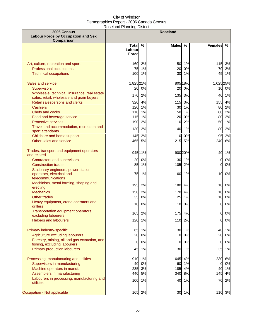| 2006 Census                                                                            |                        |          | <b>Roseland</b> |               |                |          |
|----------------------------------------------------------------------------------------|------------------------|----------|-----------------|---------------|----------------|----------|
| <b>Labour Force by Occupation and Sex</b><br>Comparison                                |                        |          |                 |               |                |          |
|                                                                                        | Total                  | %        | <b>Males</b>    | $\frac{0}{0}$ | <b>Females</b> | %        |
|                                                                                        | Labour<br><b>Force</b> |          |                 |               |                |          |
|                                                                                        |                        |          |                 |               |                |          |
| Art, culture, recreation and sport                                                     | 160                    | 2%       | 50              | 1%            | 115            | 3%       |
| Professional occupations                                                               | 75                     | 1%       | 20              | 0%            | 70             | 2%       |
| <b>Technical occupations</b>                                                           | 100                    | 1%       | 30              | 1%            | 45             | 1%       |
| Sales and service                                                                      | 1,825 21%              |          |                 | 805 18%       | 1,025 25%      |          |
| <b>Supervisors</b>                                                                     | 20                     | 0%       | 20              | 0%            | 10             | 0%       |
| Wholesale, technical, insurance, real estate                                           | 170                    | 2%       |                 | 135 3%        | 40             | 1%       |
| sales, retail, wholesale and grain buyers                                              |                        |          |                 |               |                |          |
| Retail salespersons and clerks<br><b>Cashiers</b>                                      | 320<br>120             | 4%<br>1% | 115<br>30       | 3%<br>1%      | 155<br>80      | 4%<br>2% |
| <b>Chefs and cooks</b>                                                                 | $110$                  | 1%       | 50              | 1%            | 80             | 2%       |
| Food and beverage service                                                              | 115                    | 1%       | 20              | 0%            | 80             | 2%       |
| <b>Protective services</b>                                                             | 190                    | 2%       | 110             | 2%            | 50             | 1%       |
| Travel and accommodation, recreation and<br>sport attendants                           | 130                    | 2%       | 40              | 1%            | 80             | 2%       |
| Childcare and home support                                                             | 145                    | 2%       | 10              | 0%            | 95             | 2%       |
| Other sales and service                                                                | 465                    | 5%       | 215             | 5%            | 240            | 6%       |
| Trades, transport and equipment operators<br>and related                               |                        | 945 11%  |                 | 900 20%       | 40             | 1%       |
| <b>Contractors and supervisors</b>                                                     | 20                     | 0%       |                 | 30 1%         | $\overline{0}$ | 0%       |
| <b>Construction trades</b>                                                             | 85                     | 1%       | 105             | 2%            | 0              | 0%       |
| Stationary engineers, power station<br>operators, electrical and<br>telecommunications | 75                     | 1%       | 60              | 1%            | 10             | 0%       |
| Machinists, metal forming, shaping and<br>erecting                                     | 195                    | 2%       | 180             | 4%            | 10             | 0%       |
| <b>Mechanics</b>                                                                       | 150                    | 2%       | 170             | 4%            | 10             | 0%       |
| <b>Other trades</b>                                                                    | 35                     | 0%       | 25              | 1%            | 10             | 0%       |
| Heavy equipment, crane operators and<br>drillers                                       | 10                     | 0%       | 10 <sup>1</sup> | 0%            | <sub>0</sub>   | 0%       |
| Transportation equipment operators,<br>excluding labourers                             |                        | 165 2%   |                 | 175 4%        |                | 0 0%     |
| <b>Helpers and labourers</b>                                                           | 120                    | 1%       | 110             | 2%            | 0              | 0%       |
| Primary industry-specific                                                              | 65                     | 1%       | 30              | 1%            | 40             | 1%       |
| Agriculture excluding labourers                                                        | 20                     | 0%       | 0               | 0%            | 20             | 0%       |
| Forestry, mining, oil and gas extraction, and<br>fishing, excluding labourers          | $\overline{0}$         | 0%       | 0               | 0%            | 0              | 0%       |
| Primary production labourers                                                           | 45                     | 1%       |                 | 30 1%         | 35             | 1%       |
| Processing, manufacturing and utilities                                                |                        | 910 11%  |                 | 645 14%       | 230            | 6%       |
| Supervisors in manufacturing                                                           | 40                     | 0%       |                 | 60 1%         | 0              | 0%       |
| Machine operators in manuf.                                                            | 235                    | 3%       |                 | 185 4%        | 40             | 1%       |
| Assemblers in manufacturing                                                            | 440                    | 5%       |                 | 340 8%        | 145            | 4%       |
| Labourers in processing, manufacturing and<br>utilities                                | 100                    | 1%       | 40              | 1%            | 70             | 2%       |
| Occupation - Not applicable                                                            |                        | 165 2%   |                 | 30 1%         | 110            | 3%       |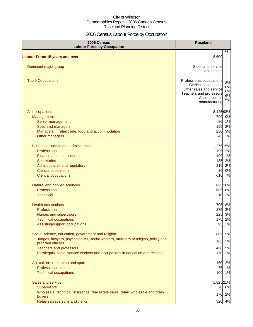# 2006 Census Labour Force by Occupation

| 2006 Census<br><b>Labour Force by Occupation</b>                                  | <b>Roseland</b>                                                                                                                          |                            |
|-----------------------------------------------------------------------------------|------------------------------------------------------------------------------------------------------------------------------------------|----------------------------|
| <b>Labour Force 15 years and over</b>                                             | 8,600                                                                                                                                    | %                          |
|                                                                                   |                                                                                                                                          |                            |
| Dominant major group                                                              | Sales and service<br>occupations                                                                                                         |                            |
| <b>Top 5 Occupations</b>                                                          | Professional occupations<br>Clerical occupations<br>Other sales and service<br>Teachers and professors<br>Assemblers in<br>manufacturing | 8%<br>8%<br>6%<br>6%<br>5% |
| All occupations                                                                   | 8,42598%                                                                                                                                 |                            |
| Management                                                                        | 790 9%                                                                                                                                   |                            |
| Senior management                                                                 | 80 1%                                                                                                                                    |                            |
| <b>Specialist managers</b>                                                        | 155                                                                                                                                      | 2%                         |
| Managers in retail trade, food and accommodation<br>Other managers                | 230<br>245                                                                                                                               | 3%<br>3%                   |
|                                                                                   |                                                                                                                                          |                            |
| Business, finance and administrative                                              | 1,275 15%                                                                                                                                |                            |
| Professional                                                                      | 195 2%                                                                                                                                   |                            |
| <b>Finance and insurance</b>                                                      | 100 1%                                                                                                                                   |                            |
| <b>Secretaries</b>                                                                | 135 2%                                                                                                                                   |                            |
| Administrative and regulatory                                                     | 210 2%                                                                                                                                   |                            |
| <b>Clerical supervisors</b><br><b>Clerical occupations</b>                        | 30<br>610 7%                                                                                                                             | 0%                         |
|                                                                                   |                                                                                                                                          |                            |
| Natural and applied sciences                                                      | 885 10%                                                                                                                                  |                            |
| Professional                                                                      | 685 8%                                                                                                                                   |                            |
| <b>Technical</b>                                                                  | 210                                                                                                                                      | 2%                         |
| <b>Health occupations</b>                                                         | 705 8%                                                                                                                                   |                            |
| Professional                                                                      | 235 3%                                                                                                                                   |                            |
| Nurses and supervisors                                                            | 225 3%                                                                                                                                   |                            |
| <b>Technical occupations</b>                                                      | 175 2%                                                                                                                                   |                            |
| Assisting/support occupations                                                     | 95                                                                                                                                       | 1%                         |
| Social science, education, government and religion                                | 805                                                                                                                                      | 9%                         |
| Judges, lawyers, psychologists, social workers, ministers of religion, policy and | 165                                                                                                                                      | 2%                         |
| program officers<br><b>Teachers and professors</b>                                | 460                                                                                                                                      | 5%                         |
| Paralegals, social service workers and occupations in education and religion      | 170                                                                                                                                      | 2%                         |
|                                                                                   |                                                                                                                                          |                            |
| Art, culture, recreation and sport                                                | 160                                                                                                                                      | 2%                         |
| Professional occupations                                                          | 75                                                                                                                                       | 1%                         |
| <b>Technical occupations</b>                                                      | 100 1%                                                                                                                                   |                            |
| Sales and service                                                                 | 1,825 21%                                                                                                                                |                            |
| <b>Supervisors</b>                                                                | 20 0%                                                                                                                                    |                            |
| Wholesale, technical, insurance, real estate sales, retail, wholesale and grain   | 170 2%                                                                                                                                   |                            |
| buyers                                                                            |                                                                                                                                          |                            |
| Retail salespersons and clerks                                                    | 320 4%                                                                                                                                   |                            |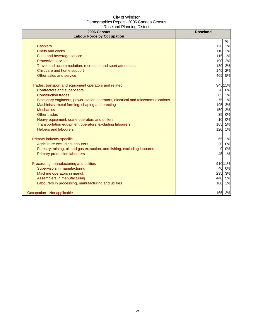| 2006 Census<br><b>Labour Force by Occupation</b>                                 | <b>Roseland</b> |
|----------------------------------------------------------------------------------|-----------------|
|                                                                                  | %               |
| <b>Cashiers</b>                                                                  | 120<br>1%       |
| Chefs and cooks                                                                  | 110 1%          |
| Food and beverage service                                                        | 115<br>1%       |
| <b>Protective services</b>                                                       | 190<br>2%       |
| Travel and accommodation, recreation and sport attendants                        | 130<br>2%       |
| Childcare and home support                                                       | 2%<br>145       |
| Other sales and service                                                          | 465 5%          |
| Trades, transport and equipment operators and related                            | 94511%          |
| <b>Contractors and supervisors</b>                                               | 0%<br>20        |
| <b>Construction trades</b>                                                       | 85 1%           |
| Stationary engineers, power station operators, electrical and telecommunications | 75 1%           |
| Machinists, metal forming, shaping and erecting                                  | 195 2%          |
| <b>Mechanics</b>                                                                 | 150 2%          |
| Other trades                                                                     | 0%<br>35        |
| Heavy equipment, crane operators and drillers                                    | 10<br>0%        |
| Transportation equipment operators, excluding labourers                          | 165<br>2%       |
| <b>Helpers and labourers</b>                                                     | 1%<br>120       |
| Primary industry-specific                                                        | 65 1%           |
| Agriculture excluding labourers                                                  | 20<br>0%        |
| Forestry, mining, oil and gas extraction, and fishing, excluding labourers       | 0%<br>$\Omega$  |
| Primary production labourers                                                     | 45 1%           |
| Processing, manufacturing and utilities                                          | 91011%          |
| Supervisors in manufacturing                                                     | 40<br>0%        |
| Machine operators in manuf.                                                      | 3%<br>235       |
| Assemblers in manufacturing                                                      | 440<br>5%       |
| Labourers in processing, manufacturing and utilities                             | 100<br>1%       |
|                                                                                  |                 |
| Occupation - Not applicable                                                      | 165 2%          |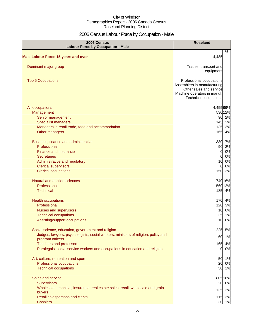# 2006 Census Labour Force by Occupation - Male

| 2006 Census<br><b>Labour Force by Occupation - Male</b>                                               | <b>Roseland</b>                                                                                                                                   |
|-------------------------------------------------------------------------------------------------------|---------------------------------------------------------------------------------------------------------------------------------------------------|
| <b>Male Labour Force 15 years and over</b>                                                            | %<br>4,485                                                                                                                                        |
|                                                                                                       |                                                                                                                                                   |
| Dominant major group                                                                                  | Trades, transport and<br>equipment                                                                                                                |
| <b>Top 5 Occupations</b>                                                                              | Professional occupations<br>Assemblers in manufacturing<br>Other sales and service<br>Machine operators in manuf.<br><b>Technical occupations</b> |
| All occupations                                                                                       | 4,455 99%                                                                                                                                         |
| Management                                                                                            | 53012%                                                                                                                                            |
| Senior management                                                                                     | 90 2%                                                                                                                                             |
| <b>Specialist managers</b>                                                                            | 145 3%                                                                                                                                            |
| Managers in retail trade, food and accommodation                                                      | 135 3%                                                                                                                                            |
| Other managers                                                                                        | 4%<br>165                                                                                                                                         |
| Business, finance and administrative                                                                  | 330<br>7%                                                                                                                                         |
| Professional                                                                                          | 2%<br>90                                                                                                                                          |
| <b>Finance and insurance</b>                                                                          | 0%<br>$\overline{0}$                                                                                                                              |
| <b>Secretaries</b>                                                                                    | 0%<br>0                                                                                                                                           |
| Administrative and regulatory                                                                         | 0%<br>10                                                                                                                                          |
| <b>Clerical supervisors</b>                                                                           | 0%<br>$\Omega$                                                                                                                                    |
| <b>Clerical occupations</b>                                                                           | 150<br>3%                                                                                                                                         |
| Natural and applied sciences                                                                          | 740 16%                                                                                                                                           |
| Professional                                                                                          | 560 12%                                                                                                                                           |
| <b>Technical</b>                                                                                      | 4%<br>185                                                                                                                                         |
| <b>Health occupations</b>                                                                             | 170 4%                                                                                                                                            |
| Professional                                                                                          | 3%<br>120                                                                                                                                         |
| <b>Nurses and supervisors</b>                                                                         | 0%<br>10                                                                                                                                          |
| <b>Technical occupations</b>                                                                          | 35<br>1%                                                                                                                                          |
| Assisting/support occupations                                                                         | 0%<br>10                                                                                                                                          |
| Social science, education, government and religion                                                    | 225<br>5%                                                                                                                                         |
| Judges, lawyers, psychologists, social workers, ministers of religion, policy and<br>program officers | 60 1%                                                                                                                                             |
| <b>Teachers and professors</b>                                                                        | 165 4%                                                                                                                                            |
| Paralegals, social service workers and occupations in education and religion                          | 0%<br>0                                                                                                                                           |
| Art, culture, recreation and sport                                                                    | 50<br>1%                                                                                                                                          |
| Professional occupations                                                                              | 20 0%                                                                                                                                             |
| <b>Technical occupations</b>                                                                          | 30 1%                                                                                                                                             |
| Sales and service                                                                                     | 805 18%                                                                                                                                           |
| <b>Supervisors</b>                                                                                    | 20 0%                                                                                                                                             |
| Wholesale, technical, insurance, real estate sales, retail, wholesale and grain                       | 135<br>3%                                                                                                                                         |
| buyers                                                                                                |                                                                                                                                                   |
| Retail salespersons and clerks<br><b>Cashiers</b>                                                     | 115 3%<br>30 1%                                                                                                                                   |
|                                                                                                       |                                                                                                                                                   |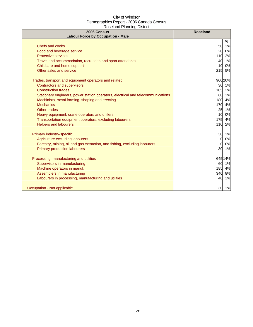| 2006 Census<br><b>Labour Force by Occupation - Male</b>                          | <b>Roseland</b>       |
|----------------------------------------------------------------------------------|-----------------------|
|                                                                                  | %                     |
| Chefs and cooks                                                                  | 50 1%                 |
| Food and beverage service                                                        | 20<br>0%              |
| <b>Protective services</b>                                                       | 2%<br>110             |
| Travel and accommodation, recreation and sport attendants                        | 40 1%                 |
| Childcare and home support                                                       | 10 <sup>1</sup><br>0% |
| Other sales and service                                                          | 5%<br>215             |
| Trades, transport and equipment operators and related                            | 900 20%               |
| <b>Contractors and supervisors</b>                                               | 30 1%                 |
| <b>Construction trades</b>                                                       | 105<br>2%             |
| Stationary engineers, power station operators, electrical and telecommunications | 60 1%                 |
| Machinists, metal forming, shaping and erecting                                  | 4%<br>180             |
| <b>Mechanics</b>                                                                 | 170<br>4%             |
| Other trades                                                                     | 25<br>1%              |
| Heavy equipment, crane operators and drillers                                    | 0%<br>10              |
| Transportation equipment operators, excluding labourers                          | 175<br>4%             |
| <b>Helpers and labourers</b>                                                     | 110<br>2%             |
| Primary industry-specific                                                        | 30<br>1%              |
| Agriculture excluding labourers                                                  | 0%<br>$\mathbf{0}$    |
| Forestry, mining, oil and gas extraction, and fishing, excluding labourers       | 0%<br>$\Omega$        |
| <b>Primary production labourers</b>                                              | 30 1%                 |
| Processing, manufacturing and utilities                                          | 645 14%               |
| Supervisors in manufacturing                                                     | 60 1%                 |
| Machine operators in manuf.                                                      | 185<br>4%             |
| Assemblers in manufacturing                                                      | 340<br>8%             |
| Labourers in processing, manufacturing and utilities                             | 1%<br>40              |
| Occupation - Not applicable                                                      | 30 1%                 |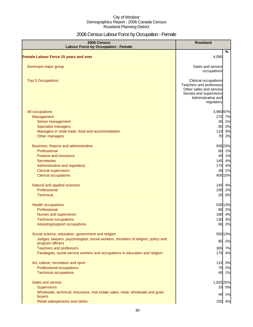# 2006 Census Labour Force by Occupation - Female

| 2006 Census<br><b>Labour Force by Occupation - Female</b>                                             | <b>Roseland</b>                                                                                                                          |
|-------------------------------------------------------------------------------------------------------|------------------------------------------------------------------------------------------------------------------------------------------|
| <b>Female Labour Force 15 years and over</b>                                                          | %<br>4,095                                                                                                                               |
| Dominant major group                                                                                  | Sales and service<br>occupations                                                                                                         |
| <b>Top 5 Occupations</b>                                                                              | Clerical occupations<br>Teachers and professors<br>Other sales and service<br>Nurses and supervisors<br>Administrative and<br>regulatory |
| All occupations                                                                                       | 3,980 97%                                                                                                                                |
| Management                                                                                            | 275 7%                                                                                                                                   |
| Senior management                                                                                     | 1%<br>35                                                                                                                                 |
| <b>Specialist managers</b>                                                                            | 2%<br>85                                                                                                                                 |
| Managers in retail trade, food and accommodation                                                      | 3%<br>110                                                                                                                                |
| Other managers                                                                                        | 2%<br>70                                                                                                                                 |
| Business, finance and administrative                                                                  | 93523%                                                                                                                                   |
| Professional                                                                                          | 60 1%                                                                                                                                    |
| <b>Finance and insurance</b>                                                                          | 1%<br>40                                                                                                                                 |
| <b>Secretaries</b>                                                                                    | 145<br>4%                                                                                                                                |
| Administrative and regulatory                                                                         | 175<br>4%                                                                                                                                |
| <b>Clerical supervisors</b>                                                                           | 40<br>1%                                                                                                                                 |
| <b>Clerical occupations</b>                                                                           | 405 10%                                                                                                                                  |
| Natural and applied sciences                                                                          | 145 4%                                                                                                                                   |
| Professional                                                                                          | 100 2%                                                                                                                                   |
| <b>Technical</b>                                                                                      | 20<br>0%                                                                                                                                 |
| <b>Health occupations</b>                                                                             | 53013%                                                                                                                                   |
| Professional                                                                                          | 85 2%                                                                                                                                    |
| <b>Nurses and supervisors</b>                                                                         | 180 4%                                                                                                                                   |
| <b>Technical occupations</b>                                                                          | 130 3%                                                                                                                                   |
| Assisting/support occupations                                                                         | 90 2%                                                                                                                                    |
| Social science, education, government and religion                                                    | 55013%                                                                                                                                   |
| Judges, lawyers, psychologists, social workers, ministers of religion, policy and<br>program officers | 2%<br>85                                                                                                                                 |
| <b>Teachers and professors</b>                                                                        | 305<br>7%                                                                                                                                |
| Paralegals, social service workers and occupations in education and religion                          | 175<br>4%                                                                                                                                |
| Art, culture, recreation and sport                                                                    | 115<br>3%                                                                                                                                |
| Professional occupations                                                                              | 70<br>2%                                                                                                                                 |
| <b>Technical occupations</b>                                                                          | 45 1%                                                                                                                                    |
| Sales and service                                                                                     | 1,025 25%                                                                                                                                |
| <b>Supervisors</b>                                                                                    | 10 0%                                                                                                                                    |
| Wholesale, technical, insurance, real estate sales, retail, wholesale and grain                       |                                                                                                                                          |
| buyers                                                                                                | 40 1%                                                                                                                                    |
| Retail salespersons and clerks                                                                        | 155 4%                                                                                                                                   |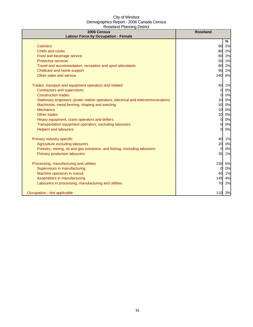| 2006 Census<br><b>Labour Force by Occupation - Female</b>                        | <b>Roseland</b> |       |
|----------------------------------------------------------------------------------|-----------------|-------|
|                                                                                  |                 | $\%$  |
| <b>Cashiers</b>                                                                  | 80              | 2%    |
| <b>Chefs and cooks</b>                                                           |                 | 80 2% |
| Food and beverage service                                                        | 80              | 2%    |
| <b>Protective services</b>                                                       | 50              | 1%    |
| Travel and accommodation, recreation and sport attendants                        | 80              | 2%    |
| Childcare and home support                                                       | 95              | 2%    |
| Other sales and service                                                          | 240             | 6%    |
| Trades, transport and equipment operators and related                            | 40              | 1%    |
| <b>Contractors and supervisors</b>                                               | $\Omega$        | 0%    |
| <b>Construction trades</b>                                                       | $\Omega$        | 0%    |
| Stationary engineers, power station operators, electrical and telecommunications | 10              | 0%    |
| Machinists, metal forming, shaping and erecting                                  | 10              | 0%    |
| <b>Mechanics</b>                                                                 |                 | 10 0% |
| Other trades                                                                     | 10              | 0%    |
| Heavy equipment, crane operators and drillers                                    | $\Omega$        | 0%    |
| Transportation equipment operators, excluding labourers                          | $\Omega$        | 0%    |
| <b>Helpers and labourers</b>                                                     | $\Omega$        | 0%    |
| Primary industry-specific                                                        | 40              | 1%    |
| Agriculture excluding labourers                                                  | 20              | 0%    |
| Forestry, mining, oil and gas extraction, and fishing, excluding labourers       | $\Omega$        | 0%    |
| <b>Primary production labourers</b>                                              | 35              | 1%    |
| Processing, manufacturing and utilities                                          | 230             | 6%    |
| Supervisors in manufacturing                                                     | 0               | 0%    |
| Machine operators in manuf.                                                      | 40              | 1%    |
| Assemblers in manufacturing                                                      | 145             | 4%    |
| Labourers in processing, manufacturing and utilities                             | 70              | 2%    |
| Occupation - Not applicable                                                      | 110 3%          |       |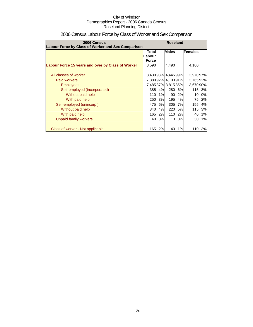| 2006 Census<br>Labour Force by Class of Worker and Sex Comparison | <b>Roseland</b>                  |    |                   |           |            |    |  |
|-------------------------------------------------------------------|----------------------------------|----|-------------------|-----------|------------|----|--|
|                                                                   | <b>Males</b><br>Females<br>Total |    |                   |           |            |    |  |
|                                                                   | Labourl                          |    |                   |           |            |    |  |
|                                                                   | <b>Force</b>                     |    |                   |           |            |    |  |
| Labour Force 15 years and over by Class of Worker                 | 8,590                            |    | 4,490             |           | 4,100      |    |  |
|                                                                   |                                  |    |                   |           |            |    |  |
| All classes of worker                                             |                                  |    | 8,43098% 4,44599% |           | 3,970 97%  |    |  |
| Paid workers                                                      |                                  |    | 7,88092% 4,10091% |           | 3,76592%   |    |  |
| <b>Employees</b>                                                  |                                  |    | 7,48587% 3,81585% |           | 3,670 90%  |    |  |
| Self-employed (incorporated)                                      | 385                              | 4% | 280               | 6%        | 115I       | 3% |  |
| Without paid help                                                 | 110                              | 1% | 90                | 2%        | 10         | 0% |  |
| With paid help                                                    | 250                              | 3% | 195               | 4%        | 75         | 2% |  |
| Self-employed (unincorp.)                                         | 475                              | 6% | 305               | 7%        | <b>155</b> | 4% |  |
| Without paid help                                                 | 340                              | 4% | 220               | <b>5%</b> | 115        | 3% |  |
| With paid help                                                    | 165                              | 2% | 110               | 2%        | 40         | 1% |  |
| Unpaid family workers                                             | 40                               | 0% | 10                | 0%        | 30         | 1% |  |
|                                                                   |                                  |    |                   |           |            |    |  |
| Class of worker - Not applicable                                  | <b>165</b>                       | 2% | 40                | 1%        | 110        | 3% |  |

# 2006 Census Labour Force by Class of Worker and Sex Comparison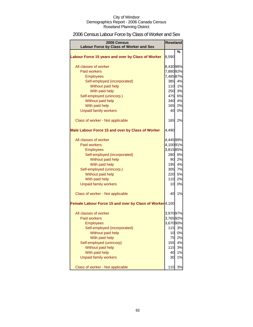# 2006 Census Labour Force by Class of Worker and Sex

| 2006 Census<br>Labour Force by Class of Worker and Sex                | <b>Roseland</b> |        |
|-----------------------------------------------------------------------|-----------------|--------|
|                                                                       |                 | %      |
| Labour Force 15 years and over by Class of Worker                     | 8,590           |        |
| All classes of worker                                                 | 8,43098%        |        |
| <b>Paid workers</b>                                                   | 7,88092%        |        |
| <b>Employees</b>                                                      | 7,48587%        |        |
| Self-employed (incorporated)                                          | 385             | 4%     |
| Without paid help                                                     | 110             | 1%     |
| With paid help                                                        |                 | 250 3% |
| Self-employed (unincorp.)                                             |                 | 475 6% |
| Without paid help                                                     |                 | 340 4% |
| With paid help                                                        |                 | 165 2% |
| <b>Unpaid family workers</b>                                          | 40              | 0%     |
|                                                                       |                 |        |
| Class of worker - Not applicable                                      | 165             | 2%     |
| Male Labour Force 15 and over by Class of Worker                      | 4,490           |        |
| All classes of worker                                                 | 4,445 99%       |        |
| <b>Paid workers</b>                                                   | 4,10091%        |        |
| <b>Employees</b>                                                      | 3,81585%        |        |
| Self-employed (incorporated)                                          | 280             | 6%     |
| Without paid help                                                     |                 | 90 2%  |
| With paid help                                                        |                 | 195 4% |
| Self-employed (unincorp.)                                             |                 | 305 7% |
| Without paid help                                                     |                 | 220 5% |
| With paid help                                                        |                 | 110 2% |
| <b>Unpaid family workers</b>                                          | 10 <sup>1</sup> | 0%     |
|                                                                       |                 |        |
| Class of worker - Not applicable                                      | 40              | 1%     |
| Female Labour Force 15 and over by Class of Worker <sup>[4,100]</sup> |                 |        |
| All classes of worker                                                 | 3,97097%        |        |
| <b>Paid workers</b>                                                   | 3,76592%        |        |
| Employees                                                             | 3,670 90%       |        |
| Self-employed (incorporated)                                          | 115             | 3%     |
| Without paid help                                                     | 10              | 0%     |
| With paid help                                                        | 75              | 2%     |
| Self-employed (unincorp)                                              | 155             | 4%     |
| Without paid help                                                     | 115             | 3%     |
| With paid help                                                        | 40              | 1%     |
| <b>Unpaid family workers</b>                                          | 30              | 1%     |
| Class of worker - Not applicable                                      | 110             | 3%     |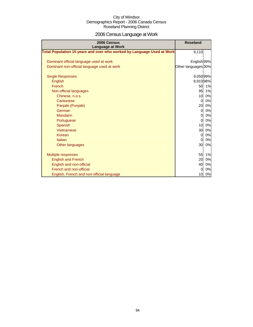# 2006 Census Language at Work

| 2006 Census<br><b>Language at Work</b>                                 | <b>Roseland</b>     |    |
|------------------------------------------------------------------------|---------------------|----|
| Total Population 15 years and over who worked by Language Used at Work | 9,110               |    |
|                                                                        |                     |    |
| Dominant official language used at work                                | English 99%         |    |
| Dominant non-official language used at work                            | Other languages 30% |    |
| <b>Single Responses</b>                                                | 9,050 99%           |    |
| <b>English</b>                                                         | 8,91098%            |    |
| French                                                                 | 50                  | 1% |
| Non-official languages                                                 | 95                  | 1% |
| Chinese, n.o.s.                                                        | 10                  | 0% |
| Cantonese                                                              | $\overline{0}$      | 0% |
| Panjabi (Punjabi)                                                      | 20                  | 0% |
| German                                                                 | $\Omega$            | 0% |
| <b>Mandarin</b>                                                        | 0                   | 0% |
| Portuguese                                                             | 0                   | 0% |
| <b>Spanish</b>                                                         | 10                  | 0% |
| Vietnamese                                                             | 30                  | 0% |
| Korean                                                                 | 0                   | 0% |
| Italian                                                                | $\Omega$            | 0% |
| Other languages                                                        | 30                  | 0% |
|                                                                        |                     |    |
| <b>Multiple responses</b>                                              | 55                  | 1% |
| <b>English and French</b>                                              | 20                  | 0% |
| English and non-official                                               | 40                  | 0% |
| French and non-official                                                | $\Omega$            | 0% |
| English, French and non-official language                              | 10                  | 0% |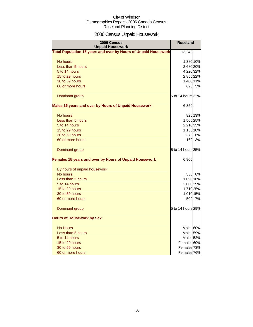# 2006 Census Unpaid Housework

| 2006 Census<br><b>Unpaid Housework</b>                                 | <b>Roseland</b>        |
|------------------------------------------------------------------------|------------------------|
| <b>Total Population 15 years and over by Hours of Unpaid Housework</b> | 13,240                 |
| No hours                                                               | 1,380 10%              |
| Less than 5 hours                                                      | 2,680 20%              |
| 5 to 14 hours                                                          | 4,220 32%              |
| 15 to 29 hours                                                         | 2,855 22%              |
| 30 to 59 hours                                                         | 1,400 11%              |
| 60 or more hours                                                       | 625 5%                 |
| Dominant group                                                         | 5 to 14 hours 32%      |
| <b>Males 15 years and over by Hours of Unpaid Housework</b>            | 6,350                  |
| No hours                                                               | 82013%                 |
| Less than 5 hours                                                      | 1,565 25%              |
| 5 to 14 hours                                                          | 2,210 35%              |
| 15 to 29 hours                                                         | 1,155 18%              |
| 30 to 59 hours                                                         | 370 6%                 |
| 60 or more hours                                                       | 160<br>3%              |
| Dominant group                                                         | 5 to 14 hours 35%      |
| Females 15 years and over by Hours of Unpaid Housework                 | 6,900                  |
| By hours of unpaid housework                                           |                        |
| No hours                                                               | 555 8%                 |
| Less than 5 hours                                                      | 1,090 16%              |
| 5 to 14 hours                                                          | 2,000 29%              |
| 15 to 29 hours                                                         | 1,710 25%              |
| 30 to 59 hours                                                         | 1,010 15%              |
| 60 or more hours                                                       | 500 7%                 |
| Dominant group                                                         | 5 to 14 hours 29%      |
| <b>Hours of Housework by Sex</b>                                       |                        |
| <b>No Hours</b>                                                        | Males 60%              |
| Less than 5 hours                                                      | Males <sub>59%</sub>   |
| 5 to 14 hours                                                          | Males <sup>52%</sup>   |
| 15 to 29 hours                                                         | Females 60%            |
| 30 to 59 hours                                                         | Females <sup>73%</sup> |
| 60 or more hours                                                       | Females <sup>76%</sup> |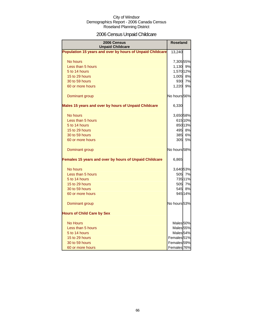# 2006 Census Unpaid Childcare

| 2006 Census<br><b>Unpaid Childcare</b>                    | <b>Roseland</b>        |         |
|-----------------------------------------------------------|------------------------|---------|
| Population 15 years and over by hours of Unpaid Childcare | 13,240                 |         |
| No hours                                                  | 7,305 55%              |         |
| Less than 5 hours                                         | 1,130 9%               |         |
| 5 to 14 hours                                             | 1,570 12%              |         |
| 15 to 29 hours                                            | 1,005 8%               |         |
| 30 to 59 hours                                            |                        | 930 7%  |
| 60 or more hours                                          | 1,220 9%               |         |
| Dominant group                                            | No hours 56%           |         |
| Males 15 years and over by hours of Unpaid Childcare      | 6,330                  |         |
| No hours                                                  | 3,650 58%              |         |
| Less than 5 hours                                         |                        | 615 10% |
| 5 to 14 hours                                             |                        | 850 13% |
| 15 to 29 hours                                            |                        | 495 8%  |
| 30 to 59 hours                                            |                        | 385 6%  |
| 60 or more hours                                          |                        | 305 5%  |
| Dominant group                                            | No hours 58%           |         |
| Females 15 years and over by hours of Unpaid Childcare    | 6,865                  |         |
| No hours                                                  | 3,640 53%              |         |
| Less than 5 hours                                         |                        | 505 7%  |
| 5 to 14 hours                                             |                        | 735 11% |
| 15 to 29 hours                                            |                        | 505 7%  |
| 30 to 59 hours                                            |                        | 545 8%  |
| 60 or more hours                                          |                        | 945 14% |
| Dominant group                                            | No hours 53%           |         |
| <b>Hours of Child Care by Sex</b>                         |                        |         |
| <b>No Hours</b>                                           | Males 50%              |         |
| Less than 5 hours                                         | Males <sub>55%</sub>   |         |
| 5 to 14 hours                                             | Males <sub>54%</sub>   |         |
| 15 to 29 hours                                            | Females <sub>51%</sub> |         |
| 30 to 59 hours                                            | Females 59%            |         |
| 60 or more hours                                          | Females <sup>76%</sup> |         |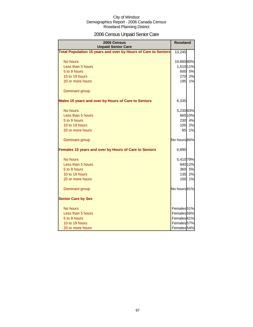# 2006 Census Unpaid Senior Care

| 2006 Census<br><b>Unpaid Senior Care</b>                       | <b>Roseland</b>        |         |
|----------------------------------------------------------------|------------------------|---------|
| Total Population 15 years and over by Hours of Care to Seniors | 13,245                 |         |
| No hours                                                       | 10,66080%              |         |
| Less than 5 hours                                              | 1,510 11%              |         |
| 5 to 9 hours                                                   |                        | 600 5%  |
| 10 to 19 hours                                                 | 270                    | 2%      |
| 20 or more hours                                               | 195                    | 1%      |
| Dominant group                                                 |                        |         |
| Males 15 years and over by Hours of Care to Seniors            | 6,335                  |         |
| No hours                                                       | 5,23083%               |         |
| Less than 5 hours                                              |                        | 665 10% |
| 5 to 9 hours                                                   | 230                    | 4%      |
| 10 to 19 hours                                                 | 100                    | 2%      |
| 20 or more hours                                               | 85I                    | 1%      |
| Dominant group                                                 | No hours 84%           |         |
| Females 15 years and over by Hours of Care to Seniors          | 6,890                  |         |
| No hours                                                       | 5,410 79%              |         |
| Less than 5 hours                                              |                        | 840 12% |
| 5 to 9 hours                                                   |                        | 360 5%  |
| 10 to 19 hours                                                 | 135                    | 2%      |
| 20 or more hours                                               | 100                    | 1%      |
| Dominant group                                                 | No hours 81%           |         |
| <b>Senior Care by Sex</b>                                      |                        |         |
| No hours                                                       | Females <sup>51%</sup> |         |
| Less than 5 hours                                              | Females 56%            |         |
| 5 to 9 hours                                                   | Females <sup>61%</sup> |         |
| 10 to 19 hours                                                 | Females <sup>57%</sup> |         |
| 20 or more hours                                               | Females <sub>54%</sub> |         |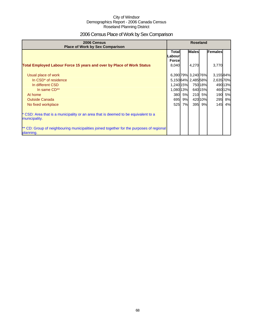# 2006 Census Place of Work by Sex Comparison

| 2006 Census<br><b>Place of Work by Sex Comparison</b>                                                 |                                   | <b>Roseland</b> |                     |         |                |         |
|-------------------------------------------------------------------------------------------------------|-----------------------------------|-----------------|---------------------|---------|----------------|---------|
|                                                                                                       | Totall<br>Labour<br><b>Forcel</b> |                 | <b>Males</b>        |         | <b>Females</b> |         |
| <b>Total Employed Labour Force 15 years and over by Place of Work Status</b>                          | 8,040                             |                 | 4,270               |         | 3,770          |         |
| Usual place of work                                                                                   |                                   |                 | 6,390 79% 3,240 76% |         | 3,15584%       |         |
| In CSD <sup>*</sup> of residence                                                                      |                                   |                 | 5,15064% 2,48558%   |         | 2,635 70%      |         |
| In different CSD                                                                                      | 1.240 15%                         |                 |                     | 750 18% |                | 490 13% |
| In same CD**                                                                                          | 1,080 13%                         |                 |                     | 640 15% |                | 460 12% |
| At home                                                                                               |                                   | 380 5%          | 210                 | 5%      | 190            | 5%      |
| <b>Outside Canada</b>                                                                                 |                                   | 695 9%          |                     | 420 10% | 295            | 8%      |
| No fixed workplace                                                                                    | 525                               | 7%              | 395                 | 9%      | 145 <b>I</b>   | 4%      |
| CSD: Area that is a municipality or an area that is deemed to be equivalent to a<br>municipality.     |                                   |                 |                     |         |                |         |
| ** CD: Group of neighbouring municipalities joined together for the purposes of regional<br>planning. |                                   |                 |                     |         |                |         |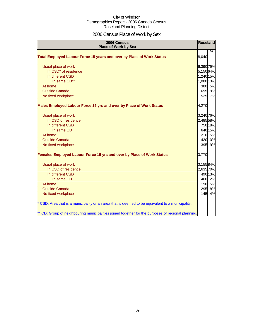# 2006 Census Place of Work by Sex

| 2006 Census<br><b>Place of Work by Sex</b>                                                         | Roseland  |                          |
|----------------------------------------------------------------------------------------------------|-----------|--------------------------|
|                                                                                                    |           | $\overline{\frac{9}{6}}$ |
| Total Employed Labour Force 15 years and over by Place of Work Status                              | 8,040     |                          |
| Usual place of work                                                                                | 6,390 79% |                          |
| In CSD* of residence                                                                               | 5,15064%  |                          |
| In different CSD                                                                                   | 1,240 15% |                          |
| In same CD**                                                                                       | 1,080 13% |                          |
| At home                                                                                            |           | 380 5%                   |
| <b>Outside Canada</b>                                                                              |           | 695 9%                   |
| No fixed workplace                                                                                 |           | 525 7%                   |
| Males Employed Labour Force 15 yrs and over by Place of Work Status                                | 4,270     |                          |
| Usual place of work                                                                                | 3,240 76% |                          |
| In CSD of residence                                                                                | 2,485 58% |                          |
| In different CSD                                                                                   |           | 750 18%                  |
| In same CD                                                                                         |           | 640 15%                  |
| At home                                                                                            |           | 210 5%                   |
| <b>Outside Canada</b>                                                                              |           | 420 10%                  |
| No fixed workplace                                                                                 |           | 395 9%                   |
| <b>Females Employed Labour Force 15 yrs and over by Place of Work Status</b>                       | 3,770     |                          |
| Usual place of work                                                                                | 3,15584%  |                          |
| In CSD of residence                                                                                | 2,635 70% |                          |
| In different CSD                                                                                   |           | 490 13%                  |
| In same CD                                                                                         |           | 460 12%                  |
| At home                                                                                            |           | 190 5%                   |
| <b>Outside Canada</b>                                                                              | 295       | 8%                       |
| No fixed workplace                                                                                 | 145       | 4%                       |
| * CSD: Area that is a municipality or an area that is deemed to be equivalent to a municipality.   |           |                          |
| ** CD: Group of neighbouring municipalities joined together for the purposes of regional planning. |           |                          |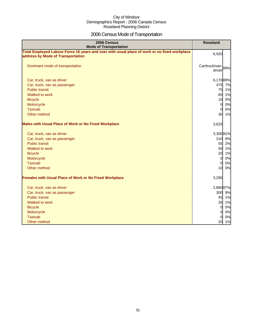# 2006 Census Mode of Transportation

| 2006 Census<br><b>Mode of Transportation</b>                                                                                      | <b>Roseland</b>             |    |
|-----------------------------------------------------------------------------------------------------------------------------------|-----------------------------|----|
| Total Employed Labour Force 15 years and over with usual place of work or no fixed workplace<br>address by Mode of Transportation | 6,920                       |    |
| Dominant mode of transportation                                                                                                   | Car/truck/van-89%<br>driver |    |
| Car, truck, van as driver                                                                                                         | 6,17089%                    |    |
| Car, truck, van as passenger                                                                                                      | 475 7%                      |    |
| <b>Public transit</b>                                                                                                             | 75 1%                       |    |
| Walked to work                                                                                                                    | 65 1%                       |    |
| <b>Bicycle</b>                                                                                                                    | 10                          | 0% |
| Motorcycle                                                                                                                        | $\Omega$                    | 0% |
| <b>Taxicab</b>                                                                                                                    | $\overline{0}$              | 0% |
| Other method                                                                                                                      | 35                          | 1% |
| <b>Males with Usual Place of Work or No Fixed Workplace</b>                                                                       | 3,625                       |    |
| Car, truck, van as driver                                                                                                         | 3,30091%                    |    |
| Car, truck, van as passenger                                                                                                      | 210 6%                      |    |
| <b>Public transit</b>                                                                                                             | 55                          | 2% |
| Walked to work                                                                                                                    | 50 1%                       |    |
| <b>Bicycle</b>                                                                                                                    | 20                          | 1% |
| Motorcycle                                                                                                                        | $\overline{0}$              | 0% |
| <b>Taxicab</b>                                                                                                                    | $\overline{0}$              | 0% |
| Other method                                                                                                                      | 10                          | 0% |
| <b>Females with Usual Place of Work or No Fixed Workplace</b>                                                                     | 3,290                       |    |
| Car, truck, van as driver                                                                                                         | 2,860 87%                   |    |
| Car, truck, van as passenger                                                                                                      | 300 9%                      |    |
| <b>Public transit</b>                                                                                                             | 45 1%                       |    |
| Walked to work                                                                                                                    | 35 1%                       |    |
| <b>Bicycle</b>                                                                                                                    | $\overline{0}$              | 0% |
| Motorcycle                                                                                                                        | $\overline{O}$              | 0% |
| <b>Taxicab</b>                                                                                                                    | $\Omega$                    | 0% |
| Other method                                                                                                                      | 20                          | 1% |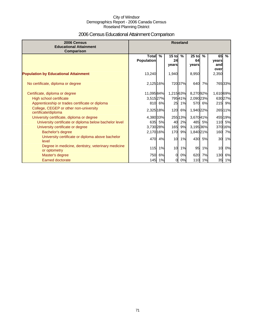# 2006 Census Educational Attainment Comparison

| 2006 Census<br><b>Educational Attainment</b><br>Comparison                                                                                                                                                                                                                           | <b>Roseland</b>                                         |               |                              |                                     |                                                |                  |                            |                                                 |
|--------------------------------------------------------------------------------------------------------------------------------------------------------------------------------------------------------------------------------------------------------------------------------------|---------------------------------------------------------|---------------|------------------------------|-------------------------------------|------------------------------------------------|------------------|----------------------------|-------------------------------------------------|
|                                                                                                                                                                                                                                                                                      | <b>Total</b><br><b>Population</b>                       | $\frac{9}{6}$ | $15$ to<br>24<br>vears       | $\frac{9}{6}$                       | $25$ to<br>64<br>years                         | $\%$             | 65<br>years<br>and<br>over | $\frac{9}{6}$                                   |
| <b>Population by Educational Attainment</b>                                                                                                                                                                                                                                          | 13,240                                                  |               | 1,940                        |                                     | 8,950                                          |                  | 2,350                      |                                                 |
| No certificate, diploma or degree                                                                                                                                                                                                                                                    | 2,125 16%                                               |               |                              | 72037%                              | 640                                            | 7%               |                            | 765 33%                                         |
| Certificate, diploma or degree<br>High school certificate<br>Apprenticeship or trades certificate or diploma<br>College, CEGEP or other non-university<br>certificate/diploma<br>University certificate, diploma or degree<br>University certificate or diploma below bachelor level | 11,09584%<br>3,515 27%<br>2,325 18%<br>4,380 33%<br>635 | 810 6%<br>5%  | 1,215 63%<br>25<br>120<br>40 | 79541%<br>1%<br>6%<br>255 13%<br>2% | 8,27092%<br>2,090 23%<br>1,940 22%<br>3,67041% | 570 6%<br>485 5% | 1,61069%                   | 63027%<br>215 9%<br>26511%<br>455 19%<br>110 5% |
| University certificate or degree<br>Bachelor's degree<br>University certificate or diploma above bachelor                                                                                                                                                                            | 3,730 28%<br>2,170 16%<br>470                           | 4%            | 165<br>170<br>10             | 9%<br>9%<br>1%                      | 3,195 36%<br>1,840 21%<br>430                  | 5%               | 160<br>30                  | 37016%<br>7%<br>1%                              |
| level<br>Degree in medicine, dentistry, veterinary medicine<br>or optometry<br>Master's degree                                                                                                                                                                                       | 115<br>750                                              | 1%<br>6%      | 10<br>$\Omega$               | 1%<br>0%                            | 95<br>620                                      | 1%<br>7%         | 10 <sub>l</sub><br>130     | 0%<br>6%                                        |
| <b>Earned doctorate</b>                                                                                                                                                                                                                                                              |                                                         | 145 1%        | 0                            | 0%                                  |                                                | 110 1%           | 35                         | 1%                                              |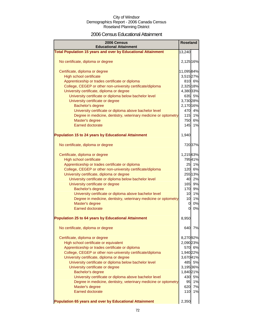### 2006 Census Educational Attainment

| 2006 Census<br><b>Educational Attainment</b>                        | <b>Roseland</b> |         |
|---------------------------------------------------------------------|-----------------|---------|
| <b>Total Population 15 years and over by Educational Attainment</b> | 13,240          |         |
|                                                                     |                 |         |
| No certificate, diploma or degree                                   | 2,125 16%       |         |
| Certificate, diploma or degree                                      | 11,09584%       |         |
| <b>High school certificate</b>                                      | 3,515 27%       |         |
| Apprenticeship or trades certificate or diploma                     |                 | 810 6%  |
| College, CEGEP or other non-university certificate/diploma          | 2,325 18%       |         |
| University certificate, diploma or degree                           | 4,380 33%       |         |
| University certificate or diploma below bachelor level              |                 | 635 5%  |
| University certificate or degree                                    | 3,730 28%       |         |
| Bachelor's degree                                                   | 2,170 16%       |         |
| University certificate or diploma above bachelor level              | 470             | 4%      |
| Degree in medicine, dentistry, veterinary medicine or optometry     | 115             | 1%      |
| Master's degree                                                     |                 | 750 6%  |
| <b>Earned doctorate</b>                                             | 145             | 1%      |
|                                                                     |                 |         |
| <b>Population 15 to 24 years by Educational Attainment</b>          | 1,940           |         |
| No certificate, diploma or degree                                   |                 | 720 37% |
|                                                                     |                 |         |
| Certificate, diploma or degree                                      | 1,215 63%       |         |
| <b>High school certificate</b>                                      |                 | 79541%  |
| Apprenticeship or trades certificate or diploma                     |                 | 25 1%   |
| College, CEGEP or other non-university certificate/diploma          |                 | 120 6%  |
| University certificate, diploma or degree                           |                 | 255 13% |
| University certificate or diploma below bachelor level              |                 | 40 2%   |
| University certificate or degree                                    | 165             | 9%      |
| Bachelor's degree                                                   | 170             | 9%      |
| University certificate or diploma above bachelor level              | 10 <sup>1</sup> | 1%      |
| Degree in medicine, dentistry, veterinary medicine or optometry     | 10 <sup>1</sup> | 1%      |
| Master's degree                                                     | 0               | 0%      |
| Earned doctorate                                                    | 0               | 0%      |
| <b>Population 25 to 64 years by Educational Attainment</b>          | 8,950           |         |
| No certificate, diploma or degree                                   | 640             | 7%      |
| Certificate, diploma or degree                                      | 8,27092%        |         |
| High school certificate or equivalent                               | 2,090 23%       |         |
| Apprenticeship or trades certificate or diploma                     |                 | 570 6%  |
| College, CEGEP or other non-university certificate/diploma          | 1,940 22%       |         |
| University certificate, diploma or degree                           | 3,67041%        |         |
| University certificate or diploma below bachelor level              |                 | 485 5%  |
| University certificate or degree                                    | 3,195 36%       |         |
| Bachelor's degree                                                   | 1,840 21%       |         |
| University certificate or diploma above bachelor level              | 430             | 5%      |
| Degree in medicine, dentistry, veterinary medicine or optometry     | 95              | 1%      |
| Master's degree                                                     | 620             | 7%      |
| <b>Earned doctorate</b>                                             | 110             | 1%      |
| Population 65 years and over by Educational Attainment              | 2,350           |         |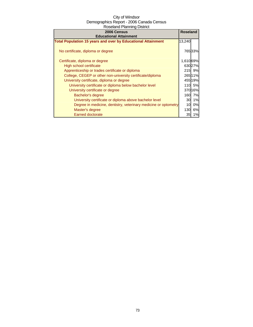| 2006 Census<br><b>Educational Attainment</b>                        | <b>Roseland</b> |         |
|---------------------------------------------------------------------|-----------------|---------|
| <b>Total Population 15 years and over by Educational Attainment</b> | 13,240          |         |
|                                                                     |                 |         |
| No certificate, diploma or degree                                   |                 | 76533%  |
|                                                                     |                 |         |
| Certificate, diploma or degree                                      | 1,610 69%       |         |
| High school certificate                                             |                 | 63027%  |
| Apprenticeship or trades certificate or diploma                     |                 | 215 9%  |
| College, CEGEP or other non-university certificate/diploma          |                 | 265 11% |
| University certificate, diploma or degree                           |                 | 455 19% |
| University certificate or diploma below bachelor level              |                 | 110 5%  |
| University certificate or degree                                    |                 | 37016%  |
| Bachelor's degree                                                   | 160             | 7%      |
| University certificate or diploma above bachelor level              | 30              | 1%      |
| Degree in medicine, dentistry, veterinary medicine or optometry     | 10              | 0%      |
| Master's degree                                                     | 130             | 6%      |
| Earned doctorate                                                    | 35              | 1%      |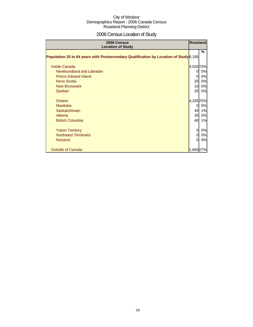# 2006 Census Location of Study

| 2006 Census<br><b>Location of Study</b>                                               |           | <b>Roseland</b> |
|---------------------------------------------------------------------------------------|-----------|-----------------|
| Population 25 to 64 years with Postsecondary Qualification by Location of Study 6,195 |           | %               |
| <b>Inside Canada</b>                                                                  | 4,520 73% |                 |
| Newfoundland and Labrador                                                             | 0         | 0%              |
| <b>Prince Edward Island</b>                                                           | $\Omega$  | 0%              |
| Nova Scotia                                                                           | 20        | 0%              |
| <b>New Brunswick</b>                                                                  | 10        | 0%              |
| Quebec                                                                                | 25        | 0%              |
| Ontario                                                                               | 4,335 70% |                 |
| <b>Manitoba</b>                                                                       | 0         | 0%              |
| Saskatchewan                                                                          | 45        | 1%              |
| Alberta                                                                               | 30        | 0%              |
| <b>British Columbia</b>                                                               | 40        | 1%              |
| <b>Yukon Territory</b>                                                                | 0         | 0%              |
| <b>Northwest Territories</b>                                                          | 0         | 0%              |
| <b>Nunavut</b>                                                                        | 0         | 0%              |
| <b>Outside of Canada</b>                                                              | 1,665 27% |                 |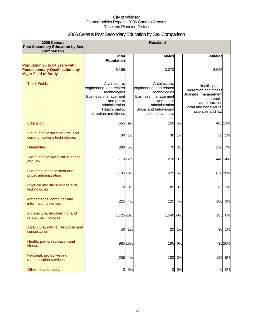# 2006 Census Post Secondary Education by Sex Comparison

| 2006 Census<br><b>Post Secondary Education by Sex</b><br>Comparison                                     |                                                                                                                                                               |         | <b>Roseland</b>                                                                                                                                                 |         |                                                                                                                                                |         |
|---------------------------------------------------------------------------------------------------------|---------------------------------------------------------------------------------------------------------------------------------------------------------------|---------|-----------------------------------------------------------------------------------------------------------------------------------------------------------------|---------|------------------------------------------------------------------------------------------------------------------------------------------------|---------|
|                                                                                                         | <b>Total</b>                                                                                                                                                  |         | <b>Males</b>                                                                                                                                                    |         | <b>Females</b>                                                                                                                                 |         |
| Population 25 to 64 years with<br><b>Postsecondary Qualifications by</b><br><b>Major Field of Study</b> | <b>Population</b><br>6,165                                                                                                                                    |         | 3,070                                                                                                                                                           |         | 3,095                                                                                                                                          |         |
| <b>Top 3 Fields</b>                                                                                     | Architecture.<br>engineering, and related<br>technologies<br>Business, management<br>and public<br>administration<br>Health, parks,<br>recreation and fitness |         | Architecture.<br>engineering, and related<br>technologies<br>Business, management<br>and public<br>administration<br>Social and behavioural<br>sciences and law |         | Health, parks,<br>recreation and fitness<br>Business, management<br>and public<br>administration<br>Social and behavioural<br>sciences and law |         |
| Education                                                                                               | 555                                                                                                                                                           | 9%      | 150                                                                                                                                                             | 5%      |                                                                                                                                                | 405 13% |
| Visual and performing arts, and<br>communications technologies                                          | 80                                                                                                                                                            | 1%      | 30                                                                                                                                                              | 1%      | 50                                                                                                                                             | 2%      |
| <b>Humanities</b>                                                                                       |                                                                                                                                                               | 290 5%  | 70                                                                                                                                                              | 2%      |                                                                                                                                                | 220 7%  |
| Social and behavioural sciences<br>and law                                                              |                                                                                                                                                               | 710 12% | 270                                                                                                                                                             | 9%      |                                                                                                                                                | 440 14% |
| Business, management and<br>public administration                                                       | 1,105 18%                                                                                                                                                     |         |                                                                                                                                                                 | 475 15% |                                                                                                                                                | 630 20% |
| Physical and life sciences and<br>technologies                                                          | 170                                                                                                                                                           | 3%      | 85                                                                                                                                                              | 3%      | 85                                                                                                                                             | 3%      |
| Mathematics, computer and<br>information sciences                                                       | 225                                                                                                                                                           | 4%      | 125                                                                                                                                                             | 4%      | 100                                                                                                                                            | 3%      |
| Architecture, engineering, and<br>related technologies                                                  | 1,725 28%                                                                                                                                                     |         | 1,540 50%                                                                                                                                                       |         | 185                                                                                                                                            | 6%      |
| Agriculture, natural resources and<br>conservation                                                      | 50                                                                                                                                                            | 1%      | 20                                                                                                                                                              | 1%      | 30                                                                                                                                             | 1%      |
| Health, parks, recreation and<br>fitness                                                                |                                                                                                                                                               | 985 16% |                                                                                                                                                                 | 195 6%  |                                                                                                                                                | 790 26% |
| Personal, protective and<br>transportation services                                                     | 255                                                                                                                                                           | 4%      |                                                                                                                                                                 | 100 3%  | 155                                                                                                                                            | 5%      |
| Other fields of study                                                                                   | 0                                                                                                                                                             | 0%      | $\overline{0}$                                                                                                                                                  | 0%      | 0                                                                                                                                              | 0%      |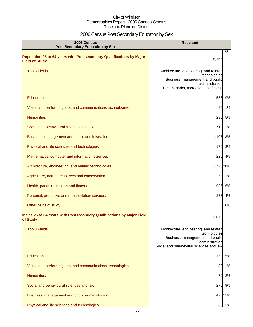# 2006 Census Post Secondary Education by Sex

| 2006 Census<br><b>Post Secondary Education by Sex</b>                                         | <b>Roseland</b>                                                                                                                                        |  |  |
|-----------------------------------------------------------------------------------------------|--------------------------------------------------------------------------------------------------------------------------------------------------------|--|--|
| Population 25 to 64 years with Postsecondary Qualifications by Major<br><b>Field of Study</b> | %<br>6,165                                                                                                                                             |  |  |
| <b>Top 3 Fields</b>                                                                           | Architecture, engineering, and related<br>technologies<br>Business, management and public<br>administration<br>Health, parks, recreation and fitness   |  |  |
| <b>Education</b>                                                                              | 555<br>9%                                                                                                                                              |  |  |
| Visual and performing arts, and communications technologies                                   | 1%<br>80                                                                                                                                               |  |  |
| <b>Humanities</b>                                                                             | 290<br>5%                                                                                                                                              |  |  |
| Social and behavioural sciences and law                                                       | 710 12%                                                                                                                                                |  |  |
| Business, management and public administration                                                | 1,105 18%                                                                                                                                              |  |  |
| Physical and life sciences and technologies                                                   | 170 3%                                                                                                                                                 |  |  |
| Mathematics, computer and information sciences                                                | 225 4%                                                                                                                                                 |  |  |
| Architecture, engineering, and related technologies                                           | 1,725 28%                                                                                                                                              |  |  |
| Agriculture, natural resources and conservation                                               | 50 1%                                                                                                                                                  |  |  |
| Health, parks, recreation and fitness                                                         | 985 16%                                                                                                                                                |  |  |
| Personal, protective and transportation services                                              | 255 4%                                                                                                                                                 |  |  |
| Other fields of study                                                                         | 0%<br>0                                                                                                                                                |  |  |
| Males 25 to 64 Years with Postsecondary Qualifications by Major Field<br>of Study             | 3,070                                                                                                                                                  |  |  |
| <b>Top 3 Fields</b>                                                                           | Architecture, engineering, and related<br>technologies<br>Business, management and public<br>administration<br>Social and behavioural sciences and law |  |  |
| <b>Education</b>                                                                              | 150<br>5%                                                                                                                                              |  |  |
| Visual and performing arts, and communications technologies                                   | 1%<br>30                                                                                                                                               |  |  |
| <b>Humanities</b>                                                                             | 2%<br>70                                                                                                                                               |  |  |
| Social and behavioural sciences and law                                                       | 270<br>9%                                                                                                                                              |  |  |
| Business, management and public administration                                                | 475 15%                                                                                                                                                |  |  |
| Physical and life sciences and technologies                                                   | 85 3%                                                                                                                                                  |  |  |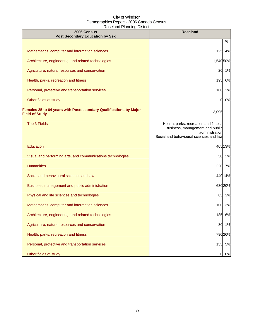| 2006 Census<br><b>Post Secondary Education by Sex</b>                                      | <b>Roseland</b>                                                                                                                       |  |  |
|--------------------------------------------------------------------------------------------|---------------------------------------------------------------------------------------------------------------------------------------|--|--|
|                                                                                            | %                                                                                                                                     |  |  |
| Mathematics, computer and information sciences                                             | 125 4%                                                                                                                                |  |  |
| Architecture, engineering, and related technologies                                        | 1,540 50%                                                                                                                             |  |  |
| Agriculture, natural resources and conservation                                            | 20 1%                                                                                                                                 |  |  |
| Health, parks, recreation and fitness                                                      | 195 6%                                                                                                                                |  |  |
| Personal, protective and transportation services                                           | 100 3%                                                                                                                                |  |  |
| Other fields of study                                                                      | 0%<br><sub>0</sub>                                                                                                                    |  |  |
| Females 25 to 64 years with Postsecondary Qualifications by Major<br><b>Field of Study</b> | 3,095                                                                                                                                 |  |  |
| <b>Top 3 Fields</b>                                                                        | Health, parks, recreation and fitness<br>Business, management and public<br>administration<br>Social and behavioural sciences and law |  |  |
| <b>Education</b>                                                                           | 405 13%                                                                                                                               |  |  |
| Visual and performing arts, and communications technologies                                | 50 2%                                                                                                                                 |  |  |
| <b>Humanities</b>                                                                          | 220 7%                                                                                                                                |  |  |
| Social and behavioural sciences and law                                                    | 440 14%                                                                                                                               |  |  |
| Business, management and public administration                                             | 630 20%                                                                                                                               |  |  |
| Physical and life sciences and technologies                                                | 85 3%                                                                                                                                 |  |  |
| Mathematics, computer and information sciences                                             | 100 3%                                                                                                                                |  |  |
| Architecture, engineering, and related technologies                                        | 185 6%                                                                                                                                |  |  |
| Agriculture, natural resources and conservation                                            | 30 1%                                                                                                                                 |  |  |
| Health, parks, recreation and fitness                                                      | 790 26%                                                                                                                               |  |  |
| Personal, protective and transportation services                                           | 155 5%                                                                                                                                |  |  |
| Other fields of study                                                                      | 0 0%                                                                                                                                  |  |  |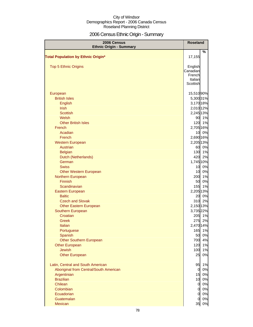# 2006 Census Ethnic Origin - Summary

| 2006 Census<br><b>Ethnic Origin - Summary</b> |                     | <b>Roseland</b>      |
|-----------------------------------------------|---------------------|----------------------|
|                                               |                     | $\frac{0}{0}$        |
| <b>Total Population by Ethnic Origin*</b>     | 17,155              |                      |
|                                               |                     |                      |
| <b>Top 5 Ethnic Origins</b>                   | English             |                      |
|                                               | Canadian            |                      |
|                                               | French              |                      |
|                                               | Italian<br>Scottish |                      |
|                                               |                     |                      |
| European                                      |                     | 15,510 90%           |
| <b>British Isles</b>                          |                     | 5,300 31%            |
| English                                       |                     | 3,170 18%            |
| <b>Irish</b>                                  |                     | 2,010 12%            |
| <b>Scottish</b>                               |                     | 2,245 13%            |
| Welsh                                         |                     | 90 1%                |
| <b>Other British Isles</b>                    |                     | 120 1%               |
| French                                        |                     | 2,705 16%            |
| Acadian                                       |                     | 10 0%                |
| French                                        |                     | 2,690 16%            |
| <b>Western European</b>                       |                     | 2,205 13%            |
| Austrian                                      |                     | 60<br>0%             |
| <b>Belgian</b>                                |                     | 1%<br>130            |
| Dutch (Netherlands)                           |                     | 2%<br>420            |
| German                                        |                     | 1,745 10%            |
| <b>Swiss</b>                                  |                     | 0%<br>10             |
| <b>Other Western European</b>                 |                     | 10<br>0%             |
| Northern European                             |                     | 1%<br>200            |
| Finnish                                       |                     | 0%<br>50             |
| Scandinavian                                  |                     | 1%<br>155            |
| Eastern European                              |                     | 2,205 13%            |
| <b>Baltic</b>                                 |                     | 20<br>0%             |
| <b>Czech and Slovak</b>                       |                     | 2%<br>310            |
| <b>Other Eastern European</b>                 |                     | 2,150 13%            |
| Southern European                             |                     | 3,735 22%            |
| Croatian                                      |                     | 205 1%               |
| Greek                                         |                     | 275 2%               |
| Italian                                       |                     | 2,470 14%            |
| Portuguese                                    |                     | 165<br>1%            |
| Spanish                                       |                     | 50<br>0%             |
| <b>Other Southern European</b>                |                     | 4%<br>700            |
| <b>Other European</b>                         |                     | 1%<br>120            |
| <b>Jewish</b>                                 |                     | 1%<br>100            |
| <b>Other European</b>                         |                     | 0%<br>25             |
| Latin, Central and South American             |                     | 95<br>1%             |
| Aboriginal from Central/South American        |                     | 0%<br>0              |
| Argentinian                                   |                     | 0%<br>15             |
| <b>Brazilian</b>                              |                     | 10<br>0%             |
| Chilean                                       |                     | 0%<br>$\overline{0}$ |
| Colombian                                     |                     | $\overline{0}$<br>0% |
| Ecuadorian                                    |                     | $\mathbf 0$<br>0%    |
| Guatemalan                                    |                     | 0%<br>$\overline{0}$ |
| Mexican                                       |                     | 0%<br>35             |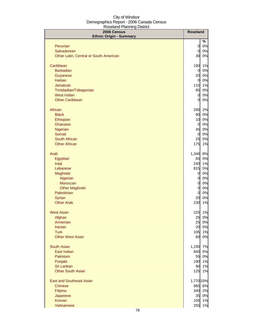| 2006 Census<br><b>Ethnic Origin - Summary</b> | <b>Roseland</b> |        |
|-----------------------------------------------|-----------------|--------|
|                                               |                 | %      |
| Peruvian                                      | $\overline{0}$  | 0%     |
| Salvadorean                                   | $\overline{0}$  | 0%     |
| Other Latin, Central or South American        | 30              | 0%     |
| Caribbean                                     | 190             | 1%     |
| <b>Barbadian</b>                              | $\overline{0}$  | 0%     |
| Guyanese                                      | 20              | 0%     |
| <b>Haitian</b>                                | $\overline{O}$  | 0%     |
| Jamaican                                      | 115             | 1%     |
| Trinidadian/Tobagonian                        | 85              | 0%     |
| <b>West Indian</b>                            | $\overline{0}$  | 0%     |
| <b>Other Caribbean</b>                        | $\overline{0}$  | 0%     |
| African                                       | 295             | 2%     |
| <b>Black</b>                                  | 80              | 0%     |
| Ethiopian                                     | 10              | 0%     |
| Ghanaian                                      | 0               | 0%     |
| Nigerian                                      | 45              | 0%     |
| Somali                                        | $\mathbf 0$     | 0%     |
| South African                                 | 25              | 0%     |
| <b>Other African</b>                          | 175             | 1%     |
| Arab                                          | 1,340           | 8%     |
| Egyptian                                      | 65              | 0%     |
| Iraqi                                         | 240             | 1%     |
| Lebanese                                      | 815             | 5%     |
| Maghrebi                                      | $\overline{0}$  | 0%     |
| Algerian                                      | $\overline{0}$  | 0%     |
| Moroccan                                      | $\overline{O}$  | 0%     |
| <b>Other Maghrebi</b>                         | $\overline{0}$  | 0%     |
| Palestinian                                   | $\mathbf 0$     | 0%     |
| Syrian                                        | 20              | 0%     |
| <b>Other Arab</b>                             | 230             | 1%     |
| <b>West Asian</b>                             |                 | 225 1% |
| Afghan                                        | 25              | 0%     |
| Armenian                                      | 25              | 0%     |
| <b>Iranian</b>                                | 20              | 0%     |
| <b>Turk</b>                                   | 105             | 1%     |
| <b>Other West Asian</b>                       | 60              | 0%     |
| <b>South Asian</b>                            | 1,195           | 7%     |
| East Indian                                   | 840             | 5%     |
| Pakistani                                     | 55              | 0%     |
| Punjabi                                       | 190             | 1%     |
| Sri Lankan                                    | 90              | 1%     |
| <b>Other South Asian</b>                      | 125             | 1%     |
| <b>East and Southeast Asian</b>               | 1,770 10%       |        |
| <b>Chinese</b>                                | 965             | 6%     |
| Filipino                                      | 340             | 2%     |
| Japanese                                      | 35              | 0%     |
| <b>Korean</b>                                 | 105             | 1%     |
| Vietnamese                                    | 255             | 1%     |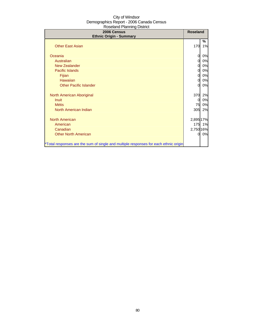| 2006 Census<br><b>Ethnic Origin - Summary</b>                                        |           | <b>Roseland</b> |
|--------------------------------------------------------------------------------------|-----------|-----------------|
|                                                                                      |           | %               |
| <b>Other East Asian</b>                                                              | 170       | 1%              |
| Oceania                                                                              | 0         | 0%              |
| Australian                                                                           | 0         | 0%              |
| <b>New Zealander</b>                                                                 | 0         | 0%              |
| <b>Pacific Islands</b>                                                               | 0         | 0%              |
| Fijian                                                                               | 0         | 0%              |
| Hawaiian                                                                             | 0         | 0%              |
| <b>Other Pacific Islander</b>                                                        | 0         | 0%              |
|                                                                                      |           |                 |
| North American Aboriginal                                                            | 370       | 2%              |
| Inuit                                                                                | 0         | 0%              |
| <b>Métis</b>                                                                         | 75        | 0%              |
| North American Indian                                                                | 305       | 2%              |
| <b>North American</b>                                                                | 2,895 17% |                 |
| American                                                                             |           | 175 1%          |
| Canadian                                                                             | 2,750 16% |                 |
| <b>Other North American</b>                                                          | 0         | 0%              |
|                                                                                      |           |                 |
| *Total responses are the sum of single and multiple responses for each ethnic origin |           |                 |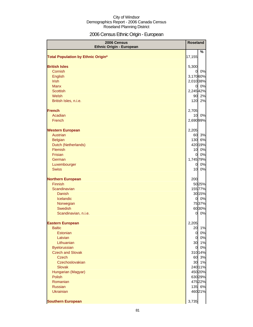# 2006 Census Ethnic Origin - European

| 2006 Census<br><b>Ethnic Origin - European</b> | <b>Roseland</b>                  |             |
|------------------------------------------------|----------------------------------|-------------|
|                                                |                                  | %           |
| <b>Total Population by Ethnic Origin*</b>      | 17,155                           |             |
| <b>British Isles</b>                           | 5,300                            |             |
| Cornish                                        | $\overline{0}$                   | 0%          |
| English                                        | 3,17060%                         |             |
| <b>Irish</b>                                   | 2,010 38%                        |             |
| <b>Manx</b>                                    | $\overline{0}$                   | 0%          |
| <b>Scottish</b>                                | 2,245 42%                        |             |
| Welsh                                          |                                  | 90 2%       |
| British Isles, n.i.e.                          | 120                              | 2%          |
| <b>French</b>                                  | 2,705                            |             |
| Acadian                                        | 10                               | 0%          |
| French                                         | 2,690 99%                        |             |
| <b>Western European</b>                        | 2,205                            |             |
| Austrian                                       |                                  | 60 3%       |
| <b>Belgian</b>                                 | 130                              | 6%          |
| Dutch (Netherlands)                            |                                  | 420 19%     |
| Flemish                                        | 10                               | 0%          |
| Frisian                                        | $\mathbf{0}$                     | 0%          |
| German                                         | 1,745 79%                        |             |
| Luxembourger                                   | $\overline{0}$                   | 0%          |
| <b>Swiss</b>                                   | 10                               | 0%          |
| <b>Northern European</b>                       | 200                              |             |
| Finnish                                        |                                  | 5025%       |
| Scandinavian                                   |                                  | 155 77%     |
| Danish                                         |                                  | 30 15%      |
| Icelandic<br>Norwegian                         | $\mathbf{0}$                     | 0%<br>7537% |
| Swedish                                        |                                  | 6030%       |
| Scandinavian, n.i.e.                           | $\mathbf{0}$                     | 0%          |
|                                                |                                  |             |
| <b>Eastern European</b>                        | 2,205                            |             |
| <b>Baltic</b>                                  | 20                               | 1%          |
| Estonian<br>Latvian                            | $\overline{0}$<br>$\overline{0}$ | 0%          |
| Lithuanian                                     | 30                               | 0%<br>1%    |
| <b>Byelorussian</b>                            | $\overline{O}$                   | 0%          |
| <b>Czech and Slovak</b>                        |                                  | 310 14%     |
| <b>Czech</b>                                   | 60                               | 3%          |
| Czechoslovakian                                | 30                               | 1%          |
| <b>Slovak</b>                                  |                                  | 240 11%     |
| Hungarian (Magyar)                             |                                  | 450 20%     |
| <b>Polish</b>                                  |                                  | 630 29%     |
| Romanian                                       |                                  | 475 22%     |
| Russian                                        |                                  | 135 6%      |
| <b>Ukrainian</b>                               |                                  | 460 21%     |
| <b>Southern European</b>                       | 3,735                            |             |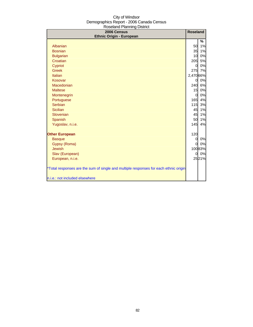| recording ritariang Dictrict<br>2006 Census<br><b>Ethnic Origin - European</b>       |                | <b>Roseland</b> |
|--------------------------------------------------------------------------------------|----------------|-----------------|
|                                                                                      |                | %               |
| Albanian                                                                             | 50             | 1%              |
| <b>Bosnian</b>                                                                       | 35             | 1%              |
| <b>Bulgarian</b>                                                                     | 10             | 0%              |
| Croatian                                                                             | 205            | 5%              |
| Cypriot                                                                              | $\Omega$       | 0%              |
| <b>Greek</b>                                                                         | 275            | 7%              |
| Italian                                                                              | 2,470 66%      |                 |
| Kosovar                                                                              | <sub>0</sub>   | 0%              |
| Macedonian                                                                           | 240            | 6%              |
| <b>Maltese</b>                                                                       | 15             | 0%              |
| Montenegrin                                                                          | $\overline{0}$ | 0%              |
| Portuguese                                                                           | 165            | 4%              |
| Serbian                                                                              | 115            | 3%              |
| <b>Sicilian</b>                                                                      | 45             | 1%              |
| Slovenian                                                                            | 45             | 1%              |
| Spanish                                                                              | 50             | 1%              |
| Yugoslav, n.i.e.                                                                     | 145            | 4%              |
| <b>Other European</b>                                                                | 120            |                 |
| <b>Basque</b>                                                                        | $\overline{0}$ | 0%              |
| Gypsy (Roma)                                                                         | $\mathbf{0}$   | 0%              |
| <b>Jewish</b>                                                                        |                | 10083%          |
| Slav (European)                                                                      | 0l             | 0%              |
| European, n.i.e.                                                                     |                | 2521%           |
| *Total responses are the sum of single and multiple responses for each ethnic origin |                |                 |
| n.i.e.: not included elsewhere                                                       |                |                 |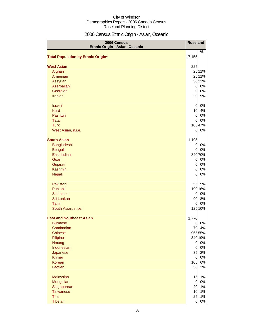# 2006 Census Ethnic Origin - Asian, Oceanic

| 2006 Census<br>Ethnic Origin - Asian, Oceanic |        |                | Roseland |
|-----------------------------------------------|--------|----------------|----------|
|                                               |        |                | %        |
| <b>Total Population by Ethnic Origin*</b>     | 17,155 |                |          |
| <b>West Asian</b>                             |        | 225            |          |
| Afghan                                        |        |                | 25 11%   |
| Armenian                                      |        |                | 2511%    |
| Assyrian                                      |        |                | 5022%    |
| Azerbaijani                                   |        | $\overline{0}$ | 0%       |
| Georgian                                      |        | $\overline{0}$ | 0%       |
| Iranian                                       |        | 20             | 9%       |
| <b>Israeli</b>                                |        | $\overline{0}$ | 0%       |
| <b>Kurd</b>                                   |        | 10             | 4%       |
| Pashtun                                       |        | $\mathbf{0}$   | 0%       |
| <b>Tatar</b>                                  |        | $\mathbf{0}$   | 0%       |
| <b>Turk</b>                                   |        |                | 10547%   |
| West Asian, n.i.e.                            |        | 0              | 0%       |
| <b>South Asian</b>                            |        | 1,195          |          |
| Bangladeshi                                   |        | $\overline{0}$ | 0%       |
| Bengali                                       |        | 0              | 0%       |
| East Indian                                   |        |                | 84070%   |
| Goan                                          |        | $\overline{0}$ | 0%       |
| Gujarati                                      |        | $\overline{0}$ | 0%       |
| Kashmiri                                      |        | $\overline{0}$ | 0%       |
| Nepali                                        |        | $\overline{0}$ | 0%       |
| Pakistani                                     |        | 55             | 5%       |
| Punjabi                                       |        |                | 190 16%  |
| <b>Sinhalese</b>                              |        | $\mathbf 0$    | 0%       |
| Sri Lankan                                    |        | 90             | 8%       |
| Tamil                                         |        | $\mathbf 0$    | 0%       |
| South Asian, n.i.e.                           |        |                | 125 10%  |
| <b>East and Southeast Asian</b>               |        | 1,770          |          |
| <b>Burmese</b>                                |        | 0              | 0%       |
| Cambodian                                     |        | 70             | 4%       |
| <b>Chinese</b>                                |        |                | 965 55%  |
| Filipino                                      |        |                | 340 19%  |
| Hmong                                         |        | $\mathbf{0}$   | 0%       |
| Indonesian                                    |        | $\overline{0}$ | 0%       |
| Japanese                                      |        | 35             | 2%       |
| <b>Khmer</b>                                  |        | $\overline{O}$ | 0%       |
| Korean                                        |        | 105            | 6%       |
| Laotian                                       |        | 30             | 2%       |
| Malaysian                                     |        | 15             | 1%       |
| Mongolian                                     |        | $\overline{0}$ | 0%       |
| Singaporean                                   |        | 20             | 1%       |
| <b>Taiwanese</b>                              |        | 10             | 1%       |
| Thai                                          |        | 25             | 1%       |
| Tibetan                                       |        | $\mathbf{0}$   | $0\%$    |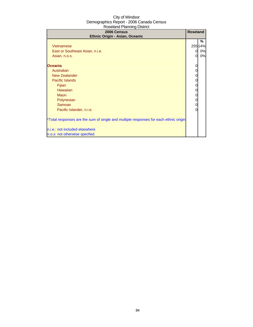| 2006 Census<br>Ethnic Origin - Asian, Oceanic                                        | <b>Roseland</b> |         |
|--------------------------------------------------------------------------------------|-----------------|---------|
|                                                                                      |                 | ℅       |
| Vietnamese                                                                           |                 | 255 14% |
| East or Southeast Asian, n.i.e.                                                      | $^{(1)}$        | 0%      |
| Asian, n.o.s.                                                                        | 0               | 0%      |
| <b>Oceania</b>                                                                       |                 |         |
| Australian                                                                           |                 |         |
| New Zealander                                                                        |                 |         |
| Pacific Islands                                                                      |                 |         |
| Fijian                                                                               |                 |         |
| <b>Hawaiian</b>                                                                      |                 |         |
| <b>Maori</b>                                                                         |                 |         |
| Polynesian                                                                           |                 |         |
| Samoan                                                                               | 0               |         |
| Pacific Islander, n.i.e.                                                             |                 |         |
| *Total responses are the sum of single and multiple responses for each ethnic origin |                 |         |
| n.i.e.: not included elsewhere                                                       |                 |         |
| n.o.s: not otherwise specfied                                                        |                 |         |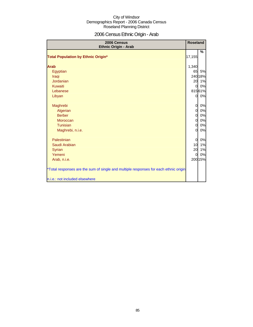# 2006 Census Ethnic Origin - Arab

| 2006 Census<br><b>Ethnic Origin - Arab</b>                                           | <b>Roseland</b> |         |
|--------------------------------------------------------------------------------------|-----------------|---------|
| <b>Total Population by Ethnic Origin*</b>                                            | 17,155          | %       |
|                                                                                      |                 |         |
| <b>Arab</b>                                                                          | 1,340           |         |
| Egyptian                                                                             | 65              | 5%      |
| Iraqi                                                                                |                 | 240 18% |
| <b>Jordanian</b>                                                                     | 20              | 1%      |
| <b>Kuwaiti</b>                                                                       | $\overline{0}$  | 0%      |
| Lebanese                                                                             |                 | 81561%  |
| Libyan                                                                               | $\overline{O}$  | 0%      |
| Maghrebi                                                                             | $\overline{0}$  | 0%      |
| Algerian                                                                             | $\overline{0}$  | 0%      |
| <b>Berber</b>                                                                        | $\overline{0}$  | 0%      |
| Moroccan                                                                             | $\overline{0}$  | 0%      |
| Tunisian                                                                             | $\overline{0}$  | 0%      |
| Maghrebi, n.i.e.                                                                     | $\overline{0}$  | 0%      |
| Palestinian                                                                          | $\overline{0}$  | 0%      |
| Saudi Arabian                                                                        | 10              | 1%      |
| Syrian                                                                               | 20              | 1%      |
| Yemeni                                                                               | $\Omega$        | 0%      |
| Arab, n.i.e.                                                                         |                 | 200 15% |
| *Total responses are the sum of single and multiple responses for each ethnic origin |                 |         |
| n.i.e.: not included elsewhere                                                       |                 |         |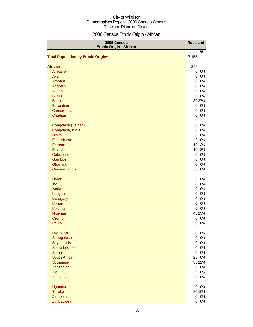# 2006 Census Ethnic Origin - African

| 2006 Census<br><b>Ethnic Origin - African</b> | <b>Roseland</b> |        |
|-----------------------------------------------|-----------------|--------|
|                                               |                 | %      |
| <b>Total Population by Ethnic Origin*</b>     | 17,155          |        |
| <b>African</b>                                | 295             |        |
| Afrikaner                                     | $\mathbf{0}$    | 0%     |
| Akan                                          | $\overline{0}$  | 0%     |
| Amhara                                        | $\overline{0}$  | 0%     |
| Angolan                                       | $\overline{0}$  | 0%     |
| Ashanti                                       | $\overline{0}$  | 0%     |
| <b>Bantu</b>                                  | $\overline{0}$  | 0%     |
| <b>Black</b>                                  |                 | 8027%  |
| <b>Burundian</b>                              | <sup>o</sup>    | 0%     |
| Cameroonian                                   | $\overline{0}$  | 0%     |
| Chadian                                       | $\overline{0}$  | 0%     |
|                                               |                 |        |
| Congolese (Zairian)                           | $\overline{0}$  | 0%     |
| Congolese, n.o.s.                             | $\overline{0}$  | 0%     |
| <b>Dinka</b>                                  | $\overline{0}$  | 0%     |
| <b>East African</b>                           | $\overline{0}$  | 0%     |
| Eritrean                                      | 10              | 3%     |
| Ethiopian                                     | 10              | 3%     |
| Gabonese                                      | $\overline{0}$  | 0%     |
| <b>Gambian</b>                                | $\overline{0}$  | 0%     |
| Ghanaian                                      | 0               | 0%     |
| Guinean, n.o.s.                               | $\overline{0}$  | 0%     |
| Harari                                        | 0               | 0%     |
| lbo                                           | $\overline{0}$  | 0%     |
| <b>Ivorian</b>                                | $\overline{0}$  | 0%     |
| Kenyan                                        | $\overline{0}$  | 0%     |
| <b>Malagasy</b>                               | $\overline{0}$  | 0%     |
| <b>Malian</b>                                 | $\overline{0}$  | 0%     |
| <b>Mauritian</b>                              | 0               | 0%     |
| Nigerian                                      |                 | 45 15% |
| Oromo                                         | 0               | 0%     |
| Peulh                                         | 0               | 0%     |
| Rwandan                                       | $\overline{0}$  | 0%     |
| Senegalese                                    | $\overline{0}$  | 0%     |
| Seychellois                                   | $\overline{0}$  | 0%     |
| Sierra Leonean                                | $\overline{0}$  | 0%     |
| Somali                                        | $\overline{0}$  | 0%     |
| South African                                 | 25              | 8%     |
| <b>Sudanese</b>                               |                 | 35 12% |
| Tanzanian                                     | $\overline{0}$  | 0%     |
| <b>Tigrian</b>                                | $\overline{0}$  | 0%     |
| <b>Togolese</b>                               | $\overline{0}$  | 0%     |
| Ugandan                                       | $\overline{0}$  | 0%     |
| Yoruba                                        |                 | 30 10% |
| Zambian                                       | $\overline{0}$  | 0%     |
| Zimbabwean                                    | $\overline{0}$  | 0%     |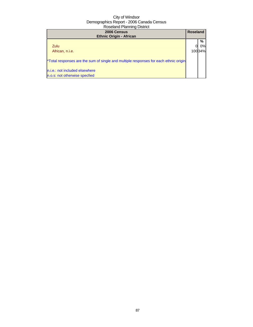| 2006 Census<br><b>Ethnic Origin - African</b>                                        | <b>Roseland</b> |         |
|--------------------------------------------------------------------------------------|-----------------|---------|
|                                                                                      |                 | %       |
| Zulu                                                                                 |                 | 0%l     |
| African, n.i.e.                                                                      |                 | 100 34% |
| *Total responses are the sum of single and multiple responses for each ethnic origin |                 |         |
| n.i.e.: not included elsewhere                                                       |                 |         |
| n.o.s: not otherwise specfied                                                        |                 |         |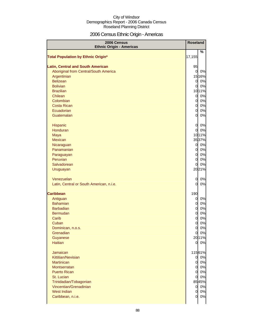# 2006 Census Ethnic Origin - Americas

| 2006 Census<br><b>Ethnic Origin - Americas</b> | <b>Roseland</b> |          |
|------------------------------------------------|-----------------|----------|
| <b>Total Population by Ethnic Origin*</b>      | 17,155          | $\%$     |
|                                                |                 |          |
| <b>Latin, Central and South American</b>       | 95              |          |
| Aboriginal from Central/South America          | $\overline{0}$  | 0%       |
| Argentinian                                    |                 | 1516%    |
| <b>Belizean</b>                                | $\overline{O}$  | 0%       |
| <b>Bolivian</b>                                | $\overline{0}$  | 0%       |
| <b>Brazilian</b>                               |                 | 1011%    |
| Chilean                                        | $\overline{0}$  | 0%       |
| Colombian                                      | $\overline{0}$  | $0\%$    |
| <b>Costa Rican</b>                             | $\overline{0}$  | $0\%$    |
| Ecuadorian                                     | $\overline{0}$  | $0\%$    |
| Guatemalan                                     | 0               | 0%       |
| Hispanic                                       | $\overline{0}$  | 0%       |
| Honduran                                       | 0               | 0%       |
| Maya                                           |                 | 1011%    |
| Mexican                                        |                 | 35 37%   |
| Nicaraguan                                     | $\overline{0}$  | 0%       |
| Panamanian                                     | $\overline{0}$  | $0\%$    |
| Paraguayan                                     | $\overline{0}$  | $0\%$    |
| Peruvian                                       | $\overline{0}$  | 0%       |
| Salvadorean                                    | 0               | 0%       |
| Uruguayan                                      |                 | 2021%    |
|                                                |                 |          |
| Venezuelan                                     | 0               | 0%<br>0% |
| Latin, Central or South American, n.i.e.       | 0               |          |
| <b>Caribbean</b>                               | 190             |          |
| Antiguan                                       | 0               | $0\%$    |
| <b>Bahamian</b>                                | 0               | 0%       |
| <b>Barbadian</b>                               | $\overline{0}$  | 0%       |
| <b>Bermudan</b>                                | $\overline{0}$  | 0%       |
| Carib                                          | 0               | $0\%$    |
| Cuban                                          | 0               | 0%       |
| Dominican, n.o.s.                              | $\overline{0}$  | 0%       |
| Grenadian                                      | 0               | 0%       |
| Guyanese                                       |                 | 2011%    |
| <b>Haitian</b>                                 | $\overline{O}$  | $0\%$    |
| Jamaican                                       |                 | 11561%   |
| Kittitian/Nevisian                             |                 | 0 0%     |
| <b>Martinican</b>                              |                 | 0 0%     |
| <b>Montserratan</b>                            |                 | 0 0%     |
| <b>Puerto Rican</b>                            |                 | 0 0%     |
| St. Lucian                                     | $\mathbf{0}$    | 0%       |
| Trinidadian/Tobagonian                         |                 | 8545%    |
| Vincentian/Grenadinian                         |                 | 0 0%     |
| <b>West Indian</b>                             | $\overline{0}$  | $0\%$    |
| Caribbean, n.i.e.                              | $\overline{0}$  | 0%       |
|                                                |                 |          |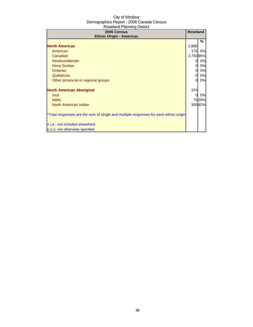| 2006 Census<br><b>Ethnic Origin - Americas</b>                                       | <b>Roseland</b> |        |
|--------------------------------------------------------------------------------------|-----------------|--------|
|                                                                                      |                 | %      |
| <b>North American</b>                                                                | 2,895           |        |
| American                                                                             | 175             | 6%     |
| Canadian                                                                             | 2,75095%        |        |
| Newfoundlander                                                                       | 01              | 0%     |
| <b>Nova Scotian</b>                                                                  | 0l              | 0%     |
| Ontarian                                                                             | 0l              | 0%     |
| Québécois                                                                            | 01              | 0%     |
| Other provincial or regional groups                                                  | <sub>0</sub>    | 0%     |
| <b>North American Aboriginal</b>                                                     | 370             |        |
| Inuit                                                                                | $\Omega$        | 0%     |
| <b>Métis</b>                                                                         |                 | 7520%  |
| North American Indian                                                                |                 | 30582% |
| *Total responses are the sum of single and multiple responses for each ethnic origin |                 |        |
| n.i.e.: not included elsewhere                                                       |                 |        |
| n.o.s: not otherwise specfied                                                        |                 |        |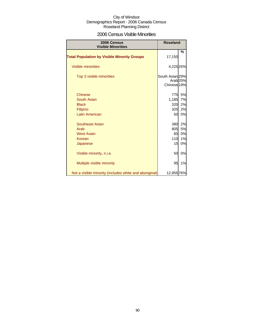# 2006 Census Visible Minorities

| 2006 Census<br><b>Visible Minorities</b>               | <b>Roseland</b>                           |                     |
|--------------------------------------------------------|-------------------------------------------|---------------------|
| <b>Total Population by Visible Minority Groups</b>     | 17,150                                    | %                   |
| Visible minorities                                     | 4,225 25%                                 |                     |
| Top 3 visible minorities                               | South Asian 29%<br>Chinese <sup>19%</sup> | Arab <sub>20%</sub> |
| <b>Chinese</b>                                         | 775                                       | 5%                  |
| <b>South Asian</b>                                     | 1,185                                     | 7%                  |
| <b>Black</b>                                           | 320                                       | 2%                  |
| Filipino                                               | 325                                       | 2%                  |
| <b>Latin American</b>                                  | 50                                        | 0%                  |
| <b>Southeast Asian</b>                                 | 380                                       | 2%                  |
| Arab                                                   | 805                                       | 5%                  |
| <b>West Asian</b>                                      | 60                                        | 0%                  |
| Korean                                                 | 110                                       | 1%                  |
| Japanese                                               | 15                                        | 0%                  |
| Visible minority, n.i.e.                               | 50                                        | 0%                  |
| Multiple visible minority                              | 95                                        | 1%                  |
| Not a visible minority (includes white and aboriginal) | 12,955 76%                                |                     |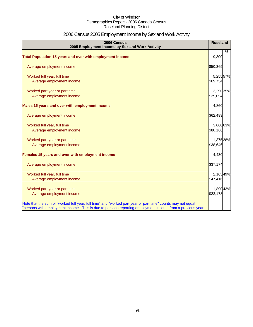# 2006 Census 2005 Employment Income by Sex and Work Activity

| 2006 Census<br>2005 Employment Income by Sex and Work Activity                                              | <b>Roseland</b> |
|-------------------------------------------------------------------------------------------------------------|-----------------|
|                                                                                                             | %               |
| Total Population 15 years and over with employment income                                                   | 9,300           |
| Average employment income                                                                                   | \$50,369        |
| Worked full year, full time                                                                                 | 5,255 57%       |
| Average employment income                                                                                   | \$69,754        |
| Worked part year or part time                                                                               | 3,290 35%       |
| Average employment income                                                                                   | \$29,094        |
| Males 15 years and over with employment income                                                              | 4,860           |
| Average employment income                                                                                   | \$62,499        |
| Worked full year, full time                                                                                 | 3,060 63%       |
| Average employment income                                                                                   | \$80,166        |
| Worked part year or part time                                                                               | 1,375 28%       |
| Average employment income                                                                                   | \$38,646        |
| Females 15 years and over with employment income                                                            | 4,430           |
| Average employment income                                                                                   | \$37,174        |
| Worked full year, full time                                                                                 | 2,16549%        |
| Average employment income                                                                                   | \$47,416        |
| Worked part year or part time                                                                               | 1,890 43%       |
| Average employment income                                                                                   | \$22,178        |
| Note that the sum of "worked full year, full time" and "worked part year or part time" counts may not equal |                 |
| "persons with employment income". This is due to persons reporting employment income from a previous year.  |                 |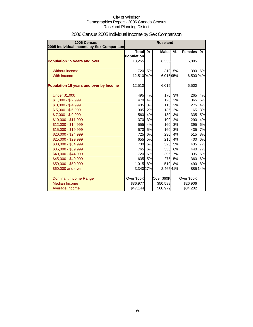| 2006 Census<br>2005 Individual Income by Sex Comparison | <b>Roseland</b>            |               |              |               |                |         |
|---------------------------------------------------------|----------------------------|---------------|--------------|---------------|----------------|---------|
|                                                         | Total<br><b>Population</b> | $\frac{0}{0}$ | <b>Males</b> | $\frac{9}{6}$ | <b>Females</b> | $\%$    |
| <b>Population 15 years and over</b>                     | 13,255                     |               | 6,335        |               | 6,885          |         |
| Without income                                          |                            | 720 5%        |              | 310 5%        | 390            | 6%      |
| With income                                             | 12,51094%                  |               | 6,01595%     |               | 6,500 94%      |         |
| Population 15 years and over by Income                  | 12,510                     |               | 6,015        |               | 6,500          |         |
| <b>Under \$1,000</b>                                    | 495                        | 4%            | 170          | 3%            | 265            | 4%      |
| $$1,000 - $2,999$                                       | 470                        | 4%            | 120          | 2%            | 365            | 6%      |
| $$3,000 - $4,999$                                       | 435                        | 3%            | 115          | 2%            | 275            | 4%      |
| $$5,000 - $6,999$                                       | 305                        | 2%            | 135          | 2%            | 165            | 3%      |
| $$7,000 - $9,999$                                       | 560                        | 4%            | 180          | 3%            | 335            | 5%      |
| \$10,000 - \$11,999                                     | 370                        | 3%            | 100          | 2%            | 290            | 4%      |
| \$12,000 - \$14,999                                     | 555                        | 4%            | 160          | 3%            | 395            | 6%      |
| \$15,000 - \$19,999                                     | 570                        | 5%            | 160          | 3%            | 435            | 7%      |
| \$20,000 - \$24,999                                     | 725                        | 6%            | 230          | 4%            | 515            | 8%      |
| \$25,000 - \$29,999                                     | 655                        | 5%            | 215          | 4%            | 400            | 6%      |
| \$30,000 - \$34,999                                     | 730                        | 6%            | 325          | 5%            | 435            | 7%      |
| \$35,000 - \$39,999                                     | 765                        | 6%            | 335          | 6%            | 440            | 7%      |
| \$40,000 - \$44,999                                     | 720                        | 6%            | 395          | 7%            | 335            | 5%      |
| \$45,000 - \$49,999                                     | 635                        | 5%            | 275          | 5%            | 360            | 6%      |
| \$50,000 - \$59,999                                     | 1,015 8%                   |               |              | 510 8%        | 490            | 8%      |
| \$60,000 and over                                       | 3,340 27%                  |               | 2,46541%     |               |                | 885 14% |
| Dominant Income Range                                   | Over \$60K                 |               | Over \$60K   |               | Over \$60K     |         |
| <b>Median Income</b>                                    | \$36,977                   |               | \$50,588     |               | \$26,906       |         |
| Average Income                                          | \$47,144                   |               | \$60,979     |               | \$34,202       |         |

# 2006 Census 2005 Individual Income by Sex Comparison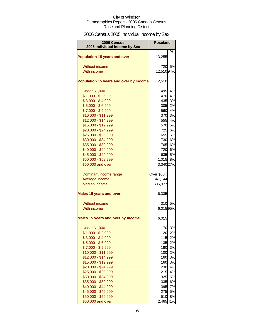# 2006 Census 2005 Individual Income by Sex

| 2006 Census<br>2005 Individual Income by Sex | <b>Roseland</b> |          |
|----------------------------------------------|-----------------|----------|
| <b>Population 15 years and over</b>          | 13,255          | %        |
| <b>Without income</b>                        | 720             | 5%       |
| With income                                  | 12,51094%       |          |
| Population 15 years and over by Income       | 12,510          |          |
| <b>Under \$1,000</b>                         | 495             | 4%       |
| $$1,000 - $2,999$                            | 470             | 4%       |
| $$3,000 - $4,999$                            | 435             | 3%       |
| $$5,000 - $6,999$                            | 305             | 2%       |
| $$7,000 - $9,999$                            | 560             | 4%       |
| \$10,000 - \$11,999                          | 370             | 3%       |
| \$12,000 - \$14,999                          | 555             | 4%       |
| \$15,000 - \$19,999                          | 570             | 5%       |
| \$20,000 - \$24,999                          | 725             | 6%       |
| \$25,000 - \$29,999                          | 655             | 5%       |
| \$30,000 - \$34,999                          | 730             | 6%       |
| \$35,000 - \$39,999                          | 765             | 6%       |
| \$40,000 - \$44,999                          | 720             | 6%       |
| \$45,000 - \$49,999                          | 635             | 5%       |
| \$50,000 - \$59,999                          | 1,015           | 8%       |
| \$60,000 and over                            | 3,340 27%       |          |
| Dominant income range                        | Over \$60K      |          |
| Average income                               | \$47,144        |          |
| <b>Median income</b>                         | \$36,977        |          |
| <b>Males 15 years and over</b>               | 6,335           |          |
| Without income                               | 310             | 5%       |
| With income                                  | 6,01595%        |          |
| Males 15 years and over by Income            | 6,015           |          |
| <b>Under \$1,000</b>                         | 170             | 3%       |
| $$1,000 - $2,999$                            | 120             | 2%       |
| $$3,000 - $4,999$                            | 115             | 2%       |
| $$5,000 - $6,999$                            | 135             | 2%       |
| $$7,000 - $9,999$                            | 180             | 3%       |
| \$10,000 - \$11,999                          | 100             | 2%       |
| \$12,000 - \$14,999                          | 160             | 3%       |
| \$15,000 - \$19,999                          | 160             | 3%       |
| \$20,000 - \$24,999                          | 230             | 4%       |
| \$25,000 - \$29,999                          | 215             | 4%       |
| \$30,000 - \$34,999                          | 325             | 5%       |
| \$35,000 - \$39,999                          | 335<br>395      | 6%<br>7% |
| \$40,000 - \$44,999<br>\$45,000 - \$49,999   | 275             | 5%       |
| \$50,000 - \$59,999                          | 510             | 8%       |
| \$60,000 and over                            | 2,46541%        |          |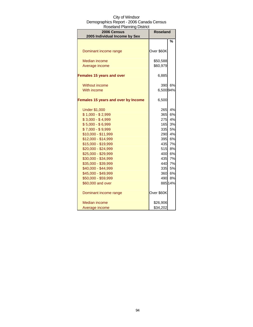| ו וויונוען דומו וויונגרט וויונגרט ווי<br>2006 Census | <b>Roseland</b> |          |  |
|------------------------------------------------------|-----------------|----------|--|
| 2005 Individual Income by Sex                        |                 |          |  |
|                                                      |                 | %        |  |
|                                                      |                 |          |  |
| Dominant income range                                | Over \$60K      |          |  |
|                                                      |                 |          |  |
| <b>Median income</b>                                 | \$50,588        |          |  |
| Average income                                       | \$60,979        |          |  |
| <b>Females 15 years and over</b>                     | 6,885           |          |  |
|                                                      |                 |          |  |
| <b>Without income</b>                                |                 | 390 6%   |  |
| With income                                          | 6,500 94%       |          |  |
|                                                      |                 |          |  |
| <b>Females 15 years and over by Income</b>           | 6,500           |          |  |
|                                                      |                 |          |  |
| <b>Under \$1,000</b>                                 | 265             | 4%       |  |
| $$1,000 - $2,999$                                    | 365             | 6%       |  |
| $$3,000 - $4,999$                                    | 275             | 4%       |  |
| $$5,000 - $6,999$                                    | 165             | 3%       |  |
| $$7,000 - $9,999$                                    | 335             | 5%       |  |
| \$10,000 - \$11,999<br>\$12,000 - \$14,999           | 290<br>395      | 4%<br>6% |  |
| \$15,000 - \$19,999                                  | 435             | 7%       |  |
| \$20,000 - \$24,999                                  | 515             | 8%       |  |
| \$25,000 - \$29,999                                  | 400             | 6%       |  |
| \$30,000 - \$34,999                                  | 435             | 7%       |  |
| \$35,000 - \$39,999                                  | 440             | 7%       |  |
| \$40,000 - \$44,999                                  | 335             | 5%       |  |
| \$45,000 - \$49,999                                  | 360             | 6%       |  |
| \$50,000 - \$59,999                                  | 490             | 8%       |  |
| \$60,000 and over                                    |                 | 885 14%  |  |
|                                                      |                 |          |  |
| Dominant income range                                | Over \$60K      |          |  |
|                                                      |                 |          |  |
| Median income                                        | \$26,906        |          |  |
| Average income                                       | \$34,202        |          |  |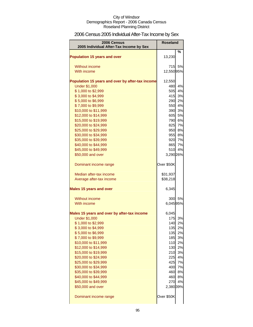# 2006 Census 2005 Individual After-Tax Income by Sex

| <b>2006 Census</b><br>2005 Individual After-Tax Income by Sex | <b>Roseland</b> |    |
|---------------------------------------------------------------|-----------------|----|
|                                                               |                 | %  |
| <b>Population 15 years and over</b>                           | 13,230          |    |
| Without income                                                | 715             | 5% |
| With income                                                   | 12,55095%       |    |
| Population 15 years and over by after-tax income              | 12,550          |    |
| <b>Under \$1,000</b>                                          | 480             | 4% |
| \$1,000 to \$2,999                                            | 505             | 4% |
| \$3,000 to \$4,999                                            | 415             | 3% |
| \$5,000 to \$6,999                                            | 290             | 2% |
| \$7,000 to \$9,999                                            | 550             | 4% |
| \$10,000 to \$11,999                                          | 390             | 3% |
| \$12,000 to \$14,999                                          | 605             | 5% |
| \$15,000 to \$19,999                                          | 790             | 6% |
| \$20,000 to \$24,999                                          | 825             | 7% |
| \$25,000 to \$29,999                                          | 950             | 8% |
| \$30,000 to \$34,999                                          | 955             | 8% |
| \$35,000 to \$39,999                                          | 920             | 7% |
| \$40,000 to \$44,999                                          | 865             | 7% |
| \$45,000 to \$49,999                                          | 510             | 4% |
| \$50,000 and over                                             | 3,290 26%       |    |
| Dominant income range                                         | Over \$50K      |    |
| Median after-tax income                                       | \$31,937        |    |
| Average after-tax income                                      | \$38,218        |    |
| <b>Males 15 years and over</b>                                | 6,345           |    |
| Without income                                                | 300             | 5% |
| With income                                                   | 6,045 95%       |    |
| Males 15 years and over by after-tax income                   | 6,045           |    |
| <b>Under \$1,000</b>                                          | 175             | 3% |
| \$1,000 to \$2,999                                            | 140             | 2% |
| \$3,000 to \$4,999                                            | 135             | 2% |
| \$5,000 to \$6,999                                            | 135             | 2% |
| \$7,000 to \$9,999                                            | 185             | 3% |
| \$10,000 to \$11,999                                          | 110             | 2% |
| \$12,000 to \$14,999                                          | 130             | 2% |
| \$15,000 to \$19,999                                          | 210             | 3% |
| \$20,000 to \$24,999                                          | 225             | 4% |
| \$25,000 to \$29,999                                          | 425             | 7% |
| \$30,000 to \$34,999                                          | 400             | 7% |
| \$35,000 to \$39,999                                          | 460             | 8% |
| \$40,000 to \$44,999                                          | 460             | 8% |
| \$45,000 to \$49,999                                          | 270             | 4% |
| \$50,000 and over                                             | 2,380 39%       |    |
| Dominant income range                                         | Over \$50K      |    |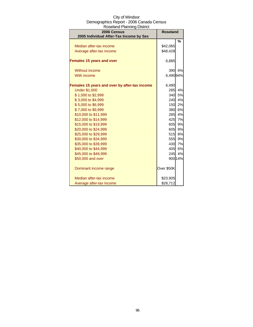| City of Windsor                          |
|------------------------------------------|
| Demographics Report - 2006 Canada Census |
| <b>Roseland Planning District</b>        |

| 2006 Census                                   | <b>Roseland</b> |         |
|-----------------------------------------------|-----------------|---------|
| 2005 Individual After-Tax Income by Sex       |                 |         |
|                                               |                 | %       |
| Median after-tax income                       | \$42,065        |         |
| Average after-tax income                      | \$48,428        |         |
| <b>Females 15 years and over</b>              | 6,885           |         |
| Without income                                | 390             | 6%      |
| With income                                   | 6,490 94%       |         |
| Females 15 years and over by after-tax income | 6,490           |         |
| <b>Under \$1,000</b>                          | 285             | 4%      |
| \$1,000 to \$2,999                            | 340             | 5%      |
| \$3,000 to \$4,999                            | 240             | 4%      |
| \$5,000 to \$6,999                            | 150             | 2%      |
| \$7,000 to \$9,999                            | 380             | 6%      |
| \$10,000 to \$11,999                          | 285             | 4%      |
| \$12,000 to \$14,999                          | 425             | 7%      |
| \$15,000 to \$19,999                          | 605             | 9%      |
| \$20,000 to \$24,999                          | 605             | 9%      |
| \$25,000 to \$29,999                          | 515             | 8%      |
| \$30,000 to \$34,999                          | 555             | 9%      |
| \$35,000 to \$39,999                          | 430             | 7%      |
| \$40,000 to \$44,999                          | 405             | 6%      |
| \$45,000 to \$49,999                          | 245             | 4%      |
| \$50,000 and over                             |                 | 900 14% |
| Dominant income range                         | Over \$50K      |         |
| Median after-tax income                       | \$23,905        |         |
| Average after-tax income                      | \$28,712        |         |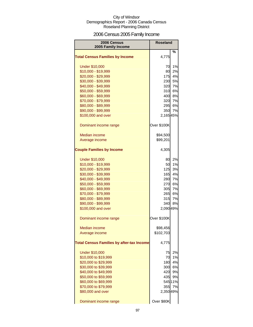# 2006 Census 2005 Family Income

| 2006 Census<br>2005 Family Income                | <b>Roseland</b> |         |
|--------------------------------------------------|-----------------|---------|
| <b>Total Census Families by Income</b>           | 4,775           | %       |
|                                                  |                 |         |
| <b>Under \$10,000</b>                            | 70              | 1%      |
| \$10,000 - \$19,999                              | 80              | 2%      |
| \$20,000 - \$29,999                              | 175             | 4%      |
| \$30,000 - \$39,999                              | 230             | 5%      |
| \$40,000 - \$49,999                              | 320             | 7%      |
| \$50,000 - \$59,999                              | 310             | 6%      |
| \$60,000 - \$69,999                              | 400             | 8%      |
| \$70,000 - \$79,999                              | 320             | 7%      |
| \$80,000 - \$89,999                              | 295             | 6%      |
| \$90,000 - \$99,999                              | 350             | 7%      |
| \$100,000 and over                               | 2,16545%        |         |
| Dominant income range                            | Over \$100K     |         |
| <b>Median income</b>                             | \$94,500        |         |
| Average income                                   | \$99,201        |         |
|                                                  |                 |         |
| <b>Couple Families by Income</b>                 | 4,305           |         |
| <b>Under \$10,000</b>                            | 80              | 2%      |
| \$10,000 - \$19,999                              | 50              | 1%      |
| \$20,000 - \$29,999                              | 125             | 3%      |
| \$30,000 - \$39,999                              | 165             | 4%      |
| \$40,000 - \$49,999                              | 280             | 7%      |
| \$50,000 - \$59,999                              | 270             | 6%      |
| \$60,000 - \$69,999                              | 305             | 7%      |
| \$70,000 - \$79,999                              | 265             | 6%      |
| \$80,000 - \$89,999                              | 315             | 7%      |
| \$90,000 - \$99,999                              | 340             | 8%      |
| \$100,000 and over                               | 2,090 49%       |         |
| Dominant income range                            | Over \$100K     |         |
| <b>Median income</b>                             | \$98,456        |         |
| Average income                                   | \$102,703       |         |
| <b>Total Census Families by after-tax Income</b> | 4,775           |         |
| <b>Under \$10,000</b>                            | 75              | 2%      |
| \$10,000 to \$19,999                             | 70              | 1%      |
| \$20,000 to \$29,999                             | 180             | 4%      |
| \$30,000 to \$39,999                             | 300             | 6%      |
| \$40,000 to \$49,999                             | 420             | 9%      |
| \$50,000 to \$59,999                             | 435             | 9%      |
| \$60,000 to \$69,999                             |                 | 545 11% |
| \$70,000 to \$79,999                             | 355             | 7%      |
| \$80,000 and over                                | 2,35049%        |         |
| Dominant income range                            | Over \$80K      |         |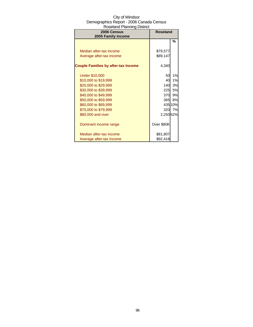| 2006 Census                                | <b>Roseland</b> |         |
|--------------------------------------------|-----------------|---------|
| 2005 Family Income                         |                 | %       |
|                                            |                 |         |
| Median after-tax income                    | \$79,577        |         |
| Average after-tax income                   | \$89,147        |         |
|                                            |                 |         |
| <b>Couple Families by after-tax Income</b> | 4,340           |         |
|                                            |                 |         |
| <b>Under \$10,000</b>                      | 50              | 1%      |
| \$10,000 to \$19,999                       | 40              | 1%      |
| \$20,000 to \$29,999                       | <b>140</b>      | 3%      |
| \$30,000 to \$39,999                       | 225             | 5%      |
| \$40,000 to \$49,999                       | 370 <b>I</b>    | 9%      |
| \$50,000 to \$59,999                       | 365             | 8%      |
| \$60,000 to \$69,999                       |                 | 435 10% |
| \$70,000 to \$79,999                       |                 | 320 7%  |
| \$80,000 and over                          | 2,25052%        |         |
|                                            |                 |         |
| Dominant income range                      | Over \$80K      |         |
|                                            |                 |         |
| Median after-tax income                    | \$81,807        |         |
| Average after-tax income                   | \$92,418        |         |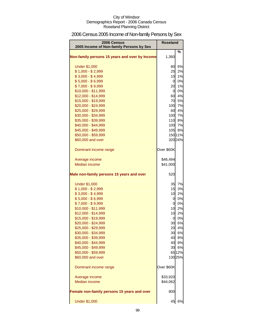# 2006 Census 2005 Income of Non-family Persons by Sex

| 2006 Census                                    | <b>Roseland</b> |         |
|------------------------------------------------|-----------------|---------|
| 2005 Income of Non-family Persons by Sex       |                 | %       |
| Non-family persons 15 years and over by Income | 1,360           |         |
| <b>Under \$1,000</b>                           | 80              | 6%      |
| $$1,000 - $2,999$                              | 25              | 2%      |
| $$3,000 - $4,999$                              | 10              | 1%      |
| $$5,000 - $6,999$                              | 0               | 0%      |
| $$7,000 - $9,999$                              | 20              | 1%      |
| \$10,000 - \$11,999                            | $\overline{0}$  | 0%      |
| \$12,000 - \$14,999                            | 60              | 4%      |
| \$15,000 - \$19,999                            | 70              | 5%      |
| \$20,000 - \$24,999                            | 100             | 7%      |
| \$25,000 - \$29,999                            | 60              | 4%      |
| \$30,000 - \$34,999                            | 100             | 7%      |
| \$35,000 - \$39,999                            |                 | 110 8%  |
| \$40,000 - \$44,999                            | 100             | 7%      |
| \$45,000 - \$49,999                            | 105             | 8%      |
| \$50,000 - \$59,999                            |                 | 150 11% |
| \$60,000 and over                              |                 | 32024%  |
| Dominant income range                          | Over \$60K      |         |
| Average income                                 | \$46,494        |         |
| Median income                                  | \$41,000        |         |
| Male non-family persons 15 years and over      | 520             |         |
| <b>Under \$1,000</b>                           | 35              | 7%      |
| $$1,000 - $2,999$                              | 15              | 3%      |
| $$3,000 - $4,999$                              | 10              | 2%      |
| $$5,000 - $6,999$                              | 0               | 0%      |
| $$7,000 - $9,999$                              | 0               | 0%      |
| $$10,000 - $11,999$                            | 10              | 2%      |
| \$12,000 - \$14,999                            | 10              | 2%      |
| \$15,000 - \$19,999                            | 0               | 0%      |
| \$20,000 - \$24,999                            | 30              | 6%      |
| \$25,000 - \$29,999                            | 20              | 4%      |
| \$30,000 - \$34,999                            |                 | 30 6%   |
| \$35,000 - \$39,999                            |                 | 40 8%   |
| \$40,000 - \$44,999                            |                 | 40 8%   |
| \$45,000 - \$49,999                            | 30              | 6%      |
| \$50,000 - \$59,999                            |                 | 6512%   |
| \$60,000 and over                              |                 | 130 25% |
| Dominant income range                          | Over \$60K      |         |
| Average income                                 | \$33,920        |         |
| Median income                                  | \$44,062        |         |
| Female non-family persons 15 years and over    | 800             |         |
| <b>Under \$1,000</b>                           | 45              | 6%      |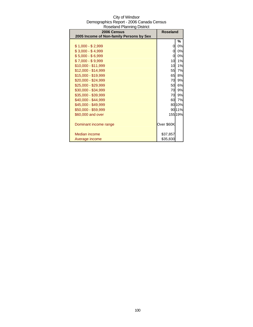| 2006 Census                              | <b>Roseland</b> |         |
|------------------------------------------|-----------------|---------|
| 2005 Income of Non-family Persons by Sex |                 |         |
|                                          |                 | ℅       |
| $$1,000 - $2,999$                        | 0               | 0%      |
| $$3,000 - $4,999$                        | 0               | 0%      |
| $$5,000 - $6,999$                        | 0               | 0%      |
| \$7,000 - \$9,999                        | 10              | 1%      |
| $$10,000 - $11,999$                      | 10              | 1%      |
| \$12,000 - \$14,999                      | 55              | 7%      |
| \$15,000 - \$19,999                      | 65              | 8%      |
| \$20,000 - \$24,999                      | 70              | 9%      |
| \$25,000 - \$29,999                      | 50              | 6%      |
| \$30,000 - \$34,999                      | 70              | 9%      |
| \$35,000 - \$39,999                      | 70              | 9%      |
| \$40,000 - \$44,999                      | 60              | 7%      |
| \$45,000 - \$49,999                      |                 | 8010%   |
| \$50,000 - \$59,999                      |                 | 9011%   |
| \$60,000 and over                        |                 | 155 19% |
|                                          |                 |         |
| Dominant income range                    | Over \$60K      |         |
|                                          |                 |         |
| Median income                            | \$37,857        |         |
| Average income                           | \$35,830        |         |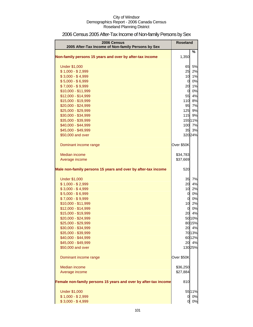| 2006 Census<br>2005 After-Tax Income of Non-family Persons by Sex |                | <b>Roseland</b> |
|-------------------------------------------------------------------|----------------|-----------------|
|                                                                   |                | %               |
| Non-family persons 15 years and over by after-tax income          | 1,350          |                 |
| <b>Under \$1,000</b>                                              | 65             | 5%              |
| $$1,000 - $2,999$                                                 | 25             | 2%              |
| $$3,000 - $4,999$                                                 | 10             | 1%              |
| $$5,000 - $6,999$                                                 | $\overline{0}$ | 0%              |
| $$7,000 - $9,999$                                                 | 20             | 1%              |
| \$10,000 - \$11,999                                               | $\overline{0}$ | 0%              |
| \$12,000 - \$14,999                                               | 55             | 4%              |
| \$15,000 - \$19,999                                               | 110            | 8%              |
| \$20,000 - \$24,999                                               | 95             | 7%              |
| \$25,000 - \$29,999                                               | 125            | 9%              |
| \$30,000 - \$34,999                                               | 115            | 9%              |
| \$35,000 - \$39,999                                               |                | 155 11%         |
| \$40,000 - \$44,999                                               |                | 100 7%          |
| \$45,000 - \$49,999                                               | 35             | 3%              |
| \$50,000 and over                                                 |                | 32024%          |
| Dominant income range                                             | Over \$50K     |                 |
| Median income                                                     | \$34,783       |                 |
| Average income                                                    | \$37,669       |                 |
|                                                                   |                |                 |
| Male non-family persons 15 years and over by after-tax income     | 520            |                 |
| <b>Under \$1,000</b>                                              | 35             | 7%              |
| $$1,000 - $2,999$                                                 | 20             | 4%              |
| $$3,000 - $4,999$                                                 | 10             | 2%              |
| $$5,000 - $6,999$                                                 | $\overline{0}$ | 0%              |
| $$7,000 - $9,999$                                                 | 0              | 0%              |
| \$10,000 - \$11,999                                               | 10             | 2%              |
| \$12,000 - \$14,999                                               | 0              | 0%              |
| \$15,000 - \$19,999                                               |                | 20 4%           |
| \$20,000 - \$24,999                                               |                | 50 10%          |
| \$25,000 - \$29,999                                               |                | 80 15%          |
| \$30,000 - \$34,999                                               |                | 20 4%           |
| \$35,000 - \$39,999                                               |                | 7013%           |
| \$40,000 - \$44,999                                               |                | 6012%           |
| \$45,000 - \$49,999                                               |                | 20 4%           |
| \$50,000 and over                                                 |                | 130 25%         |
| Dominant income range                                             | Over \$50K     |                 |
| Median income                                                     | \$36,250       |                 |
| Average income                                                    | \$27,884       |                 |
| Female non-family persons 15 years and over by after-tax income   | 810            |                 |
|                                                                   |                |                 |
| <b>Under \$1,000</b>                                              |                | 55 11%          |
| $$1,000 - $2,999$                                                 | 01             | 0%              |
| $$3,000 - $4,999$                                                 | 0              | 0%              |

# 2006 Census 2005 After-Tax Income of Non-family Persons by Sex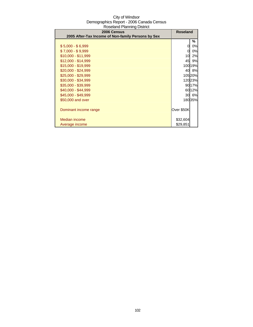| 2006 Census                                        | <b>Roseland</b> |         |
|----------------------------------------------------|-----------------|---------|
| 2005 After-Tax Income of Non-family Persons by Sex |                 |         |
|                                                    |                 | %       |
| $$5,000 - $6,999$                                  | 0               | 0%      |
| $$7,000 - $9,999$                                  |                 | 0%      |
| \$10,000 - \$11,999                                | 10              | 2%      |
| \$12,000 - \$14,999                                | 45              | 9%      |
| \$15,000 - \$19,999                                |                 | 100 19% |
| \$20,000 - \$24,999                                | 40              | 8%      |
| \$25,000 - \$29,999                                |                 | 105 20% |
| \$30,000 - \$34,999                                |                 | 12023%  |
| \$35,000 - \$39,999                                |                 | 9017%   |
| \$40,000 - \$44,999                                |                 | 6012%   |
| \$45,000 - \$49,999                                | 30              | 6%      |
| \$50,000 and over                                  |                 | 180 35% |
|                                                    |                 |         |
| Dominant income range                              | Over \$50K      |         |
|                                                    |                 |         |
| <b>Median income</b>                               | \$32,604        |         |
| Average income                                     | \$29,851        |         |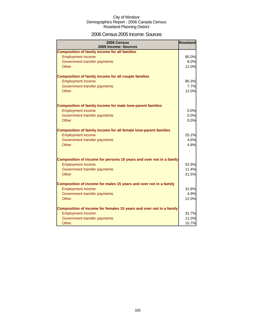# 2006 Census 2005 Income: Sources

| 2006 Census<br>2005 Income: Sources                                 | <b>Roseland</b> |
|---------------------------------------------------------------------|-----------------|
| <b>Composition of family income for all families</b>                |                 |
| <b>Employment income</b>                                            | 80.0%           |
| Government transfer payments                                        | 8.0%            |
| Other                                                               | 12.0%           |
| <b>Composition of family income for all couple families</b>         |                 |
| <b>Employment income</b>                                            | 80.3%           |
| Government transfer payments                                        | 7.7%            |
| Other                                                               | 12.0%           |
| <b>Composition of family income for male lone-parent families</b>   |                 |
| <b>Employment income</b>                                            | 0.0%            |
| Government transfer payments                                        | 0.0%            |
| Other                                                               | 0.0%            |
| Composition of family income for all female lone-parent families    |                 |
| <b>Employment income</b>                                            | 25.2%           |
| Government transfer payments                                        | 4.6%            |
| Other                                                               | 4.8%            |
| Composition of income for persons 15 years and over not in a family |                 |
| <b>Employment income</b>                                            | 52.9%           |
| Government transfer payments                                        | 11.4%           |
| Other                                                               | 21.5%           |
| Composition of income for males 15 years and over not in a family   |                 |
| <b>Employment income</b>                                            | 31.8%           |
| Government transfer payments                                        | 4.9%            |
| Other                                                               | 12.0%           |
| Composition of income for females 15 years and over not in a family |                 |
| <b>Employment income</b>                                            | 31.7%           |
| Government transfer payments                                        | 11.0%           |
| Other                                                               | 15.7%           |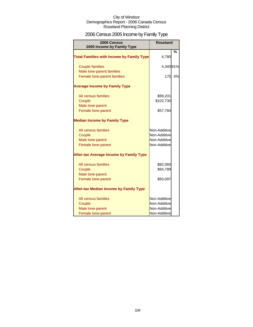# 2006 Census 2005 Income by Family Type

| 2006 Census<br>2005 Income by Family Type                | <b>Roseland</b>              |               |
|----------------------------------------------------------|------------------------------|---------------|
| <b>Total Families with Income by Family Type</b>         | 4,780                        | $\frac{0}{0}$ |
| <b>Couple families</b>                                   | 4,34091%                     |               |
| Male lone-parent families<br>Female lone-parent families | 175                          | 4%            |
| <b>Average Income by Family Type</b>                     |                              |               |
| All census families                                      | \$99,201                     |               |
| Couple<br>Male lone-parent                               | \$102,730                    |               |
| Female lone-parent                                       | \$57,784                     |               |
| <b>Median Income by Family Type</b>                      |                              |               |
| All census families                                      | Non-Additive                 |               |
| Couple                                                   | Non-Additive                 |               |
| Male lone-parent<br>Female lone-parent                   | Non-Additive<br>Non-Additive |               |
| <b>After-tax Average Income by Family Type</b>           |                              |               |
| All census families                                      | \$82,060                     |               |
| Couple                                                   | \$84,789                     |               |
| Male lone-parent<br>Female lone-parent                   | \$50,097                     |               |
| <b>After-tax Median Income by Family Type</b>            |                              |               |
| All census families                                      | Non-Additive                 |               |
| Couple                                                   | Non-Additive                 |               |
| Male lone-parent                                         | Non-Additive                 |               |
| Female lone-parent                                       | Non-Additive                 |               |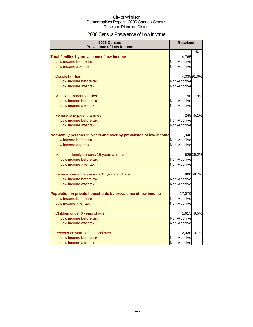# 2006 Census Prevalence of Low Income

| 2006 Census<br><b>Prevalence of Low Income</b>                   | <b>Roseland</b> |             |
|------------------------------------------------------------------|-----------------|-------------|
|                                                                  |                 | %           |
| Total families by prevalence of low income                       | 4,765           |             |
| Low income before tax                                            | Non-Additive    |             |
| Low income after tax                                             | Non-Additive    |             |
|                                                                  |                 |             |
| <b>Couple families</b>                                           |                 | 4,33591.0%  |
| Low income before tax                                            | Non-Additive    |             |
| Low income after tax                                             | Non-Additive    |             |
| Male lone-parent families                                        | 90              | 1.9%        |
| Low income before tax                                            | Non-Additive    |             |
| Low income after tax                                             | Non-Additive    |             |
| Female lone-parent families                                      | 245             | 5.1%        |
| Low income before tax                                            | Non-Additive    |             |
| Low income after tax                                             | Non-Additive    |             |
| Non-family persons 15 years and over by prevalence of low income | 1,340           |             |
| Low income before tax                                            | Non-Additive    |             |
| Low income after tax                                             | Non-Additive    |             |
| Male non-family persons 15 years and over                        |                 | 525 39.2%   |
| Low income before tax                                            | Non-Additive    |             |
| Low income after tax                                             | Non-Additive    |             |
| Female non-family persons 15 years and over                      |                 | 800 59.7%   |
| Low income before tax                                            | Non-Additive    |             |
| Low income after tax                                             | Non-Additive    |             |
| Population in private households by prevalence of low income     | 17,070          |             |
| Low income before tax                                            | Non-Additive    |             |
| Low income after tax                                             | Non-Additive    |             |
| Children under 6 years of age                                    | 1,615           | 9.5%        |
| Low income before tax                                            | Non-Additive    |             |
| Low income after tax                                             | Non-Additive    |             |
| Persons 65 years of age and over                                 |                 | 2,335 13.7% |
| Low income before tax                                            | Non-Additive    |             |
| Low income after tax                                             | Non-Additive    |             |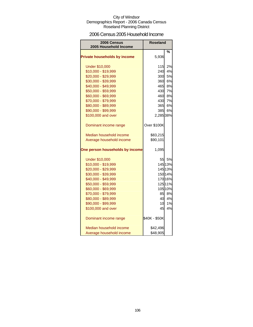# 2006 Census 2005 Household Income

| 2006 Census<br>2005 Household Income | <b>Roseland</b> |         |
|--------------------------------------|-----------------|---------|
|                                      |                 | %       |
| <b>Private households by income</b>  | 5,936           |         |
| <b>Under \$10,000</b>                | 115             | 2%      |
| \$10,000 - \$19,999                  | 240             | 4%      |
| \$20,000 - \$29,999                  | 300L            | 5%      |
| \$30,000 - \$39,999                  | <b>360</b>      | 6%      |
| \$40,000 - \$49,999                  | 465             | 8%      |
| \$50,000 - \$59,999                  | 430             | 7%      |
| \$60,000 - \$69,999                  | 460             | 8%      |
| \$70,000 - \$79,999                  | 430             | 7%      |
| \$80,000 - \$89,999                  | 365             | 6%      |
| \$90,000 - \$99,999                  | 385             | 6%      |
| \$100,000 and over                   | 2,285 38%       |         |
| Dominant income range                | Over \$100K     |         |
| Median household income              | \$83,215        |         |
| Average household income             | \$90,101        |         |
| One person households by income      | 1,095           |         |
| <b>Under \$10,000</b>                |                 | 55 5%   |
| \$10,000 - \$19,999                  |                 | 145 13% |
| \$20,000 - \$29,999                  |                 | 145 13% |
| \$30,000 - \$39,999                  |                 | 150 14% |
| \$40,000 - \$49,999                  |                 | 170 16% |
| \$50,000 - \$59,999                  |                 | 125 11% |
| \$60,000 - \$69,999                  |                 | 105 10% |
| \$70,000 - \$79,999                  |                 | 85 8%   |
| \$80,000 - \$89,999                  |                 | 40 4%   |
| \$90,000 - \$99,999                  | 10              | 1%      |
| \$100,000 and over                   | 45              | 4%      |
| Dominant income range                | \$40K - \$50K   |         |
| Median household income              | \$42,496        |         |
| Average household income             | \$48,905        |         |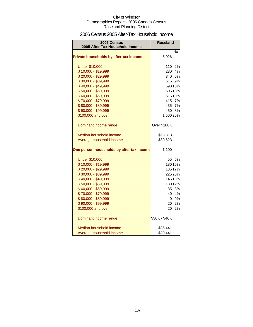# 2006 Census 2005 After-Tax Household Income

| <b>2006 Census</b><br>2005 After-Tax Household Income | <b>Roseland</b> |         |
|-------------------------------------------------------|-----------------|---------|
|                                                       |                 |         |
| Private households by after-tax income                | 5,926           | $\%$    |
| <b>Under \$10,000</b>                                 | 110             | 2%      |
| \$10,000 - \$19,999                                   | 230             | 4%      |
| \$20,000 - \$29,999                                   | 340             | 6%      |
| \$30,000 - \$39,999                                   | 515             | 9%      |
| \$40,000 - \$49,999                                   |                 | 590 10% |
| \$50,000 - \$59,999                                   |                 | 605 10% |
| \$60,000 - \$69,999                                   |                 | 615 10% |
| \$70,000 - \$79,999                                   |                 | 415 7%  |
| \$80,000 - \$89,999                                   |                 | 435 7%  |
| \$90,000 - \$99,999                                   |                 | 450 8%  |
| \$100,000 and over                                    | 1,560 26%       |         |
| Dominant income range                                 | Over \$100K     |         |
| Median household income                               | \$68,818        |         |
| Average household income                              | \$80,623        |         |
| One person households by after-tax income             | 1,100           |         |
| <b>Under \$10,000</b>                                 | 55              | 5%      |
| \$10,000 - \$19,999                                   |                 | 180 16% |
| \$20,000 - \$29,999                                   |                 | 185 17% |
| \$30,000 - \$39,999                                   |                 | 225 20% |
| \$40,000 - \$49,999                                   |                 | 145 13% |
| \$50,000 - \$59,999                                   |                 | 130 12% |
| \$60,000 - \$69,999                                   | 85              | 8%      |
| \$70,000 - \$79,999                                   | 40              | 4%      |
| \$80,000 - \$89,999                                   | $\overline{0}$  | 0%      |
| \$90,000 - \$99,999                                   | 20              | 2%      |
| \$100,000 and over                                    | 20              | 2%      |
| Dominant income range                                 | \$30K - \$40K   |         |
| Median household income                               | \$35,441        |         |
| Average household income                              | \$39,441        |         |